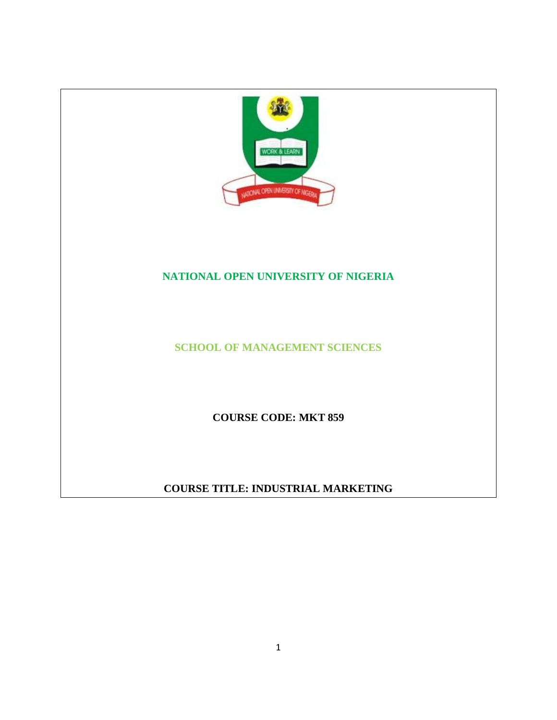

# **NATIONAL OPEN UNIVERSITY OF NIGERIA**

**SCHOOL OF MANAGEMENT SCIENCES**

**COURSE CODE: MKT 859**

**COURSE TITLE: INDUSTRIAL MARKETING**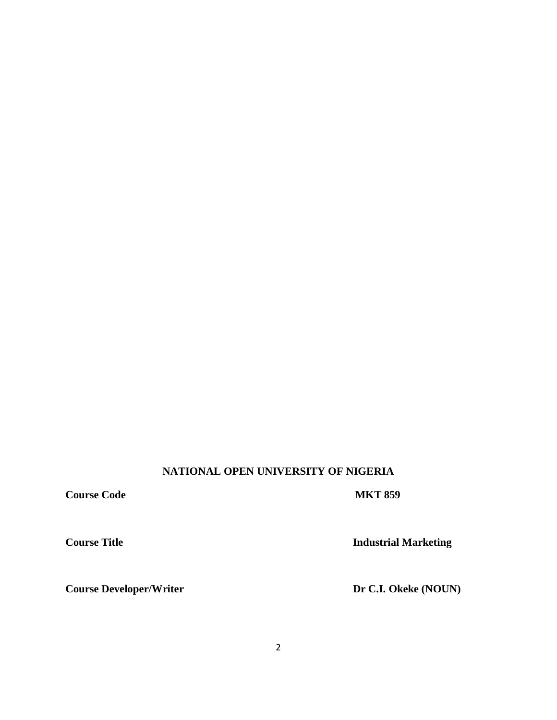# **NATIONAL OPEN UNIVERSITY OF NIGERIA**

**Course Code MKT 859** 

**Course Title Industrial Marketing** 

**Course Developer/Writer Dr C.I. Okeke (NOUN)**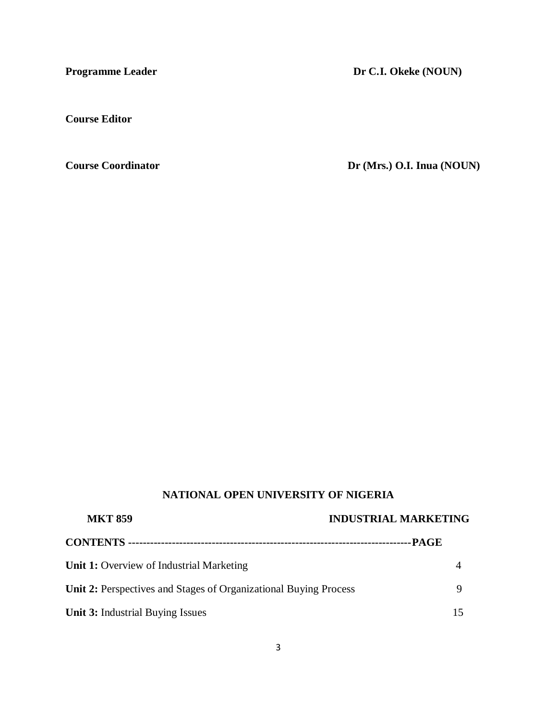**Programme Leader Dr C.I. Okeke (NOUN)** 

**Course Editor** 

**Course Coordinator** Dr (Mrs.) O.I. Inua (NOUN)

# **NATIONAL OPEN UNIVERSITY OF NIGERIA**

| <b>MKT 859</b>                                                          | <b>INDUSTRIAL MARKETING</b> |  |
|-------------------------------------------------------------------------|-----------------------------|--|
|                                                                         |                             |  |
| <b>Unit 1:</b> Overview of Industrial Marketing                         |                             |  |
| <b>Unit 2:</b> Perspectives and Stages of Organizational Buying Process |                             |  |
| <b>Unit 3: Industrial Buying Issues</b>                                 |                             |  |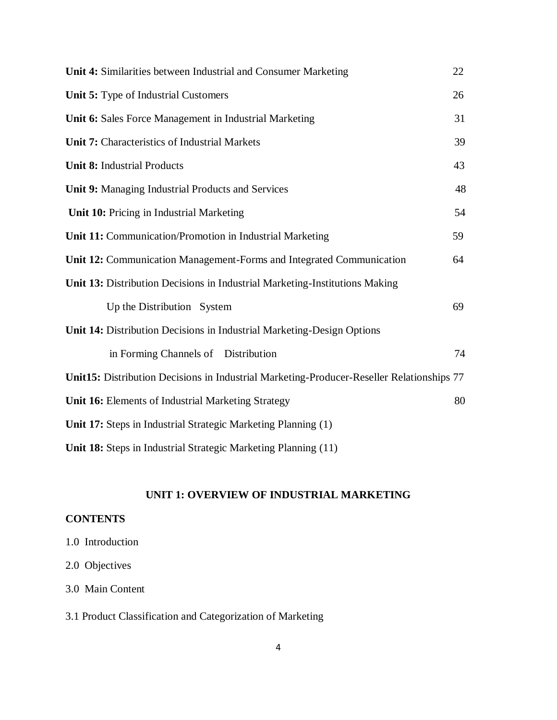| Unit 4: Similarities between Industrial and Consumer Marketing                            | 22 |
|-------------------------------------------------------------------------------------------|----|
| Unit 5: Type of Industrial Customers                                                      | 26 |
| Unit 6: Sales Force Management in Industrial Marketing                                    | 31 |
| Unit 7: Characteristics of Industrial Markets                                             | 39 |
| <b>Unit 8: Industrial Products</b>                                                        | 43 |
| Unit 9: Managing Industrial Products and Services                                         | 48 |
| Unit 10: Pricing in Industrial Marketing                                                  | 54 |
| Unit 11: Communication/Promotion in Industrial Marketing                                  | 59 |
| Unit 12: Communication Management-Forms and Integrated Communication                      | 64 |
| Unit 13: Distribution Decisions in Industrial Marketing-Institutions Making               |    |
| Up the Distribution System                                                                | 69 |
| Unit 14: Distribution Decisions in Industrial Marketing-Design Options                    |    |
| in Forming Channels of Distribution                                                       | 74 |
| Unit15: Distribution Decisions in Industrial Marketing-Producer-Reseller Relationships 77 |    |
| Unit 16: Elements of Industrial Marketing Strategy                                        | 80 |
| Unit 17: Steps in Industrial Strategic Marketing Planning (1)                             |    |
| Unit 18: Steps in Industrial Strategic Marketing Planning (11)                            |    |

# **UNIT 1: OVERVIEW OF INDUSTRIAL MARKETING**

# **CONTENTS**

- 1.0 Introduction
- 2.0 Objectives
- 3.0 Main Content
- 3.1 Product Classification and Categorization of Marketing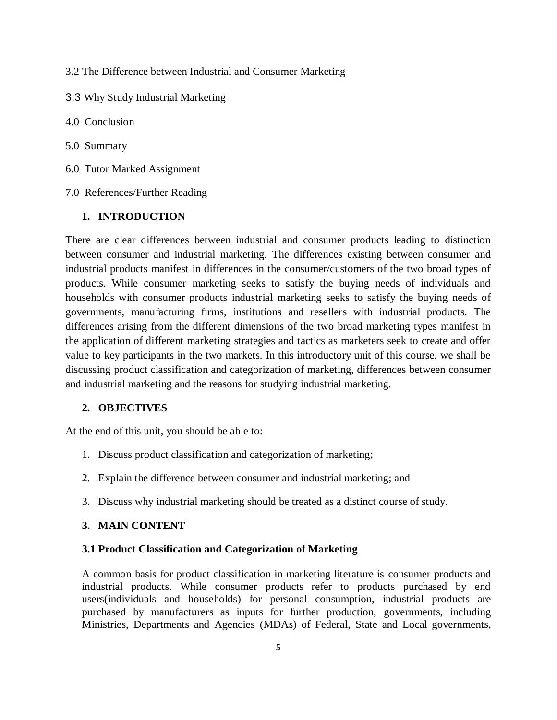3.2 The Difference between Industrial and Consumer Marketing

- 3.3 Why Study Industrial Marketing
- 4.0 Conclusion
- 5.0 Summary
- 6.0 Tutor Marked Assignment
- 7.0 References/Further Reading

### **1. INTRODUCTION**

There are clear differences between industrial and consumer products leading to distinction between consumer and industrial marketing. The differences existing between consumer and industrial products manifest in differences in the consumer/customers of the two broad types of products. While consumer marketing seeks to satisfy the buying needs of individuals and households with consumer products industrial marketing seeks to satisfy the buying needs of governments, manufacturing firms, institutions and resellers with industrial products. The differences arising from the different dimensions of the two broad marketing types manifest in the application of different marketing strategies and tactics as marketers seek to create and offer value to key participants in the two markets. In this introductory unit of this course, we shall be discussing product classification and categorization of marketing, differences between consumer and industrial marketing and the reasons for studying industrial marketing.

# **2. OBJECTIVES**

At the end of this unit, you should be able to:

- 1. Discuss product classification and categorization of marketing;
- 2. Explain the difference between consumer and industrial marketing; and
- 3. Discuss why industrial marketing should be treated as a distinct course of study.

### **3. MAIN CONTENT**

### **3.1 Product Classification and Categorization of Marketing**

A common basis for product classification in marketing literature is consumer products and industrial products. While consumer products refer to products purchased by end users(individuals and households) for personal consumption, industrial products are purchased by manufacturers as inputs for further production, governments, including Ministries, Departments and Agencies (MDAs) of Federal, State and Local governments,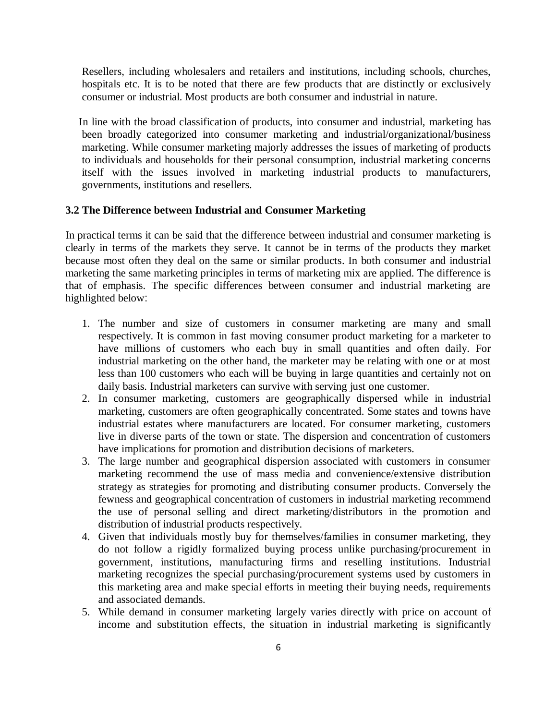Resellers, including wholesalers and retailers and institutions, including schools, churches, hospitals etc. It is to be noted that there are few products that are distinctly or exclusively consumer or industrial. Most products are both consumer and industrial in nature.

 In line with the broad classification of products, into consumer and industrial, marketing has been broadly categorized into consumer marketing and industrial/organizational/business marketing. While consumer marketing majorly addresses the issues of marketing of products to individuals and households for their personal consumption, industrial marketing concerns itself with the issues involved in marketing industrial products to manufacturers, governments, institutions and resellers.

### **3.2 The Difference between Industrial and Consumer Marketing**

In practical terms it can be said that the difference between industrial and consumer marketing is clearly in terms of the markets they serve. It cannot be in terms of the products they market because most often they deal on the same or similar products. In both consumer and industrial marketing the same marketing principles in terms of marketing mix are applied. The difference is that of emphasis. The specific differences between consumer and industrial marketing are highlighted below:

- 1. The number and size of customers in consumer marketing are many and small respectively. It is common in fast moving consumer product marketing for a marketer to have millions of customers who each buy in small quantities and often daily. For industrial marketing on the other hand, the marketer may be relating with one or at most less than 100 customers who each will be buying in large quantities and certainly not on daily basis. Industrial marketers can survive with serving just one customer.
- 2. In consumer marketing, customers are geographically dispersed while in industrial marketing, customers are often geographically concentrated. Some states and towns have industrial estates where manufacturers are located. For consumer marketing, customers live in diverse parts of the town or state. The dispersion and concentration of customers have implications for promotion and distribution decisions of marketers.
- 3. The large number and geographical dispersion associated with customers in consumer marketing recommend the use of mass media and convenience/extensive distribution strategy as strategies for promoting and distributing consumer products. Conversely the fewness and geographical concentration of customers in industrial marketing recommend the use of personal selling and direct marketing/distributors in the promotion and distribution of industrial products respectively.
- 4. Given that individuals mostly buy for themselves/families in consumer marketing, they do not follow a rigidly formalized buying process unlike purchasing/procurement in government, institutions, manufacturing firms and reselling institutions. Industrial marketing recognizes the special purchasing/procurement systems used by customers in this marketing area and make special efforts in meeting their buying needs, requirements and associated demands.
- 5. While demand in consumer marketing largely varies directly with price on account of income and substitution effects, the situation in industrial marketing is significantly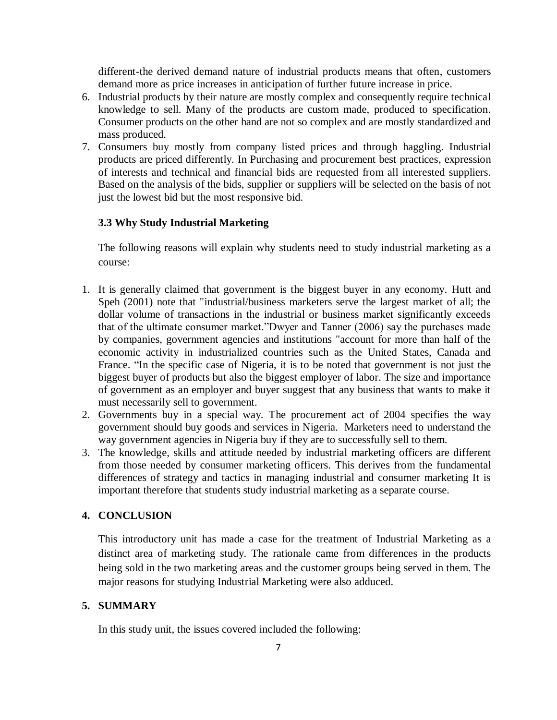different-the derived demand nature of industrial products means that often, customers demand more as price increases in anticipation of further future increase in price.

- 6. Industrial products by their nature are mostly complex and consequently require technical knowledge to sell. Many of the products are custom made, produced to specification. Consumer products on the other hand are not so complex and are mostly standardized and mass produced.
- 7. Consumers buy mostly from company listed prices and through haggling. Industrial products are priced differently. In Purchasing and procurement best practices, expression of interests and technical and financial bids are requested from all interested suppliers. Based on the analysis of the bids, supplier or suppliers will be selected on the basis of not just the lowest bid but the most responsive bid.

### **3.3 Why Study Industrial Marketing**

The following reasons will explain why students need to study industrial marketing as a course:

- 1. It is generally claimed that government is the biggest buyer in any economy. Hutt and Speh (2001) note that "industrial/business marketers serve the largest market of all; the dollar volume of transactions in the industrial or business market significantly exceeds that of the ultimate consumer market."Dwyer and Tanner (2006) say the purchases made by companies, government agencies and institutions "account for more than half of the economic activity in [industrialized countries](http://en.wikipedia.org/wiki/Developed_country) such as the United States, Canada and France. "In the specific case of Nigeria, it is to be noted that government is not just the biggest buyer of products but also the biggest employer of labor. The size and importance of government as an employer and buyer suggest that any business that wants to make it must necessarily sell to government.
- 2. Governments buy in a special way. The procurement act of 2004 specifies the way government should buy goods and services in Nigeria. Marketers need to understand the way government agencies in Nigeria buy if they are to successfully sell to them.
- 3. The knowledge, skills and attitude needed by industrial marketing officers are different from those needed by consumer marketing officers. This derives from the fundamental differences of strategy and tactics in managing industrial and consumer marketing It is important therefore that students study industrial marketing as a separate course.

### **4. CONCLUSION**

This introductory unit has made a case for the treatment of Industrial Marketing as a distinct area of marketing study. The rationale came from differences in the products being sold in the two marketing areas and the customer groups being served in them. The major reasons for studying Industrial Marketing were also adduced.

### **5. SUMMARY**

In this study unit, the issues covered included the following: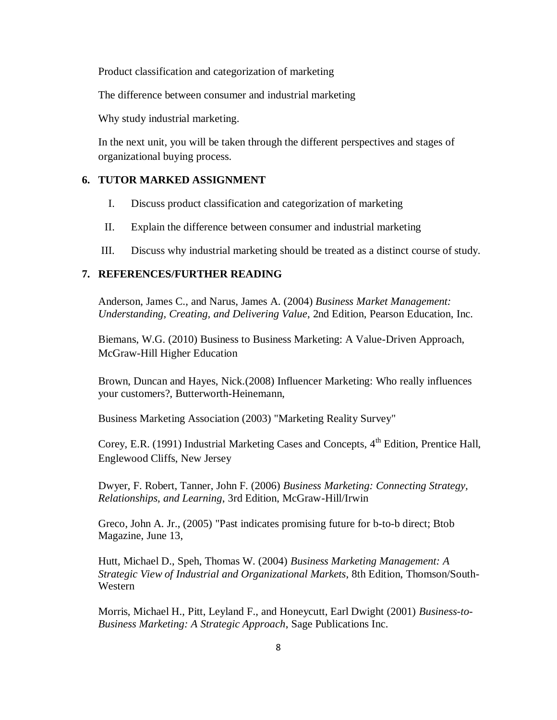Product classification and categorization of marketing

The difference between consumer and industrial marketing

Why study industrial marketing.

In the next unit, you will be taken through the different perspectives and stages of organizational buying process.

#### **6. TUTOR MARKED ASSIGNMENT**

- I. Discuss product classification and categorization of marketing
- II. Explain the difference between consumer and industrial marketing
- III. Discuss why industrial marketing should be treated as a distinct course of study.

### **7. REFERENCES/FURTHER READING**

Anderson, James C., and Narus, James A. (2004) *Business Market Management: Understanding, Creating, and Delivering Value*, 2nd Edition, [Pearson Education,](http://en.wikipedia.org/wiki/Pearson_Education) Inc.

Biemans, W.G. (2010) Business to Business Marketing: A Value-Driven Approach, McGraw-Hill Higher Education

Brown, Duncan and Hayes, Nick.(2008) Influencer Marketing: Who really influences your customers?, Butterworth-Heinemann,

Business Marketing Association (2003) "Marketing Reality Survey"

Corey, E.R. (1991) Industrial Marketing Cases and Concepts, 4<sup>th</sup> Edition, Prentice Hall, Englewood Cliffs, New Jersey

Dwyer, F. Robert, Tanner, John F. (2006) *Business Marketing: Connecting Strategy, Relationships, and Learning*, 3rd Edition, McGraw-Hill/Irwin

Greco, John A. Jr., (2005) "Past indicates promising future for b-to-b direct; [Btob](http://en.wikipedia.org/w/index.php?title=BtoB_Magazine&action=edit&redlink=1)  [Magazine,](http://en.wikipedia.org/w/index.php?title=BtoB_Magazine&action=edit&redlink=1) June 13,

Hutt, Michael D., Speh, Thomas W. (2004) *Business Marketing Management: A Strategic View of Industrial and Organizational Markets*, 8th Edition, Thomson/South-Western

Morris, Michael H., Pitt, Leyland F., and Honeycutt, Earl Dwight (2001) *Business-to-Business Marketing: A Strategic Approach*, Sage Publications Inc.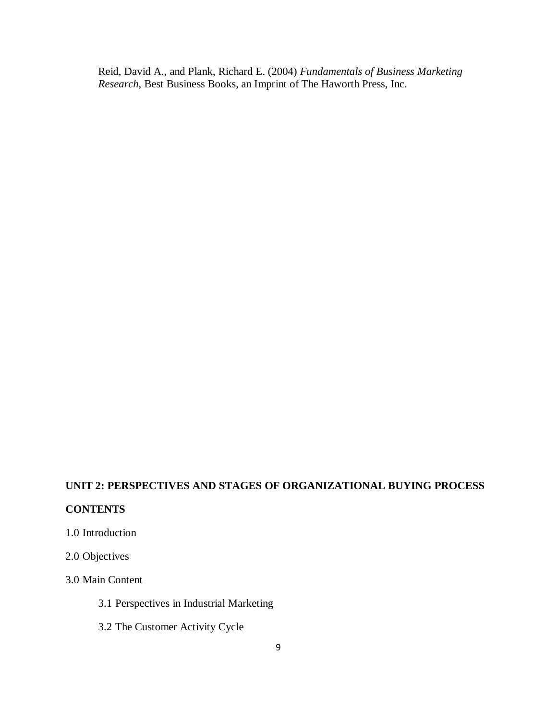Reid, David A., and Plank, Richard E. (2004) *Fundamentals of Business Marketing Research*, Best Business Books, an Imprint of The Haworth Press, Inc.

# **UNIT 2: PERSPECTIVES AND STAGES OF ORGANIZATIONAL BUYING PROCESS**

#### **CONTENTS**

# 1.0 Introduction

# 2.0 Objectives

### 3.0 Main Content

- 3.1 Perspectives in Industrial Marketing
- 3.2 The Customer Activity Cycle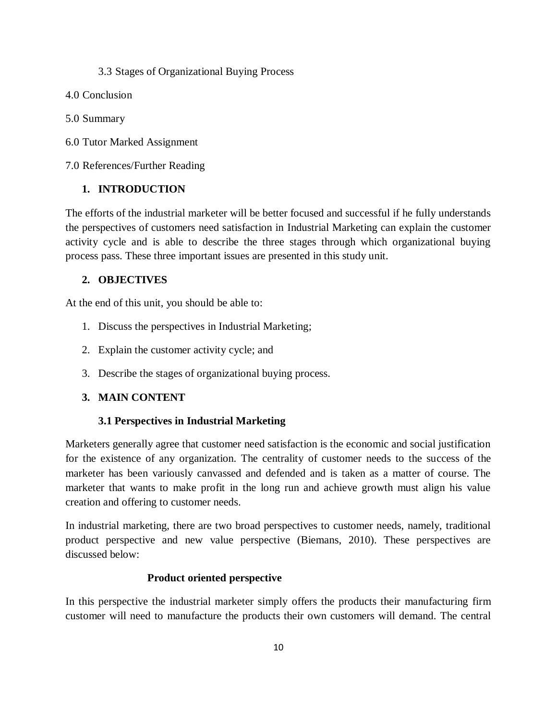### 3.3 Stages of Organizational Buying Process

- 4.0 Conclusion
- 5.0 Summary
- 6.0 Tutor Marked Assignment

7.0 References/Further Reading

# **1. INTRODUCTION**

The efforts of the industrial marketer will be better focused and successful if he fully understands the perspectives of customers need satisfaction in Industrial Marketing can explain the customer activity cycle and is able to describe the three stages through which organizational buying process pass. These three important issues are presented in this study unit.

# **2. OBJECTIVES**

At the end of this unit, you should be able to:

- 1. Discuss the perspectives in Industrial Marketing;
- 2. Explain the customer activity cycle; and
- 3. Describe the stages of organizational buying process.

# **3. MAIN CONTENT**

# **3.1 Perspectives in Industrial Marketing**

Marketers generally agree that customer need satisfaction is the economic and social justification for the existence of any organization. The centrality of customer needs to the success of the marketer has been variously canvassed and defended and is taken as a matter of course. The marketer that wants to make profit in the long run and achieve growth must align his value creation and offering to customer needs.

In industrial marketing, there are two broad perspectives to customer needs, namely, traditional product perspective and new value perspective (Biemans, 2010). These perspectives are discussed below:

# **Product oriented perspective**

In this perspective the industrial marketer simply offers the products their manufacturing firm customer will need to manufacture the products their own customers will demand. The central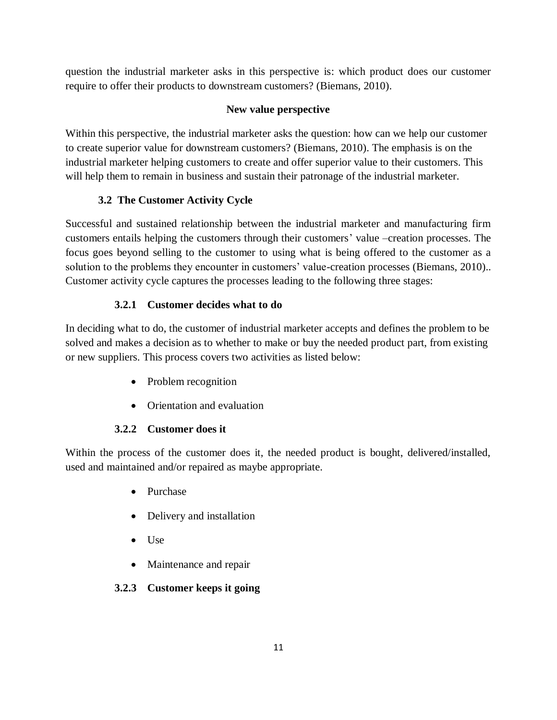question the industrial marketer asks in this perspective is: which product does our customer require to offer their products to downstream customers? (Biemans, 2010).

# **New value perspective**

Within this perspective, the industrial marketer asks the question: how can we help our customer to create superior value for downstream customers? (Biemans, 2010). The emphasis is on the industrial marketer helping customers to create and offer superior value to their customers. This will help them to remain in business and sustain their patronage of the industrial marketer.

# **3.2 The Customer Activity Cycle**

Successful and sustained relationship between the industrial marketer and manufacturing firm customers entails helping the customers through their customers' value –creation processes. The focus goes beyond selling to the customer to using what is being offered to the customer as a solution to the problems they encounter in customers' value-creation processes (Biemans, 2010).. Customer activity cycle captures the processes leading to the following three stages:

# **3.2.1 Customer decides what to do**

In deciding what to do, the customer of industrial marketer accepts and defines the problem to be solved and makes a decision as to whether to make or buy the needed product part, from existing or new suppliers. This process covers two activities as listed below:

- Problem recognition
- Orientation and evaluation

# **3.2.2 Customer does it**

Within the process of the customer does it, the needed product is bought, delivered/installed, used and maintained and/or repaired as maybe appropriate.

- Purchase
- Delivery and installation
- $\bullet$  Use
- Maintenance and repair

# **3.2.3 Customer keeps it going**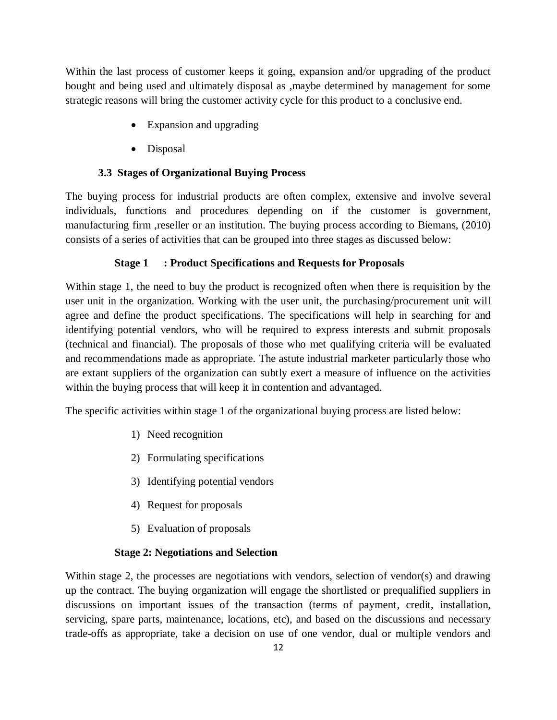Within the last process of customer keeps it going, expansion and/or upgrading of the product bought and being used and ultimately disposal as ,maybe determined by management for some strategic reasons will bring the customer activity cycle for this product to a conclusive end.

- Expansion and upgrading
- Disposal

# **3.3 Stages of Organizational Buying Process**

The buying process for industrial products are often complex, extensive and involve several individuals, functions and procedures depending on if the customer is government, manufacturing firm , reseller or an institution. The buying process according to Biemans, (2010) consists of a series of activities that can be grouped into three stages as discussed below:

### **Stage 1 : Product Specifications and Requests for Proposals**

Within stage 1, the need to buy the product is recognized often when there is requisition by the user unit in the organization. Working with the user unit, the purchasing/procurement unit will agree and define the product specifications. The specifications will help in searching for and identifying potential vendors, who will be required to express interests and submit proposals (technical and financial). The proposals of those who met qualifying criteria will be evaluated and recommendations made as appropriate. The astute industrial marketer particularly those who are extant suppliers of the organization can subtly exert a measure of influence on the activities within the buying process that will keep it in contention and advantaged.

The specific activities within stage 1 of the organizational buying process are listed below:

- 1) Need recognition
- 2) Formulating specifications
- 3) Identifying potential vendors
- 4) Request for proposals
- 5) Evaluation of proposals

# **Stage 2: Negotiations and Selection**

Within stage 2, the processes are negotiations with vendors, selection of vendor(s) and drawing up the contract. The buying organization will engage the shortlisted or prequalified suppliers in discussions on important issues of the transaction (terms of payment, credit, installation, servicing, spare parts, maintenance, locations, etc), and based on the discussions and necessary trade-offs as appropriate, take a decision on use of one vendor, dual or multiple vendors and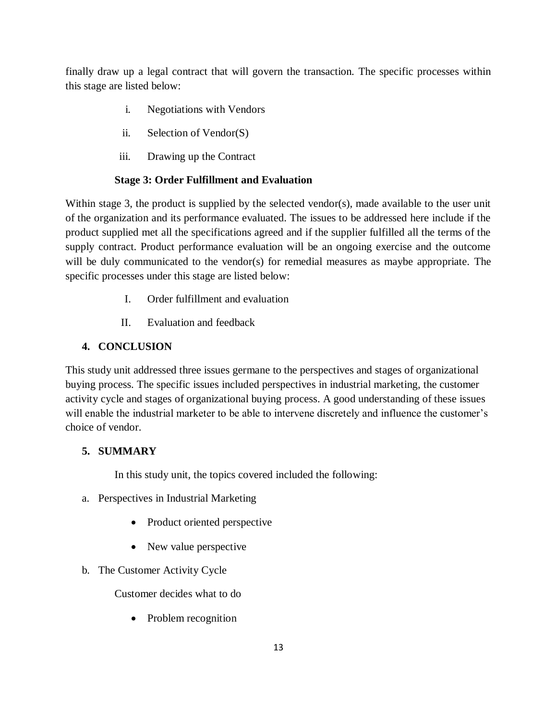finally draw up a legal contract that will govern the transaction. The specific processes within this stage are listed below:

- i. Negotiations with Vendors
- ii. Selection of Vendor(S)
- iii. Drawing up the Contract

# **Stage 3: Order Fulfillment and Evaluation**

Within stage 3, the product is supplied by the selected vendor(s), made available to the user unit of the organization and its performance evaluated. The issues to be addressed here include if the product supplied met all the specifications agreed and if the supplier fulfilled all the terms of the supply contract. Product performance evaluation will be an ongoing exercise and the outcome will be duly communicated to the vendor(s) for remedial measures as maybe appropriate. The specific processes under this stage are listed below:

- I. Order fulfillment and evaluation
- II. Evaluation and feedback

# **4. CONCLUSION**

This study unit addressed three issues germane to the perspectives and stages of organizational buying process. The specific issues included perspectives in industrial marketing, the customer activity cycle and stages of organizational buying process. A good understanding of these issues will enable the industrial marketer to be able to intervene discretely and influence the customer's choice of vendor.

# **5. SUMMARY**

In this study unit, the topics covered included the following:

- a. Perspectives in Industrial Marketing
	- Product oriented perspective
	- New value perspective
- b. The Customer Activity Cycle

Customer decides what to do

• Problem recognition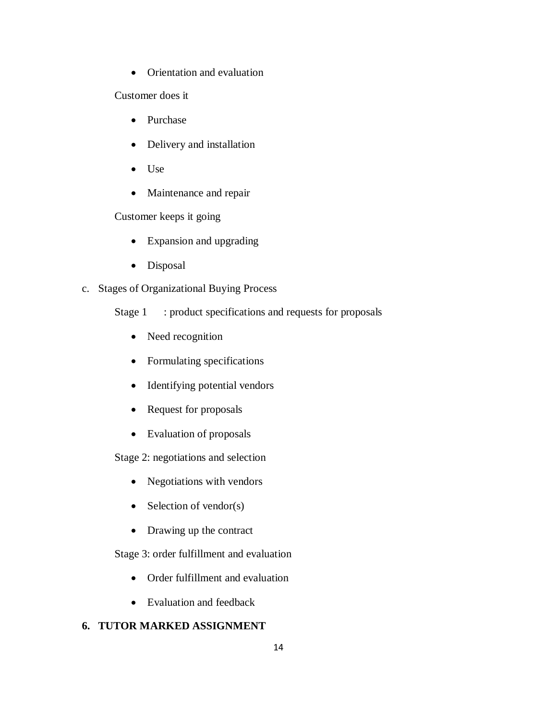• Orientation and evaluation

Customer does it

- Purchase
- Delivery and installation
- Use
- Maintenance and repair

Customer keeps it going

- Expansion and upgrading
- Disposal

# c. Stages of Organizational Buying Process

- Stage 1 : product specifications and requests for proposals
	- Need recognition
	- Formulating specifications
	- Identifying potential vendors
	- Request for proposals
	- Evaluation of proposals

Stage 2: negotiations and selection

- Negotiations with vendors
- $\bullet$  Selection of vendor(s)
- Drawing up the contract

Stage 3: order fulfillment and evaluation

- Order fulfillment and evaluation
- Evaluation and feedback

# **6. TUTOR MARKED ASSIGNMENT**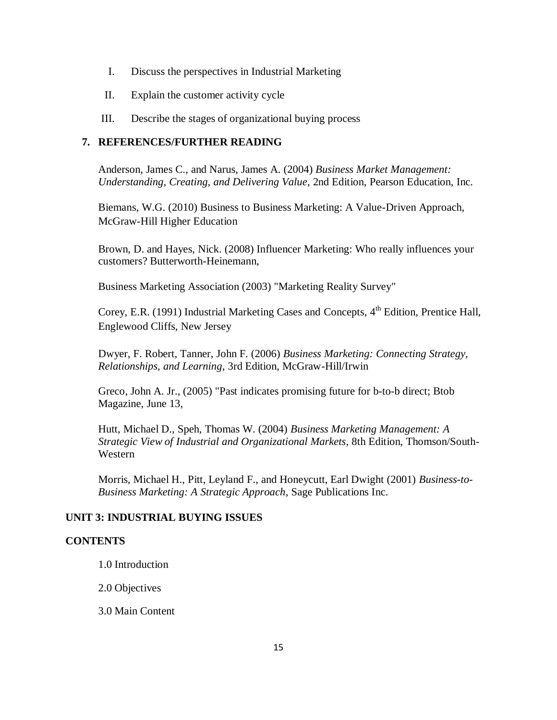- I. Discuss the perspectives in Industrial Marketing
- II. Explain the customer activity cycle
- III. Describe the stages of organizational buying process

### **7. REFERENCES/FURTHER READING**

Anderson, James C., and Narus, James A. (2004) *Business Market Management: Understanding, Creating, and Delivering Value*, 2nd Edition, [Pearson Education,](http://en.wikipedia.org/wiki/Pearson_Education) Inc.

Biemans, W.G. (2010) Business to Business Marketing: A Value-Driven Approach, McGraw-Hill Higher Education

Brown, D. and Hayes, Nick. (2008) Influencer Marketing: Who really influences your customers? Butterworth-Heinemann,

Business Marketing Association (2003) "Marketing Reality Survey"

Corey, E.R. (1991) Industrial Marketing Cases and Concepts, 4<sup>th</sup> Edition, Prentice Hall, Englewood Cliffs, New Jersey

Dwyer, F. Robert, Tanner, John F. (2006) *Business Marketing: Connecting Strategy, Relationships, and Learning*, 3rd Edition, McGraw-Hill/Irwin

Greco, John A. Jr., (2005) "Past indicates promising future for b-to-b direct; [Btob](http://en.wikipedia.org/w/index.php?title=BtoB_Magazine&action=edit&redlink=1)  [Magazine,](http://en.wikipedia.org/w/index.php?title=BtoB_Magazine&action=edit&redlink=1) June 13,

Hutt, Michael D., Speh, Thomas W. (2004) *Business Marketing Management: A Strategic View of Industrial and Organizational Markets*, 8th Edition, Thomson/South-Western

Morris, Michael H., Pitt, Leyland F., and Honeycutt, Earl Dwight (2001) *Business-to-Business Marketing: A Strategic Approach*, Sage Publications Inc.

# **UNIT 3: INDUSTRIAL BUYING ISSUES**

### **CONTENTS**

1.0 Introduction

2.0 Objectives

3.0 Main Content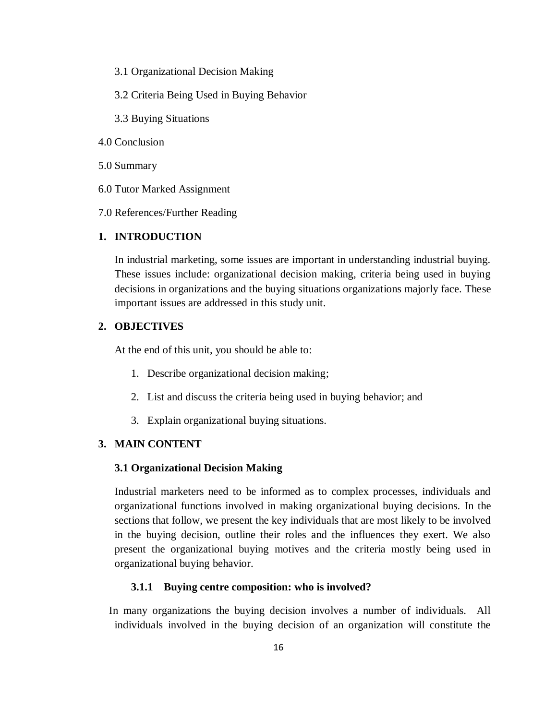- 3.1 Organizational Decision Making
- 3.2 Criteria Being Used in Buying Behavior
- 3.3 Buying Situations
- 4.0 Conclusion
- 5.0 Summary
- 6.0 Tutor Marked Assignment
- 7.0 References/Further Reading

### **1. INTRODUCTION**

In industrial marketing, some issues are important in understanding industrial buying. These issues include: organizational decision making, criteria being used in buying decisions in organizations and the buying situations organizations majorly face. These important issues are addressed in this study unit.

#### **2. OBJECTIVES**

At the end of this unit, you should be able to:

- 1. Describe organizational decision making;
- 2. List and discuss the criteria being used in buying behavior; and
- 3. Explain organizational buying situations.

### **3. MAIN CONTENT**

#### **3.1 Organizational Decision Making**

Industrial marketers need to be informed as to complex processes, individuals and organizational functions involved in making organizational buying decisions. In the sections that follow, we present the key individuals that are most likely to be involved in the buying decision, outline their roles and the influences they exert. We also present the organizational buying motives and the criteria mostly being used in organizational buying behavior.

#### **3.1.1 Buying centre composition: who is involved?**

 In many organizations the buying decision involves a number of individuals. All individuals involved in the buying decision of an organization will constitute the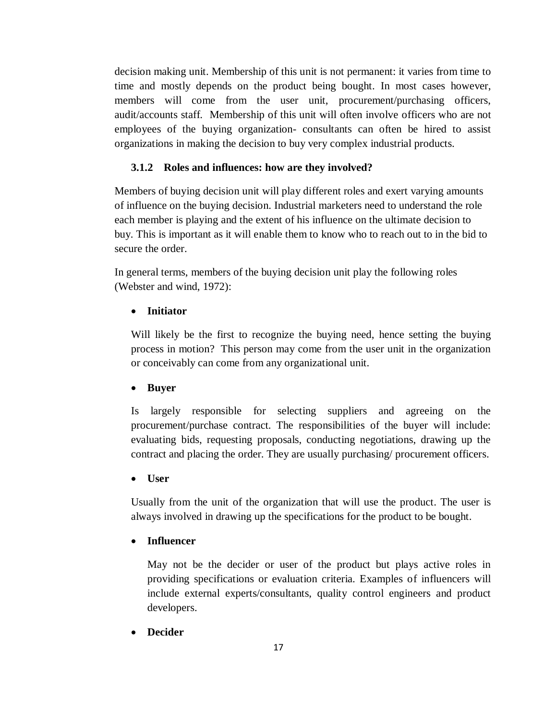decision making unit. Membership of this unit is not permanent: it varies from time to time and mostly depends on the product being bought. In most cases however, members will come from the user unit, procurement/purchasing officers, audit/accounts staff. Membership of this unit will often involve officers who are not employees of the buying organization- consultants can often be hired to assist organizations in making the decision to buy very complex industrial products.

# **3.1.2 Roles and influences: how are they involved?**

Members of buying decision unit will play different roles and exert varying amounts of influence on the buying decision. Industrial marketers need to understand the role each member is playing and the extent of his influence on the ultimate decision to buy. This is important as it will enable them to know who to reach out to in the bid to secure the order.

In general terms, members of the buying decision unit play the following roles (Webster and wind, 1972):

### **Initiator**

Will likely be the first to recognize the buying need, hence setting the buying process in motion? This person may come from the user unit in the organization or conceivably can come from any organizational unit.

# **Buyer**

Is largely responsible for selecting suppliers and agreeing on the procurement/purchase contract. The responsibilities of the buyer will include: evaluating bids, requesting proposals, conducting negotiations, drawing up the contract and placing the order. They are usually purchasing/ procurement officers.

### **User**

Usually from the unit of the organization that will use the product. The user is always involved in drawing up the specifications for the product to be bought.

### **Influencer**

May not be the decider or user of the product but plays active roles in providing specifications or evaluation criteria. Examples of influencers will include external experts/consultants, quality control engineers and product developers.

### **Decider**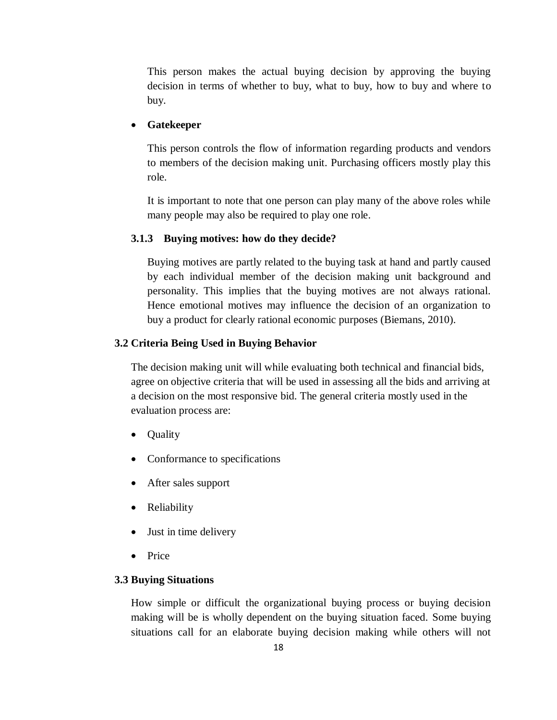This person makes the actual buying decision by approving the buying decision in terms of whether to buy, what to buy, how to buy and where to buy.

### **Gatekeeper**

This person controls the flow of information regarding products and vendors to members of the decision making unit. Purchasing officers mostly play this role.

It is important to note that one person can play many of the above roles while many people may also be required to play one role.

#### **3.1.3 Buying motives: how do they decide?**

Buying motives are partly related to the buying task at hand and partly caused by each individual member of the decision making unit background and personality. This implies that the buying motives are not always rational. Hence emotional motives may influence the decision of an organization to buy a product for clearly rational economic purposes (Biemans, 2010).

#### **3.2 Criteria Being Used in Buying Behavior**

The decision making unit will while evaluating both technical and financial bids, agree on objective criteria that will be used in assessing all the bids and arriving at a decision on the most responsive bid. The general criteria mostly used in the evaluation process are:

- **Quality**
- Conformance to specifications
- After sales support
- Reliability
- Just in time delivery
- Price

### **3.3 Buying Situations**

How simple or difficult the organizational buying process or buying decision making will be is wholly dependent on the buying situation faced. Some buying situations call for an elaborate buying decision making while others will not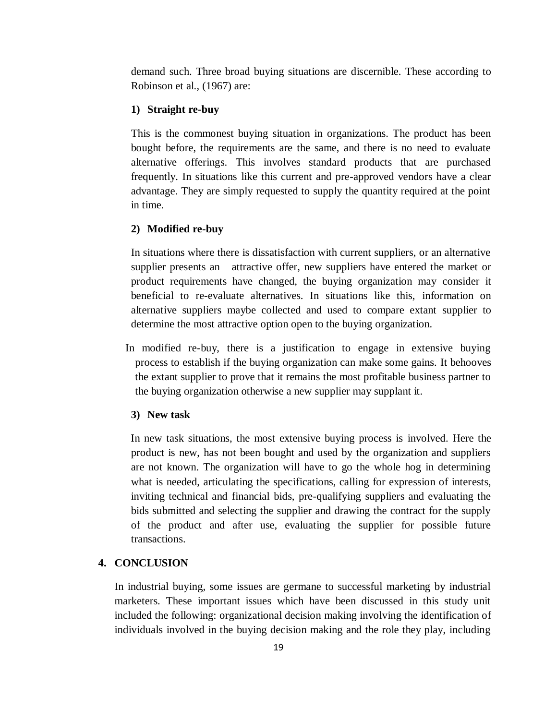demand such. Three broad buying situations are discernible. These according to Robinson et al., (1967) are:

### **1) Straight re-buy**

This is the commonest buying situation in organizations. The product has been bought before, the requirements are the same, and there is no need to evaluate alternative offerings. This involves standard products that are purchased frequently. In situations like this current and pre-approved vendors have a clear advantage. They are simply requested to supply the quantity required at the point in time.

#### **2) Modified re-buy**

In situations where there is dissatisfaction with current suppliers, or an alternative supplier presents an attractive offer, new suppliers have entered the market or product requirements have changed, the buying organization may consider it beneficial to re-evaluate alternatives. In situations like this, information on alternative suppliers maybe collected and used to compare extant supplier to determine the most attractive option open to the buying organization.

 In modified re-buy, there is a justification to engage in extensive buying process to establish if the buying organization can make some gains. It behooves the extant supplier to prove that it remains the most profitable business partner to the buying organization otherwise a new supplier may supplant it.

#### **3) New task**

 In new task situations, the most extensive buying process is involved. Here the product is new, has not been bought and used by the organization and suppliers are not known. The organization will have to go the whole hog in determining what is needed, articulating the specifications, calling for expression of interests, inviting technical and financial bids, pre-qualifying suppliers and evaluating the bids submitted and selecting the supplier and drawing the contract for the supply of the product and after use, evaluating the supplier for possible future transactions.

### **4. CONCLUSION**

In industrial buying, some issues are germane to successful marketing by industrial marketers. These important issues which have been discussed in this study unit included the following: organizational decision making involving the identification of individuals involved in the buying decision making and the role they play, including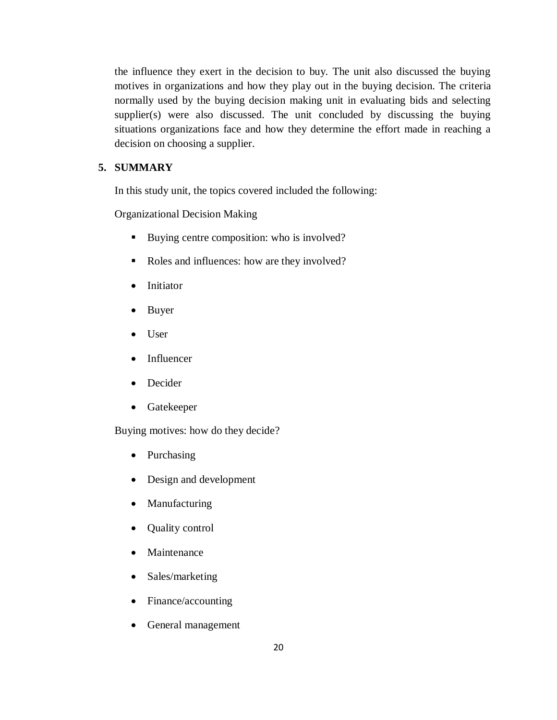the influence they exert in the decision to buy. The unit also discussed the buying motives in organizations and how they play out in the buying decision. The criteria normally used by the buying decision making unit in evaluating bids and selecting supplier(s) were also discussed. The unit concluded by discussing the buying situations organizations face and how they determine the effort made in reaching a decision on choosing a supplier.

# **5. SUMMARY**

In this study unit, the topics covered included the following:

Organizational Decision Making

- Buying centre composition: who is involved?
- Roles and influences: how are they involved?
- Initiator
- Buyer
- User
- Influencer
- Decider
- Gatekeeper

Buying motives: how do they decide?

- Purchasing
- Design and development
- Manufacturing
- Quality control
- Maintenance
- Sales/marketing
- Finance/accounting
- General management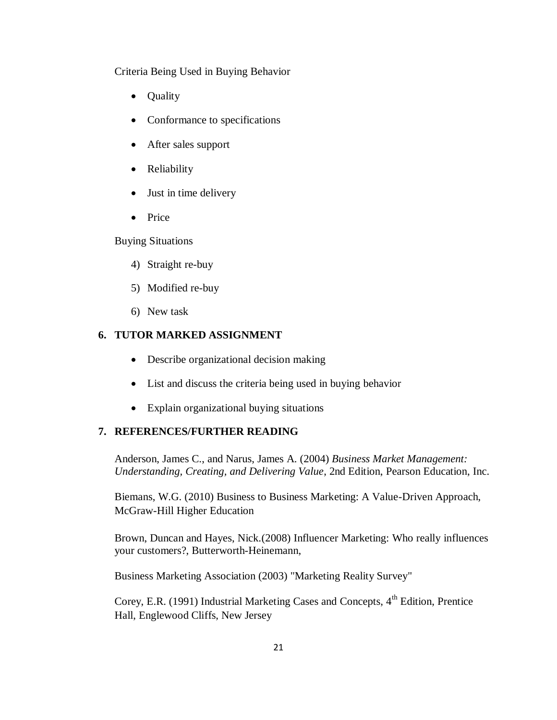Criteria Being Used in Buying Behavior

- **Quality**
- Conformance to specifications
- After sales support
- Reliability
- Just in time delivery
- Price

Buying Situations

- 4) Straight re-buy
- 5) Modified re-buy
- 6) New task

# **6. TUTOR MARKED ASSIGNMENT**

- Describe organizational decision making
- List and discuss the criteria being used in buying behavior
- Explain organizational buying situations

### **7. REFERENCES/FURTHER READING**

Anderson, James C., and Narus, James A. (2004) *Business Market Management: Understanding, Creating, and Delivering Value*, 2nd Edition, [Pearson Education,](http://en.wikipedia.org/wiki/Pearson_Education) Inc.

Biemans, W.G. (2010) Business to Business Marketing: A Value-Driven Approach, McGraw-Hill Higher Education

Brown, Duncan and Hayes, Nick.(2008) Influencer Marketing: Who really influences your customers?, Butterworth-Heinemann,

Business Marketing Association (2003) "Marketing Reality Survey"

Corey, E.R. (1991) Industrial Marketing Cases and Concepts,  $4<sup>th</sup>$  Edition, Prentice Hall, Englewood Cliffs, New Jersey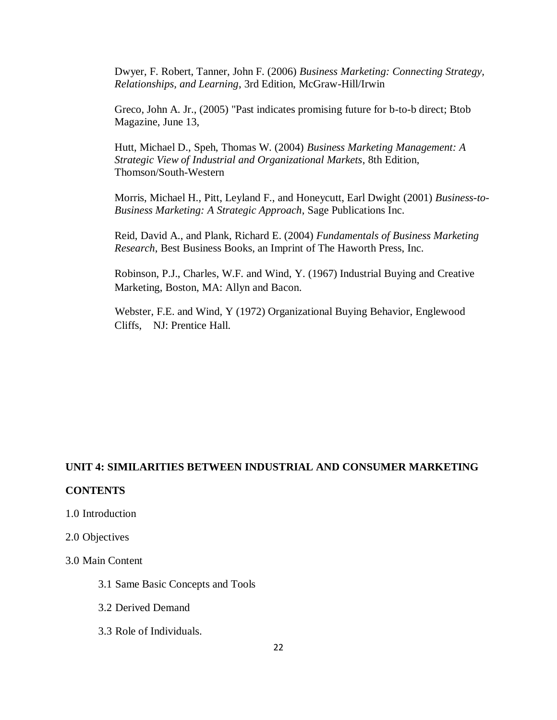Dwyer, F. Robert, Tanner, John F. (2006) *Business Marketing: Connecting Strategy, Relationships, and Learning*, 3rd Edition, McGraw-Hill/Irwin

Greco, John A. Jr., (2005) "Past indicates promising future for b-to-b direct; [Btob](http://en.wikipedia.org/w/index.php?title=BtoB_Magazine&action=edit&redlink=1)  [Magazine,](http://en.wikipedia.org/w/index.php?title=BtoB_Magazine&action=edit&redlink=1) June 13,

Hutt, Michael D., Speh, Thomas W. (2004) *Business Marketing Management: A Strategic View of Industrial and Organizational Markets*, 8th Edition, Thomson/South-Western

Morris, Michael H., Pitt, Leyland F., and Honeycutt, Earl Dwight (2001) *Business-to-Business Marketing: A Strategic Approach*, Sage Publications Inc.

Reid, David A., and Plank, Richard E. (2004) *Fundamentals of Business Marketing Research*, Best Business Books, an Imprint of The Haworth Press, Inc.

Robinson, P.J., Charles, W.F. and Wind, Y. (1967) Industrial Buying and Creative Marketing, Boston, MA: Allyn and Bacon.

 Webster, F.E. and Wind, Y (1972) Organizational Buying Behavior, Englewood Cliffs, NJ: Prentice Hall.

### **UNIT 4: SIMILARITIES BETWEEN INDUSTRIAL AND CONSUMER MARKETING**

### **CONTENTS**

1.0 Introduction

2.0 Objectives

3.0 Main Content

- 3.1 Same Basic Concepts and Tools
- 3.2 Derived Demand
- 3.3 Role of Individuals.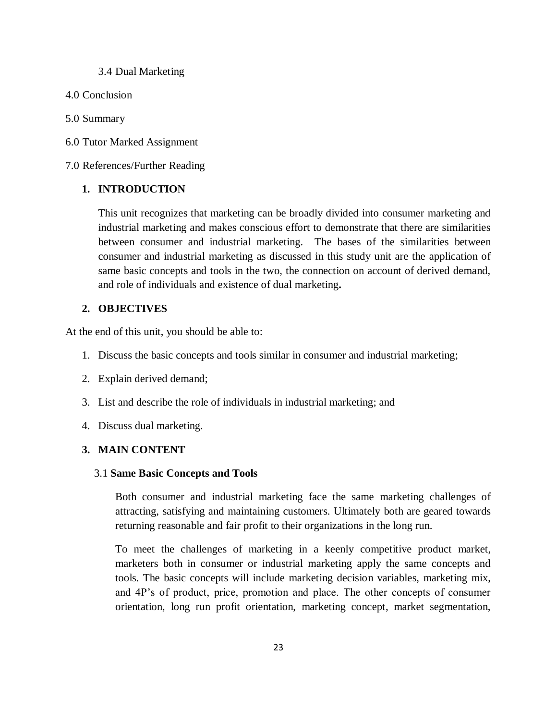#### 3.4 Dual Marketing

- 4.0 Conclusion
- 5.0 Summary
- 6.0 Tutor Marked Assignment

7.0 References/Further Reading

### **1. INTRODUCTION**

This unit recognizes that marketing can be broadly divided into consumer marketing and industrial marketing and makes conscious effort to demonstrate that there are similarities between consumer and industrial marketing. The bases of the similarities between consumer and industrial marketing as discussed in this study unit are the application of same basic concepts and tools in the two, the connection on account of derived demand, and role of individuals and existence of dual marketing**.**

### **2. OBJECTIVES**

At the end of this unit, you should be able to:

- 1. Discuss the basic concepts and tools similar in consumer and industrial marketing;
- 2. Explain derived demand;
- 3. List and describe the role of individuals in industrial marketing; and
- 4. Discuss dual marketing.

# **3. MAIN CONTENT**

#### 3.1 **Same Basic Concepts and Tools**

Both consumer and industrial marketing face the same marketing challenges of attracting, satisfying and maintaining customers. Ultimately both are geared towards returning reasonable and fair profit to their organizations in the long run.

To meet the challenges of marketing in a keenly competitive product market, marketers both in consumer or industrial marketing apply the same concepts and tools. The basic concepts will include marketing decision variables, marketing mix, and 4P's of product, price, promotion and place. The other concepts of consumer orientation, long run profit orientation, marketing concept, market segmentation,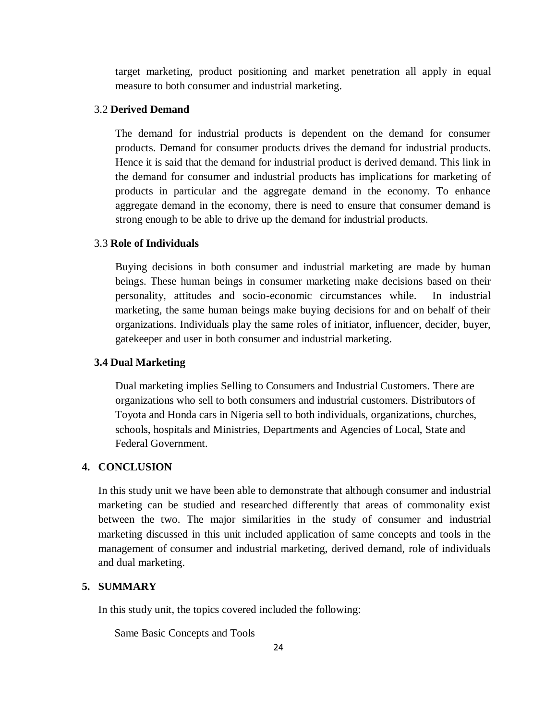target marketing, product positioning and market penetration all apply in equal measure to both consumer and industrial marketing.

# 3.2 **Derived Demand**

The demand for industrial products is dependent on the demand for consumer products. Demand for consumer products drives the demand for industrial products. Hence it is said that the demand for industrial product is derived demand. This link in the demand for consumer and industrial products has implications for marketing of products in particular and the aggregate demand in the economy. To enhance aggregate demand in the economy, there is need to ensure that consumer demand is strong enough to be able to drive up the demand for industrial products.

#### 3.3 **Role of Individuals**

Buying decisions in both consumer and industrial marketing are made by human beings. These human beings in consumer marketing make decisions based on their personality, attitudes and socio-economic circumstances while. In industrial marketing, the same human beings make buying decisions for and on behalf of their organizations. Individuals play the same roles of initiator, influencer, decider, buyer, gatekeeper and user in both consumer and industrial marketing.

#### **3.4 Dual Marketing**

Dual marketing implies Selling to Consumers and Industrial Customers. There are organizations who sell to both consumers and industrial customers. Distributors of Toyota and Honda cars in Nigeria sell to both individuals, organizations, churches, schools, hospitals and Ministries, Departments and Agencies of Local, State and Federal Government.

### **4. CONCLUSION**

In this study unit we have been able to demonstrate that although consumer and industrial marketing can be studied and researched differently that areas of commonality exist between the two. The major similarities in the study of consumer and industrial marketing discussed in this unit included application of same concepts and tools in the management of consumer and industrial marketing, derived demand, role of individuals and dual marketing.

### **5. SUMMARY**

In this study unit, the topics covered included the following:

Same Basic Concepts and Tools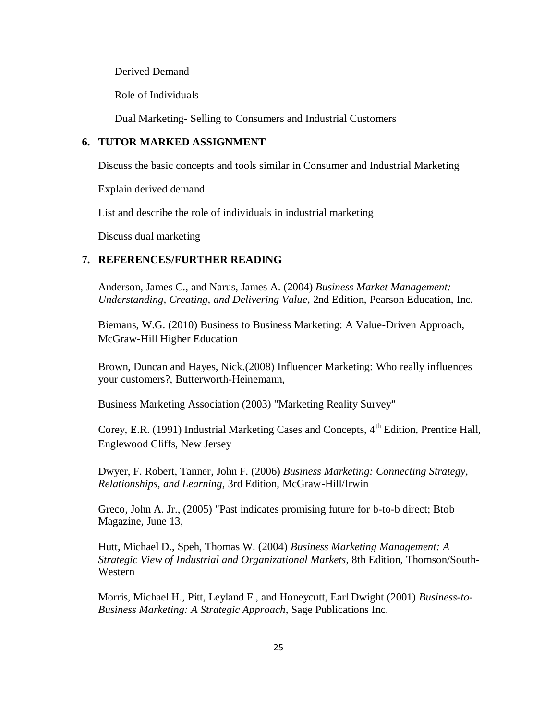Derived Demand

Role of Individuals

Dual Marketing- Selling to Consumers and Industrial Customers

### **6. TUTOR MARKED ASSIGNMENT**

Discuss the basic concepts and tools similar in Consumer and Industrial Marketing

Explain derived demand

List and describe the role of individuals in industrial marketing

Discuss dual marketing

### **7. REFERENCES/FURTHER READING**

Anderson, James C., and Narus, James A. (2004) *Business Market Management: Understanding, Creating, and Delivering Value*, 2nd Edition, [Pearson Education,](http://en.wikipedia.org/wiki/Pearson_Education) Inc.

Biemans, W.G. (2010) Business to Business Marketing: A Value-Driven Approach, McGraw-Hill Higher Education

Brown, Duncan and Hayes, Nick.(2008) Influencer Marketing: Who really influences your customers?, Butterworth-Heinemann,

Business Marketing Association (2003) "Marketing Reality Survey"

Corey, E.R. (1991) Industrial Marketing Cases and Concepts, 4<sup>th</sup> Edition, Prentice Hall. Englewood Cliffs, New Jersey

Dwyer, F. Robert, Tanner, John F. (2006) *Business Marketing: Connecting Strategy, Relationships, and Learning*, 3rd Edition, McGraw-Hill/Irwin

Greco, John A. Jr., (2005) "Past indicates promising future for b-to-b direct; [Btob](http://en.wikipedia.org/w/index.php?title=BtoB_Magazine&action=edit&redlink=1)  [Magazine,](http://en.wikipedia.org/w/index.php?title=BtoB_Magazine&action=edit&redlink=1) June 13,

Hutt, Michael D., Speh, Thomas W. (2004) *Business Marketing Management: A Strategic View of Industrial and Organizational Markets*, 8th Edition, Thomson/South-Western

Morris, Michael H., Pitt, Leyland F., and Honeycutt, Earl Dwight (2001) *Business-to-Business Marketing: A Strategic Approach*, Sage Publications Inc.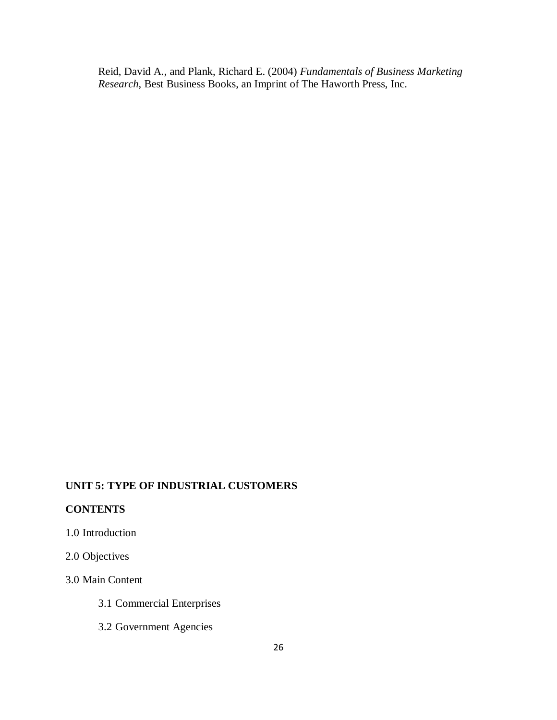Reid, David A., and Plank, Richard E. (2004) *Fundamentals of Business Marketing Research*, Best Business Books, an Imprint of The Haworth Press, Inc.

## **UNIT 5: TYPE OF INDUSTRIAL CUSTOMERS**

### **CONTENTS**

# 1.0 Introduction

# 2.0 Objectives

### 3.0 Main Content

- 3.1 Commercial Enterprises
- 3.2 Government Agencies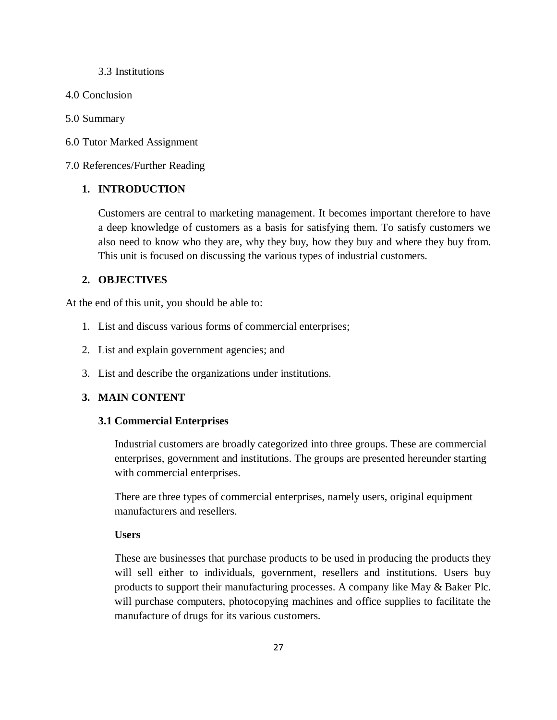#### 3.3 Institutions

4.0 Conclusion

#### 5.0 Summary

6.0 Tutor Marked Assignment

7.0 References/Further Reading

### **1. INTRODUCTION**

Customers are central to marketing management. It becomes important therefore to have a deep knowledge of customers as a basis for satisfying them. To satisfy customers we also need to know who they are, why they buy, how they buy and where they buy from. This unit is focused on discussing the various types of industrial customers.

### **2. OBJECTIVES**

At the end of this unit, you should be able to:

- 1. List and discuss various forms of commercial enterprises;
- 2. List and explain government agencies; and
- 3. List and describe the organizations under institutions.

### **3. MAIN CONTENT**

#### **3.1 Commercial Enterprises**

Industrial customers are broadly categorized into three groups. These are commercial enterprises, government and institutions. The groups are presented hereunder starting with commercial enterprises.

There are three types of commercial enterprises, namely users, original equipment manufacturers and resellers.

# **Users**

These are businesses that purchase products to be used in producing the products they will sell either to individuals, government, resellers and institutions. Users buy products to support their manufacturing processes. A company like May & Baker Plc. will purchase computers, photocopying machines and office supplies to facilitate the manufacture of drugs for its various customers.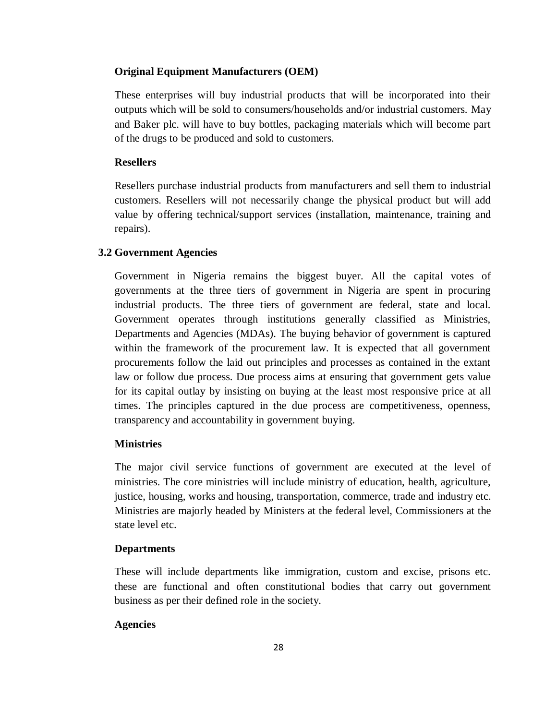#### **Original Equipment Manufacturers (OEM)**

These enterprises will buy industrial products that will be incorporated into their outputs which will be sold to consumers/households and/or industrial customers. May and Baker plc. will have to buy bottles, packaging materials which will become part of the drugs to be produced and sold to customers.

### **Resellers**

Resellers purchase industrial products from manufacturers and sell them to industrial customers. Resellers will not necessarily change the physical product but will add value by offering technical/support services (installation, maintenance, training and repairs).

#### **3.2 Government Agencies**

Government in Nigeria remains the biggest buyer. All the capital votes of governments at the three tiers of government in Nigeria are spent in procuring industrial products. The three tiers of government are federal, state and local. Government operates through institutions generally classified as Ministries, Departments and Agencies (MDAs). The buying behavior of government is captured within the framework of the procurement law. It is expected that all government procurements follow the laid out principles and processes as contained in the extant law or follow due process. Due process aims at ensuring that government gets value for its capital outlay by insisting on buying at the least most responsive price at all times. The principles captured in the due process are competitiveness, openness, transparency and accountability in government buying.

#### **Ministries**

The major civil service functions of government are executed at the level of ministries. The core ministries will include ministry of education, health, agriculture, justice, housing, works and housing, transportation, commerce, trade and industry etc. Ministries are majorly headed by Ministers at the federal level, Commissioners at the state level etc.

#### **Departments**

These will include departments like immigration, custom and excise, prisons etc. these are functional and often constitutional bodies that carry out government business as per their defined role in the society.

#### **Agencies**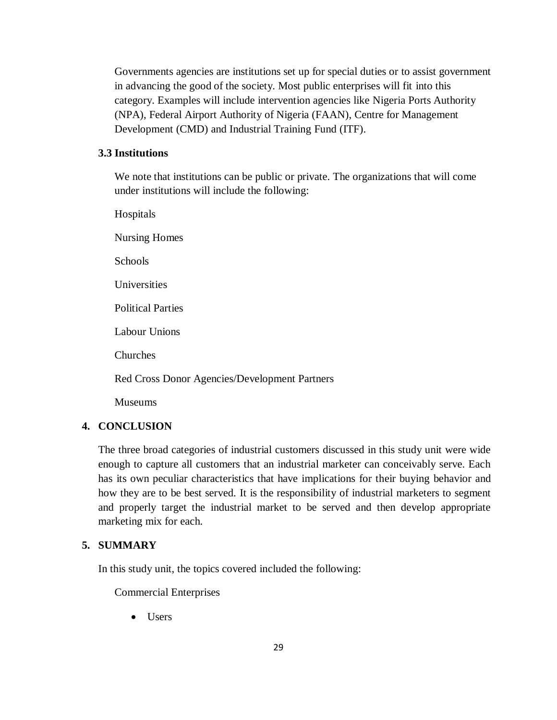Governments agencies are institutions set up for special duties or to assist government in advancing the good of the society. Most public enterprises will fit into this category. Examples will include intervention agencies like Nigeria Ports Authority (NPA), Federal Airport Authority of Nigeria (FAAN), Centre for Management Development (CMD) and Industrial Training Fund (ITF).

### **3.3 Institutions**

We note that institutions can be public or private. The organizations that will come under institutions will include the following:

Hospitals Nursing Homes **Schools** Universities Political Parties Labour Unions Churches Red Cross Donor Agencies/Development Partners Museums

# **4. CONCLUSION**

The three broad categories of industrial customers discussed in this study unit were wide enough to capture all customers that an industrial marketer can conceivably serve. Each has its own peculiar characteristics that have implications for their buying behavior and how they are to be best served. It is the responsibility of industrial marketers to segment and properly target the industrial market to be served and then develop appropriate marketing mix for each.

# **5. SUMMARY**

In this study unit, the topics covered included the following:

Commercial Enterprises

• Users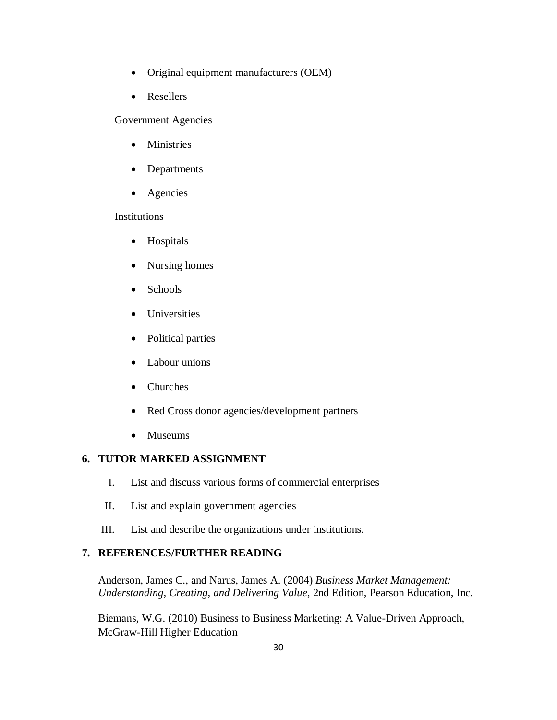- Original equipment manufacturers (OEM)
- Resellers

Government Agencies

- **•** Ministries
- Departments
- Agencies

# **Institutions**

- Hospitals
- Nursing homes
- Schools
- Universities
- Political parties
- Labour unions
- Churches
- Red Cross donor agencies/development partners
- Museums

# **6. TUTOR MARKED ASSIGNMENT**

- I. List and discuss various forms of commercial enterprises
- II. List and explain government agencies
- III. List and describe the organizations under institutions.

# **7. REFERENCES/FURTHER READING**

Anderson, James C., and Narus, James A. (2004) *Business Market Management: Understanding, Creating, and Delivering Value*, 2nd Edition, [Pearson Education,](http://en.wikipedia.org/wiki/Pearson_Education) Inc.

Biemans, W.G. (2010) Business to Business Marketing: A Value-Driven Approach, McGraw-Hill Higher Education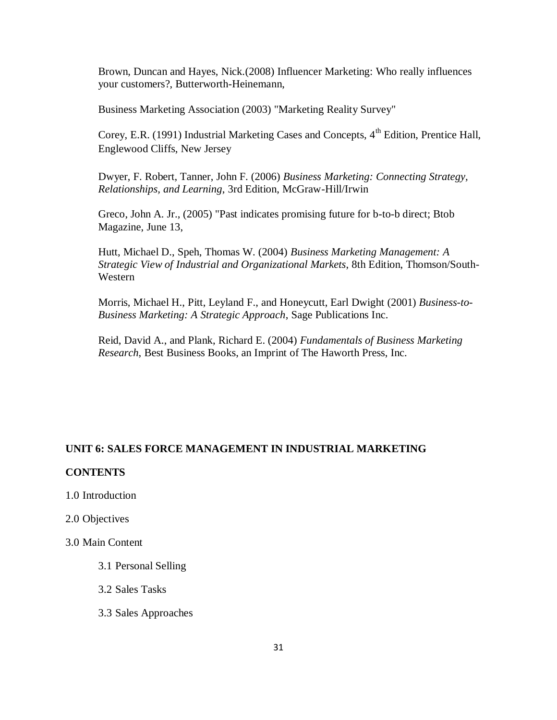Brown, Duncan and Hayes, Nick.(2008) Influencer Marketing: Who really influences your customers?, Butterworth-Heinemann,

Business Marketing Association (2003) "Marketing Reality Survey"

Corey, E.R. (1991) Industrial Marketing Cases and Concepts,  $4<sup>th</sup>$  Edition, Prentice Hall, Englewood Cliffs, New Jersey

Dwyer, F. Robert, Tanner, John F. (2006) *Business Marketing: Connecting Strategy, Relationships, and Learning*, 3rd Edition, McGraw-Hill/Irwin

Greco, John A. Jr., (2005) "Past indicates promising future for b-to-b direct; [Btob](http://en.wikipedia.org/w/index.php?title=BtoB_Magazine&action=edit&redlink=1)  [Magazine,](http://en.wikipedia.org/w/index.php?title=BtoB_Magazine&action=edit&redlink=1) June 13,

Hutt, Michael D., Speh, Thomas W. (2004) *Business Marketing Management: A Strategic View of Industrial and Organizational Markets*, 8th Edition, Thomson/South-Western

Morris, Michael H., Pitt, Leyland F., and Honeycutt, Earl Dwight (2001) *Business-to-Business Marketing: A Strategic Approach*, Sage Publications Inc.

Reid, David A., and Plank, Richard E. (2004) *Fundamentals of Business Marketing Research*, Best Business Books, an Imprint of The Haworth Press, Inc.

### **UNIT 6: SALES FORCE MANAGEMENT IN INDUSTRIAL MARKETING**

### **CONTENTS**

- 1.0 Introduction
- 2.0 Objectives
- 3.0 Main Content
	- 3.1 Personal Selling
	- 3.2 Sales Tasks
	- 3.3 Sales Approaches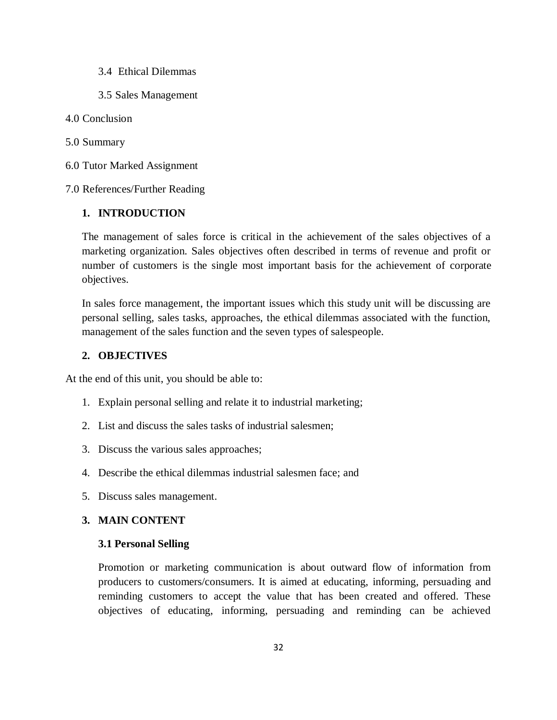- 3.4 Ethical Dilemmas
- 3.5 Sales Management
- 4.0 Conclusion
- 5.0 Summary
- 6.0 Tutor Marked Assignment
- 7.0 References/Further Reading

### **1. INTRODUCTION**

The management of sales force is critical in the achievement of the sales objectives of a marketing organization. Sales objectives often described in terms of revenue and profit or number of customers is the single most important basis for the achievement of corporate objectives.

In sales force management, the important issues which this study unit will be discussing are personal selling, sales tasks, approaches, the ethical dilemmas associated with the function, management of the sales function and the seven types of salespeople.

### **2. OBJECTIVES**

At the end of this unit, you should be able to:

- 1. Explain personal selling and relate it to industrial marketing;
- 2. List and discuss the sales tasks of industrial salesmen;
- 3. Discuss the various sales approaches;
- 4. Describe the ethical dilemmas industrial salesmen face; and
- 5. Discuss sales management.

# **3. MAIN CONTENT**

#### **3.1 Personal Selling**

Promotion or marketing communication is about outward flow of information from producers to customers/consumers. It is aimed at educating, informing, persuading and reminding customers to accept the value that has been created and offered. These objectives of educating, informing, persuading and reminding can be achieved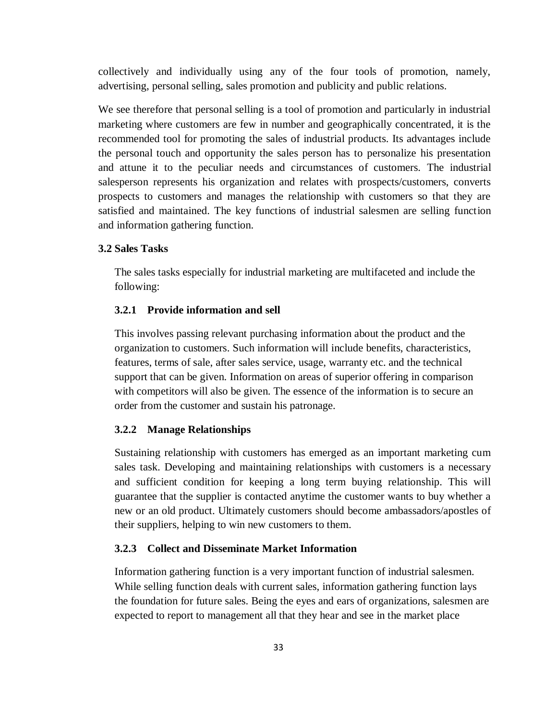collectively and individually using any of the four tools of promotion, namely, advertising, personal selling, sales promotion and publicity and public relations.

We see therefore that personal selling is a tool of promotion and particularly in industrial marketing where customers are few in number and geographically concentrated, it is the recommended tool for promoting the sales of industrial products. Its advantages include the personal touch and opportunity the sales person has to personalize his presentation and attune it to the peculiar needs and circumstances of customers. The industrial salesperson represents his organization and relates with prospects/customers, converts prospects to customers and manages the relationship with customers so that they are satisfied and maintained. The key functions of industrial salesmen are selling function and information gathering function.

#### **3.2 Sales Tasks**

The sales tasks especially for industrial marketing are multifaceted and include the following:

### **3.2.1 Provide information and sell**

This involves passing relevant purchasing information about the product and the organization to customers. Such information will include benefits, characteristics, features, terms of sale, after sales service, usage, warranty etc. and the technical support that can be given. Information on areas of superior offering in comparison with competitors will also be given. The essence of the information is to secure an order from the customer and sustain his patronage.

### **3.2.2 Manage Relationships**

Sustaining relationship with customers has emerged as an important marketing cum sales task. Developing and maintaining relationships with customers is a necessary and sufficient condition for keeping a long term buying relationship. This will guarantee that the supplier is contacted anytime the customer wants to buy whether a new or an old product. Ultimately customers should become ambassadors/apostles of their suppliers, helping to win new customers to them.

#### **3.2.3 Collect and Disseminate Market Information**

Information gathering function is a very important function of industrial salesmen. While selling function deals with current sales, information gathering function lays the foundation for future sales. Being the eyes and ears of organizations, salesmen are expected to report to management all that they hear and see in the market place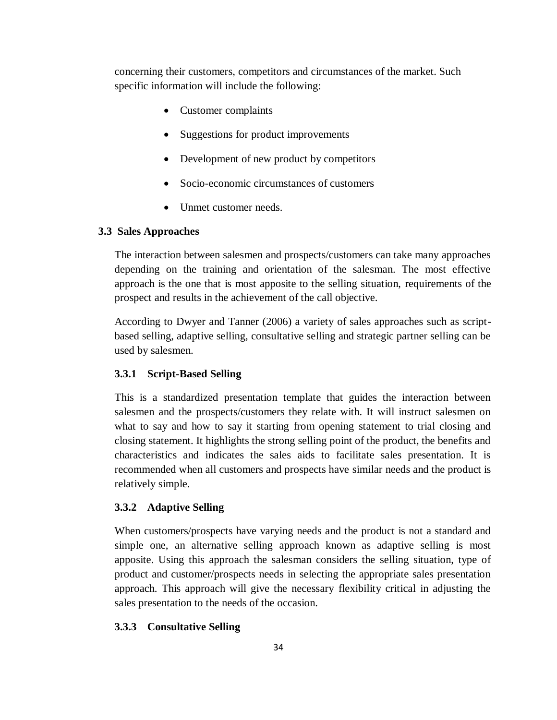concerning their customers, competitors and circumstances of the market. Such specific information will include the following:

- Customer complaints
- Suggestions for product improvements
- Development of new product by competitors
- Socio-economic circumstances of customers
- Unmet customer needs.

# **3.3 Sales Approaches**

The interaction between salesmen and prospects/customers can take many approaches depending on the training and orientation of the salesman. The most effective approach is the one that is most apposite to the selling situation, requirements of the prospect and results in the achievement of the call objective.

According to Dwyer and Tanner (2006) a variety of sales approaches such as scriptbased selling, adaptive selling, consultative selling and strategic partner selling can be used by salesmen.

### **3.3.1 Script-Based Selling**

This is a standardized presentation template that guides the interaction between salesmen and the prospects/customers they relate with. It will instruct salesmen on what to say and how to say it starting from opening statement to trial closing and closing statement. It highlights the strong selling point of the product, the benefits and characteristics and indicates the sales aids to facilitate sales presentation. It is recommended when all customers and prospects have similar needs and the product is relatively simple.

#### **3.3.2 Adaptive Selling**

When customers/prospects have varying needs and the product is not a standard and simple one, an alternative selling approach known as adaptive selling is most apposite. Using this approach the salesman considers the selling situation, type of product and customer/prospects needs in selecting the appropriate sales presentation approach. This approach will give the necessary flexibility critical in adjusting the sales presentation to the needs of the occasion.

#### **3.3.3 Consultative Selling**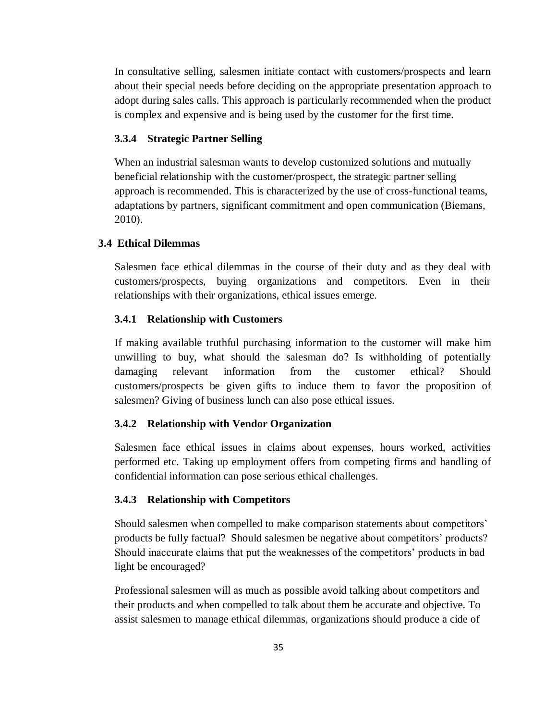In consultative selling, salesmen initiate contact with customers/prospects and learn about their special needs before deciding on the appropriate presentation approach to adopt during sales calls. This approach is particularly recommended when the product is complex and expensive and is being used by the customer for the first time.

### **3.3.4 Strategic Partner Selling**

When an industrial salesman wants to develop customized solutions and mutually beneficial relationship with the customer/prospect, the strategic partner selling approach is recommended. This is characterized by the use of cross-functional teams, adaptations by partners, significant commitment and open communication (Biemans, 2010).

### **3.4 Ethical Dilemmas**

Salesmen face ethical dilemmas in the course of their duty and as they deal with customers/prospects, buying organizations and competitors. Even in their relationships with their organizations, ethical issues emerge.

### **3.4.1 Relationship with Customers**

If making available truthful purchasing information to the customer will make him unwilling to buy, what should the salesman do? Is withholding of potentially damaging relevant information from the customer ethical? Should customers/prospects be given gifts to induce them to favor the proposition of salesmen? Giving of business lunch can also pose ethical issues.

### **3.4.2 Relationship with Vendor Organization**

Salesmen face ethical issues in claims about expenses, hours worked, activities performed etc. Taking up employment offers from competing firms and handling of confidential information can pose serious ethical challenges.

### **3.4.3 Relationship with Competitors**

Should salesmen when compelled to make comparison statements about competitors' products be fully factual? Should salesmen be negative about competitors' products? Should inaccurate claims that put the weaknesses of the competitors' products in bad light be encouraged?

Professional salesmen will as much as possible avoid talking about competitors and their products and when compelled to talk about them be accurate and objective. To assist salesmen to manage ethical dilemmas, organizations should produce a cide of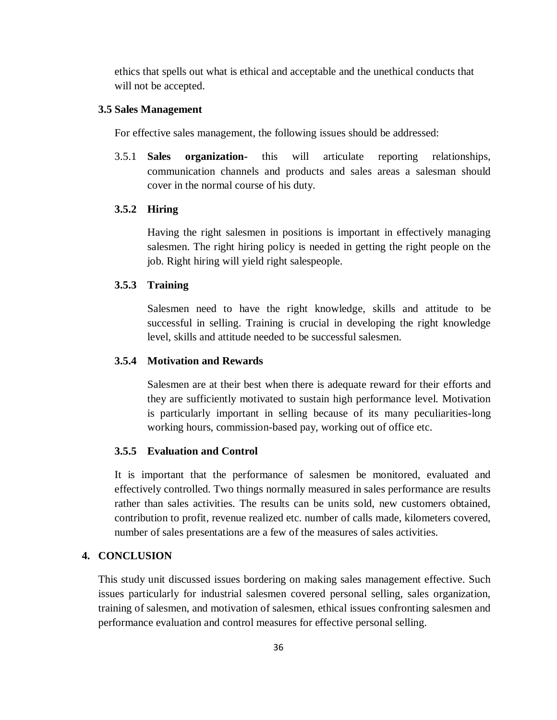ethics that spells out what is ethical and acceptable and the unethical conducts that will not be accepted.

#### **3.5 Sales Management**

For effective sales management, the following issues should be addressed:

3.5.1 **Sales organization-** this will articulate reporting relationships, communication channels and products and sales areas a salesman should cover in the normal course of his duty.

### **3.5.2 Hiring**

Having the right salesmen in positions is important in effectively managing salesmen. The right hiring policy is needed in getting the right people on the job. Right hiring will yield right salespeople.

### **3.5.3 Training**

Salesmen need to have the right knowledge, skills and attitude to be successful in selling. Training is crucial in developing the right knowledge level, skills and attitude needed to be successful salesmen.

### **3.5.4 Motivation and Rewards**

Salesmen are at their best when there is adequate reward for their efforts and they are sufficiently motivated to sustain high performance level. Motivation is particularly important in selling because of its many peculiarities-long working hours, commission-based pay, working out of office etc.

### **3.5.5 Evaluation and Control**

It is important that the performance of salesmen be monitored, evaluated and effectively controlled. Two things normally measured in sales performance are results rather than sales activities. The results can be units sold, new customers obtained, contribution to profit, revenue realized etc. number of calls made, kilometers covered, number of sales presentations are a few of the measures of sales activities.

# **4. CONCLUSION**

This study unit discussed issues bordering on making sales management effective. Such issues particularly for industrial salesmen covered personal selling, sales organization, training of salesmen, and motivation of salesmen, ethical issues confronting salesmen and performance evaluation and control measures for effective personal selling.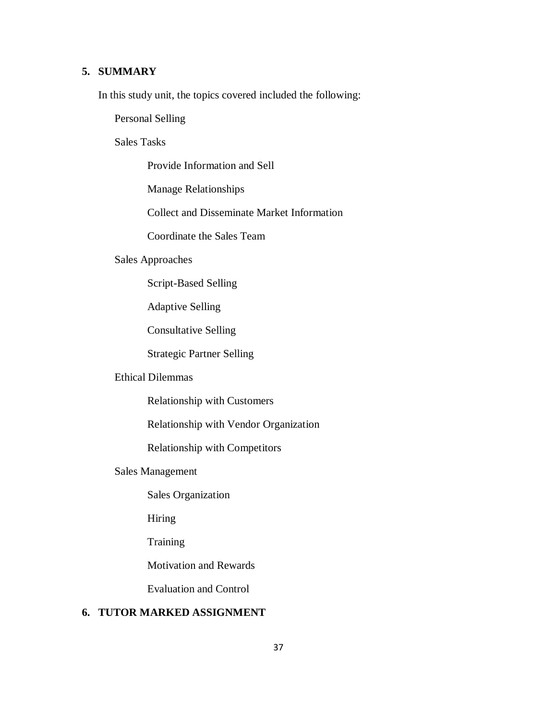# **5. SUMMARY**

In this study unit, the topics covered included the following:

Personal Selling

Sales Tasks

Provide Information and Sell

Manage Relationships

Collect and Disseminate Market Information

Coordinate the Sales Team

### Sales Approaches

Script-Based Selling

Adaptive Selling

Consultative Selling

Strategic Partner Selling

## Ethical Dilemmas

Relationship with Customers

Relationship with Vendor Organization

Relationship with Competitors

## Sales Management

Sales Organization

Hiring

**Training** 

Motivation and Rewards

Evaluation and Control

## **6. TUTOR MARKED ASSIGNMENT**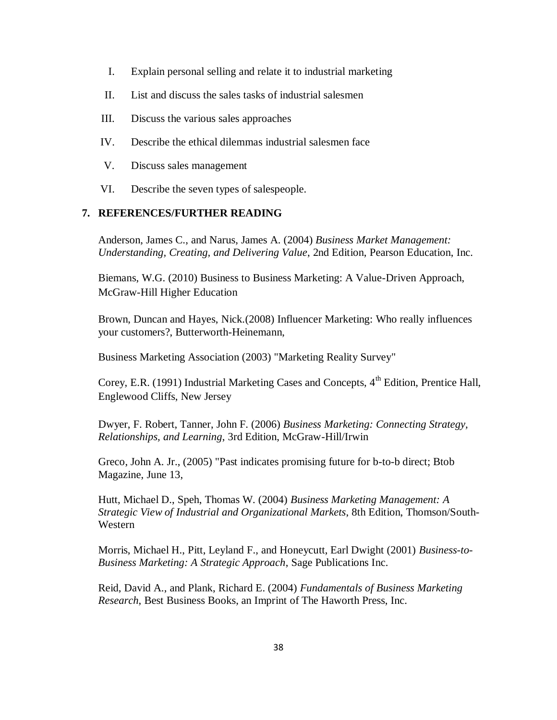- I. Explain personal selling and relate it to industrial marketing
- II. List and discuss the sales tasks of industrial salesmen
- III. Discuss the various sales approaches
- IV. Describe the ethical dilemmas industrial salesmen face
- V. Discuss sales management
- VI. Describe the seven types of salespeople.

### **7. REFERENCES/FURTHER READING**

Anderson, James C., and Narus, James A. (2004) *Business Market Management: Understanding, Creating, and Delivering Value*, 2nd Edition, [Pearson Education,](http://en.wikipedia.org/wiki/Pearson_Education) Inc.

Biemans, W.G. (2010) Business to Business Marketing: A Value-Driven Approach, McGraw-Hill Higher Education

Brown, Duncan and Hayes, Nick.(2008) Influencer Marketing: Who really influences your customers?, Butterworth-Heinemann,

Business Marketing Association (2003) "Marketing Reality Survey"

Corey, E.R. (1991) Industrial Marketing Cases and Concepts, 4<sup>th</sup> Edition, Prentice Hall, Englewood Cliffs, New Jersey

Dwyer, F. Robert, Tanner, John F. (2006) *Business Marketing: Connecting Strategy, Relationships, and Learning*, 3rd Edition, McGraw-Hill/Irwin

Greco, John A. Jr., (2005) "Past indicates promising future for b-to-b direct; [Btob](http://en.wikipedia.org/w/index.php?title=BtoB_Magazine&action=edit&redlink=1)  [Magazine,](http://en.wikipedia.org/w/index.php?title=BtoB_Magazine&action=edit&redlink=1) June 13,

Hutt, Michael D., Speh, Thomas W. (2004) *Business Marketing Management: A Strategic View of Industrial and Organizational Markets*, 8th Edition, Thomson/South-Western

Morris, Michael H., Pitt, Leyland F., and Honeycutt, Earl Dwight (2001) *Business-to-Business Marketing: A Strategic Approach*, Sage Publications Inc.

Reid, David A., and Plank, Richard E. (2004) *Fundamentals of Business Marketing Research*, Best Business Books, an Imprint of The Haworth Press, Inc.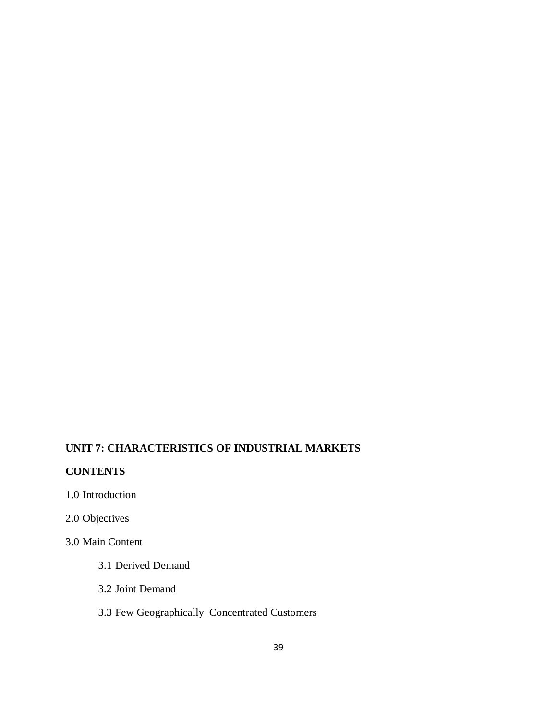# **UNIT 7: CHARACTERISTICS OF INDUSTRIAL MARKETS**

# **CONTENTS**

- 1.0 Introduction
- 2.0 Objectives

# 3.0 Main Content

- 3.1 Derived Demand
- 3.2 Joint Demand

# 3.3 Few Geographically Concentrated Customers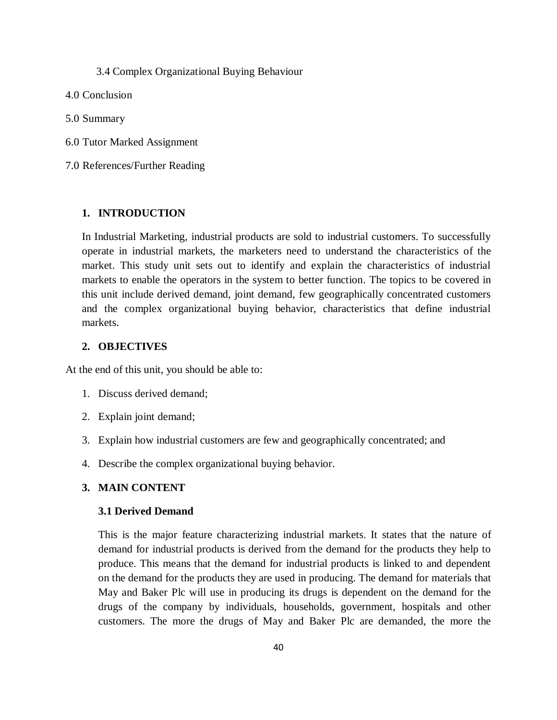3.4 Complex Organizational Buying Behaviour

- 4.0 Conclusion
- 5.0 Summary
- 6.0 Tutor Marked Assignment
- 7.0 References/Further Reading

#### **1. INTRODUCTION**

In Industrial Marketing, industrial products are sold to industrial customers. To successfully operate in industrial markets, the marketers need to understand the characteristics of the market. This study unit sets out to identify and explain the characteristics of industrial markets to enable the operators in the system to better function. The topics to be covered in this unit include derived demand, joint demand, few geographically concentrated customers and the complex organizational buying behavior, characteristics that define industrial markets.

### **2. OBJECTIVES**

At the end of this unit, you should be able to:

- 1. Discuss derived demand;
- 2. Explain joint demand;
- 3. Explain how industrial customers are few and geographically concentrated; and
- 4. Describe the complex organizational buying behavior.

### **3. MAIN CONTENT**

#### **3.1 Derived Demand**

This is the major feature characterizing industrial markets. It states that the nature of demand for industrial products is derived from the demand for the products they help to produce. This means that the demand for industrial products is linked to and dependent on the demand for the products they are used in producing. The demand for materials that May and Baker Plc will use in producing its drugs is dependent on the demand for the drugs of the company by individuals, households, government, hospitals and other customers. The more the drugs of May and Baker Plc are demanded, the more the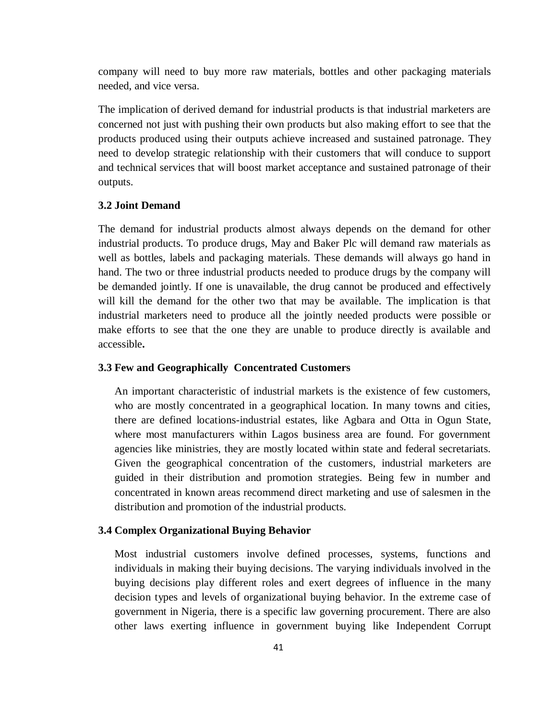company will need to buy more raw materials, bottles and other packaging materials needed, and vice versa.

The implication of derived demand for industrial products is that industrial marketers are concerned not just with pushing their own products but also making effort to see that the products produced using their outputs achieve increased and sustained patronage. They need to develop strategic relationship with their customers that will conduce to support and technical services that will boost market acceptance and sustained patronage of their outputs.

### **3.2 Joint Demand**

The demand for industrial products almost always depends on the demand for other industrial products. To produce drugs, May and Baker Plc will demand raw materials as well as bottles, labels and packaging materials. These demands will always go hand in hand. The two or three industrial products needed to produce drugs by the company will be demanded jointly. If one is unavailable, the drug cannot be produced and effectively will kill the demand for the other two that may be available. The implication is that industrial marketers need to produce all the jointly needed products were possible or make efforts to see that the one they are unable to produce directly is available and accessible**.** 

### **3.3 Few and Geographically Concentrated Customers**

An important characteristic of industrial markets is the existence of few customers, who are mostly concentrated in a geographical location. In many towns and cities, there are defined locations-industrial estates, like Agbara and Otta in Ogun State, where most manufacturers within Lagos business area are found. For government agencies like ministries, they are mostly located within state and federal secretariats. Given the geographical concentration of the customers, industrial marketers are guided in their distribution and promotion strategies. Being few in number and concentrated in known areas recommend direct marketing and use of salesmen in the distribution and promotion of the industrial products.

#### **3.4 Complex Organizational Buying Behavior**

Most industrial customers involve defined processes, systems, functions and individuals in making their buying decisions. The varying individuals involved in the buying decisions play different roles and exert degrees of influence in the many decision types and levels of organizational buying behavior. In the extreme case of government in Nigeria, there is a specific law governing procurement. There are also other laws exerting influence in government buying like Independent Corrupt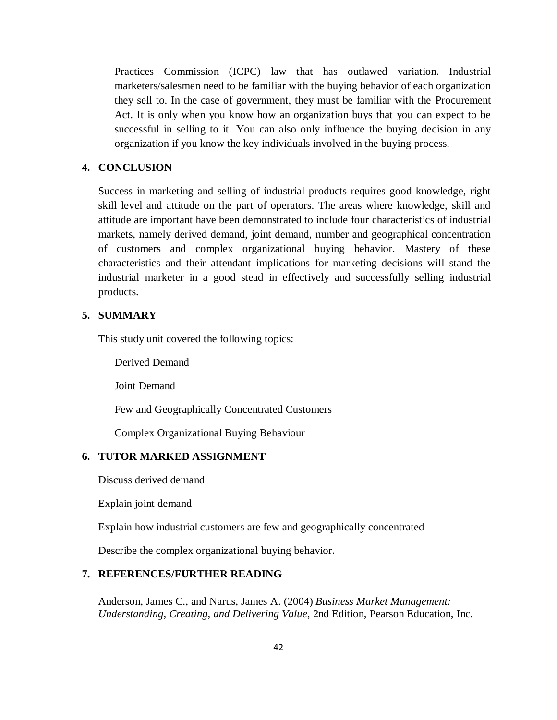Practices Commission (ICPC) law that has outlawed variation. Industrial marketers/salesmen need to be familiar with the buying behavior of each organization they sell to. In the case of government, they must be familiar with the Procurement Act. It is only when you know how an organization buys that you can expect to be successful in selling to it. You can also only influence the buying decision in any organization if you know the key individuals involved in the buying process.

### **4. CONCLUSION**

Success in marketing and selling of industrial products requires good knowledge, right skill level and attitude on the part of operators. The areas where knowledge, skill and attitude are important have been demonstrated to include four characteristics of industrial markets, namely derived demand, joint demand, number and geographical concentration of customers and complex organizational buying behavior. Mastery of these characteristics and their attendant implications for marketing decisions will stand the industrial marketer in a good stead in effectively and successfully selling industrial products.

## **5. SUMMARY**

This study unit covered the following topics:

Derived Demand

Joint Demand

Few and Geographically Concentrated Customers

Complex Organizational Buying Behaviour

## **6. TUTOR MARKED ASSIGNMENT**

Discuss derived demand

Explain joint demand

Explain how industrial customers are few and geographically concentrated

Describe the complex organizational buying behavior.

## **7. REFERENCES/FURTHER READING**

Anderson, James C., and Narus, James A. (2004) *Business Market Management: Understanding, Creating, and Delivering Value*, 2nd Edition, [Pearson Education,](http://en.wikipedia.org/wiki/Pearson_Education) Inc.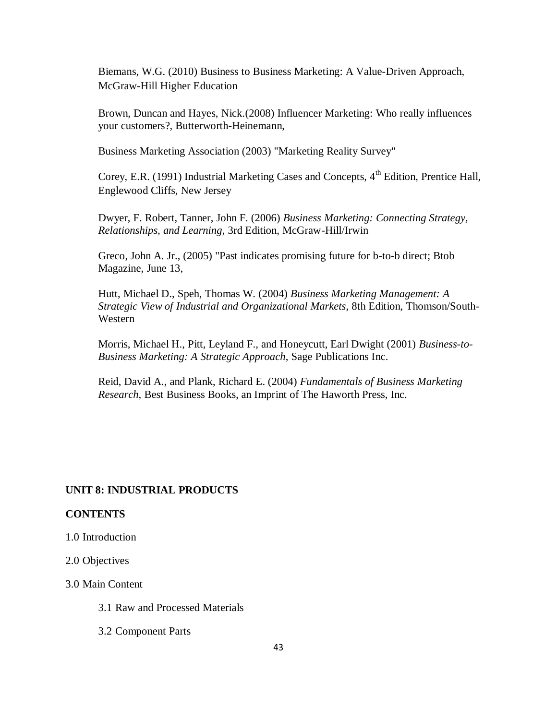Biemans, W.G. (2010) Business to Business Marketing: A Value-Driven Approach, McGraw-Hill Higher Education

Brown, Duncan and Hayes, Nick.(2008) Influencer Marketing: Who really influences your customers?, Butterworth-Heinemann,

Business Marketing Association (2003) "Marketing Reality Survey"

Corey, E.R. (1991) Industrial Marketing Cases and Concepts,  $4<sup>th</sup>$  Edition, Prentice Hall, Englewood Cliffs, New Jersey

Dwyer, F. Robert, Tanner, John F. (2006) *Business Marketing: Connecting Strategy, Relationships, and Learning*, 3rd Edition, McGraw-Hill/Irwin

Greco, John A. Jr., (2005) "Past indicates promising future for b-to-b direct; [Btob](http://en.wikipedia.org/w/index.php?title=BtoB_Magazine&action=edit&redlink=1)  [Magazine,](http://en.wikipedia.org/w/index.php?title=BtoB_Magazine&action=edit&redlink=1) June 13,

Hutt, Michael D., Speh, Thomas W. (2004) *Business Marketing Management: A Strategic View of Industrial and Organizational Markets*, 8th Edition, Thomson/South-Western

Morris, Michael H., Pitt, Leyland F., and Honeycutt, Earl Dwight (2001) *Business-to-Business Marketing: A Strategic Approach*, Sage Publications Inc.

Reid, David A., and Plank, Richard E. (2004) *Fundamentals of Business Marketing Research*, Best Business Books, an Imprint of The Haworth Press, Inc.

### **UNIT 8: INDUSTRIAL PRODUCTS**

#### **CONTENTS**

1.0 Introduction

2.0 Objectives

3.0 Main Content

3.1 Raw and Processed Materials

3.2 Component Parts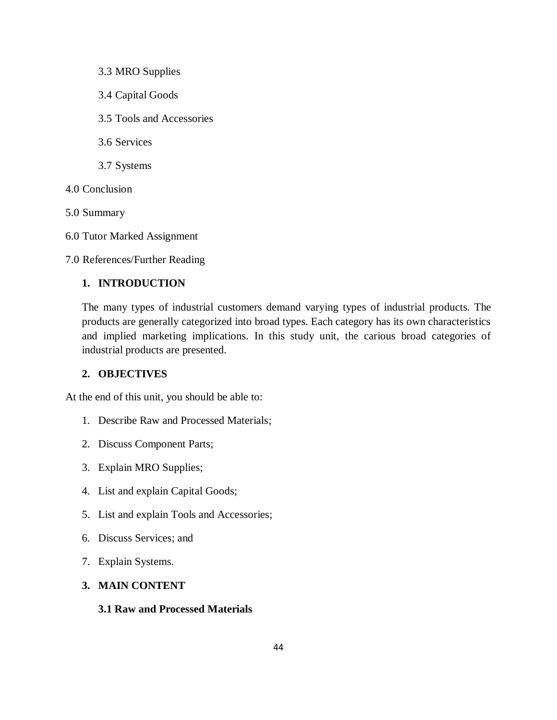- 3.3 MRO Supplies
- 3.4 Capital Goods
- 3.5 Tools and Accessories
- 3.6 Services
- 3.7 Systems
- 4.0 Conclusion
- 5.0 Summary
- 6.0 Tutor Marked Assignment

7.0 References/Further Reading

## **1. INTRODUCTION**

The many types of industrial customers demand varying types of industrial products. The products are generally categorized into broad types. Each category has its own characteristics and implied marketing implications. In this study unit, the carious broad categories of industrial products are presented.

## **2. OBJECTIVES**

At the end of this unit, you should be able to:

- 1. Describe Raw and Processed Materials;
- 2. Discuss Component Parts;
- 3. Explain MRO Supplies;
- 4. List and explain Capital Goods;
- 5. List and explain Tools and Accessories;
- 6. Discuss Services; and
- 7. Explain Systems.

### **3. MAIN CONTENT**

### **3.1 Raw and Processed Materials**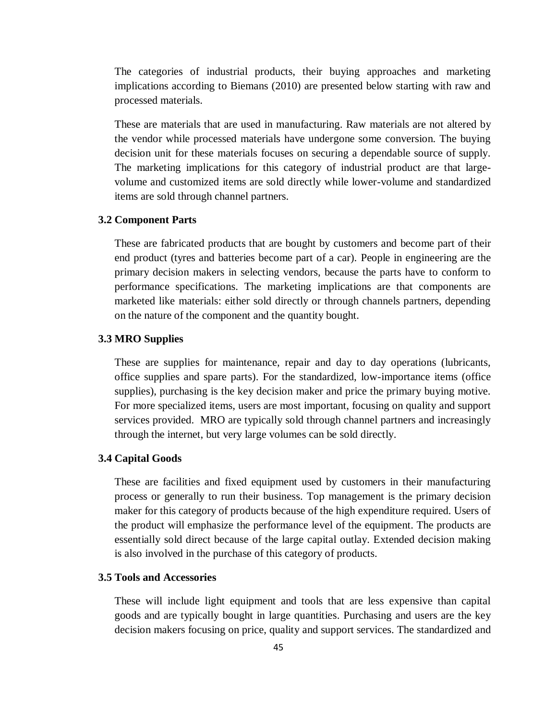The categories of industrial products, their buying approaches and marketing implications according to Biemans (2010) are presented below starting with raw and processed materials.

These are materials that are used in manufacturing. Raw materials are not altered by the vendor while processed materials have undergone some conversion. The buying decision unit for these materials focuses on securing a dependable source of supply. The marketing implications for this category of industrial product are that largevolume and customized items are sold directly while lower-volume and standardized items are sold through channel partners.

### **3.2 Component Parts**

These are fabricated products that are bought by customers and become part of their end product (tyres and batteries become part of a car). People in engineering are the primary decision makers in selecting vendors, because the parts have to conform to performance specifications. The marketing implications are that components are marketed like materials: either sold directly or through channels partners, depending on the nature of the component and the quantity bought.

### **3.3 MRO Supplies**

These are supplies for maintenance, repair and day to day operations (lubricants, office supplies and spare parts). For the standardized, low-importance items (office supplies), purchasing is the key decision maker and price the primary buying motive. For more specialized items, users are most important, focusing on quality and support services provided. MRO are typically sold through channel partners and increasingly through the internet, but very large volumes can be sold directly.

#### **3.4 Capital Goods**

These are facilities and fixed equipment used by customers in their manufacturing process or generally to run their business. Top management is the primary decision maker for this category of products because of the high expenditure required. Users of the product will emphasize the performance level of the equipment. The products are essentially sold direct because of the large capital outlay. Extended decision making is also involved in the purchase of this category of products.

### **3.5 Tools and Accessories**

These will include light equipment and tools that are less expensive than capital goods and are typically bought in large quantities. Purchasing and users are the key decision makers focusing on price, quality and support services. The standardized and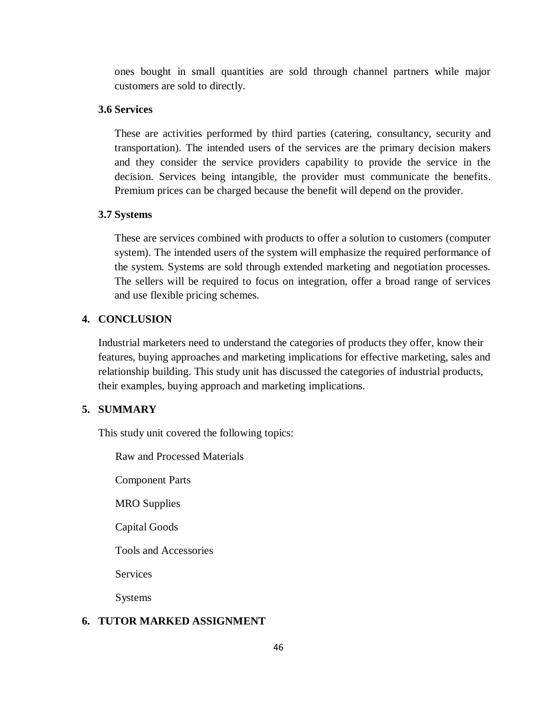ones bought in small quantities are sold through channel partners while major customers are sold to directly.

### **3.6 Services**

These are activities performed by third parties (catering, consultancy, security and transportation). The intended users of the services are the primary decision makers and they consider the service providers capability to provide the service in the decision. Services being intangible, the provider must communicate the benefits. Premium prices can be charged because the benefit will depend on the provider.

### **3.7 Systems**

These are services combined with products to offer a solution to customers (computer system). The intended users of the system will emphasize the required performance of the system. Systems are sold through extended marketing and negotiation processes. The sellers will be required to focus on integration, offer a broad range of services and use flexible pricing schemes.

## **4. CONCLUSION**

Industrial marketers need to understand the categories of products they offer, know their features, buying approaches and marketing implications for effective marketing, sales and relationship building. This study unit has discussed the categories of industrial products, their examples, buying approach and marketing implications.

### **5. SUMMARY**

This study unit covered the following topics:

Raw and Processed Materials

Component Parts

MRO Supplies

Capital Goods

Tools and Accessories

**Services** 

Systems

## **6. TUTOR MARKED ASSIGNMENT**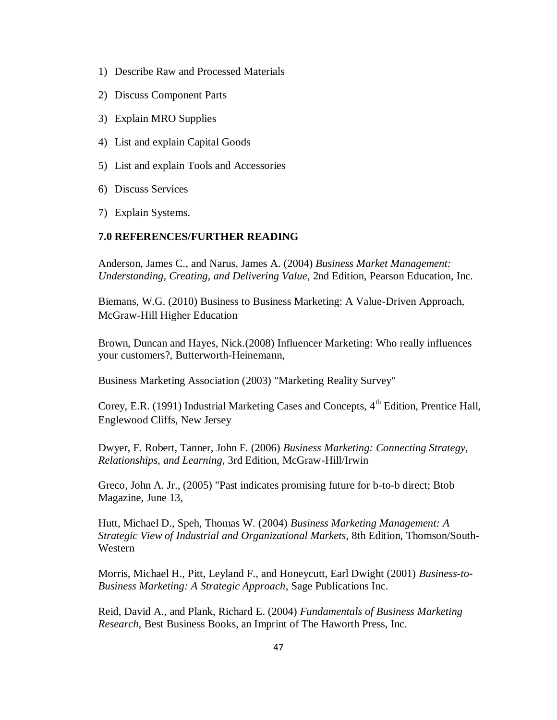- 1) Describe Raw and Processed Materials
- 2) Discuss Component Parts
- 3) Explain MRO Supplies
- 4) List and explain Capital Goods
- 5) List and explain Tools and Accessories
- 6) Discuss Services
- 7) Explain Systems.

### **7.0 REFERENCES/FURTHER READING**

Anderson, James C., and Narus, James A. (2004) *Business Market Management: Understanding, Creating, and Delivering Value*, 2nd Edition, [Pearson Education,](http://en.wikipedia.org/wiki/Pearson_Education) Inc.

Biemans, W.G. (2010) Business to Business Marketing: A Value-Driven Approach, McGraw-Hill Higher Education

Brown, Duncan and Hayes, Nick.(2008) Influencer Marketing: Who really influences your customers?, Butterworth-Heinemann,

Business Marketing Association (2003) "Marketing Reality Survey"

Corey, E.R. (1991) Industrial Marketing Cases and Concepts, 4<sup>th</sup> Edition, Prentice Hall, Englewood Cliffs, New Jersey

Dwyer, F. Robert, Tanner, John F. (2006) *Business Marketing: Connecting Strategy, Relationships, and Learning*, 3rd Edition, McGraw-Hill/Irwin

Greco, John A. Jr., (2005) "Past indicates promising future for b-to-b direct; [Btob](http://en.wikipedia.org/w/index.php?title=BtoB_Magazine&action=edit&redlink=1)  [Magazine,](http://en.wikipedia.org/w/index.php?title=BtoB_Magazine&action=edit&redlink=1) June 13,

Hutt, Michael D., Speh, Thomas W. (2004) *Business Marketing Management: A Strategic View of Industrial and Organizational Markets*, 8th Edition, Thomson/South-Western

Morris, Michael H., Pitt, Leyland F., and Honeycutt, Earl Dwight (2001) *Business-to-Business Marketing: A Strategic Approach*, Sage Publications Inc.

Reid, David A., and Plank, Richard E. (2004) *Fundamentals of Business Marketing Research*, Best Business Books, an Imprint of The Haworth Press, Inc.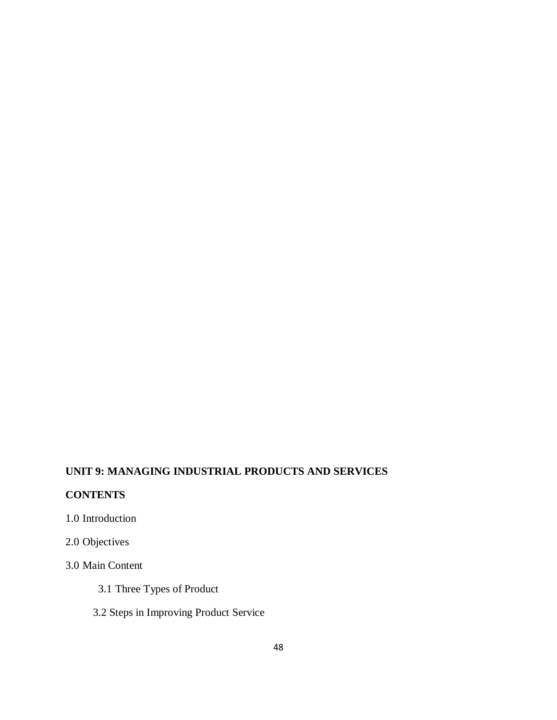# **UNIT 9: MANAGING INDUSTRIAL PRODUCTS AND SERVICES**

# **CONTENTS**

- 1.0 Introduction
- 2.0 Objectives

# 3.0 Main Content

- 3.1 Three Types of Product
- 3.2 Steps in Improving Product Service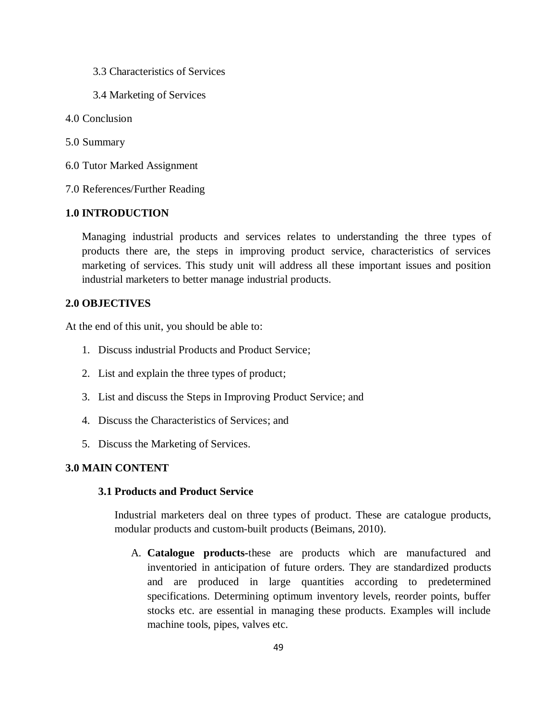- 3.3 Characteristics of Services
- 3.4 Marketing of Services
- 4.0 Conclusion
- 5.0 Summary
- 6.0 Tutor Marked Assignment
- 7.0 References/Further Reading

### **1.0 INTRODUCTION**

Managing industrial products and services relates to understanding the three types of products there are, the steps in improving product service, characteristics of services marketing of services. This study unit will address all these important issues and position industrial marketers to better manage industrial products.

#### **2.0 OBJECTIVES**

At the end of this unit, you should be able to:

- 1. Discuss industrial Products and Product Service;
- 2. List and explain the three types of product;
- 3. List and discuss the Steps in Improving Product Service; and
- 4. Discuss the Characteristics of Services; and
- 5. Discuss the Marketing of Services.

## **3.0 MAIN CONTENT**

## **3.1 Products and Product Service**

Industrial marketers deal on three types of product. These are catalogue products, modular products and custom-built products (Beimans, 2010).

A. **Catalogue products-**these are products which are manufactured and inventoried in anticipation of future orders. They are standardized products and are produced in large quantities according to predetermined specifications. Determining optimum inventory levels, reorder points, buffer stocks etc. are essential in managing these products. Examples will include machine tools, pipes, valves etc.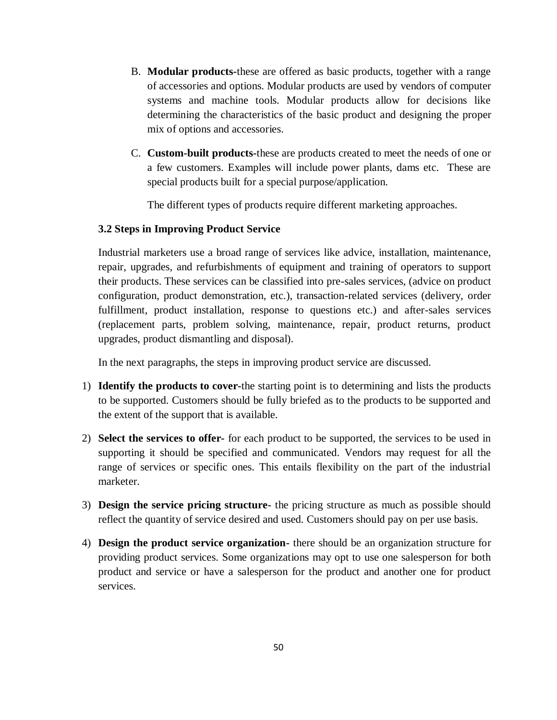- B. **Modular products-**these are offered as basic products, together with a range of accessories and options. Modular products are used by vendors of computer systems and machine tools. Modular products allow for decisions like determining the characteristics of the basic product and designing the proper mix of options and accessories.
- C. **Custom-built products-**these are products created to meet the needs of one or a few customers. Examples will include power plants, dams etc. These are special products built for a special purpose/application.

The different types of products require different marketing approaches.

## **3.2 Steps in Improving Product Service**

Industrial marketers use a broad range of services like advice, installation, maintenance, repair, upgrades, and refurbishments of equipment and training of operators to support their products. These services can be classified into pre-sales services, (advice on product configuration, product demonstration, etc.), transaction-related services (delivery, order fulfillment, product installation, response to questions etc.) and after-sales services (replacement parts, problem solving, maintenance, repair, product returns, product upgrades, product dismantling and disposal).

In the next paragraphs, the steps in improving product service are discussed.

- 1) **Identify the products to cover-**the starting point is to determining and lists the products to be supported. Customers should be fully briefed as to the products to be supported and the extent of the support that is available.
- 2) **Select the services to offer-** for each product to be supported, the services to be used in supporting it should be specified and communicated. Vendors may request for all the range of services or specific ones. This entails flexibility on the part of the industrial marketer.
- 3) **Design the service pricing structure-** the pricing structure as much as possible should reflect the quantity of service desired and used. Customers should pay on per use basis.
- 4) **Design the product service organization-** there should be an organization structure for providing product services. Some organizations may opt to use one salesperson for both product and service or have a salesperson for the product and another one for product services.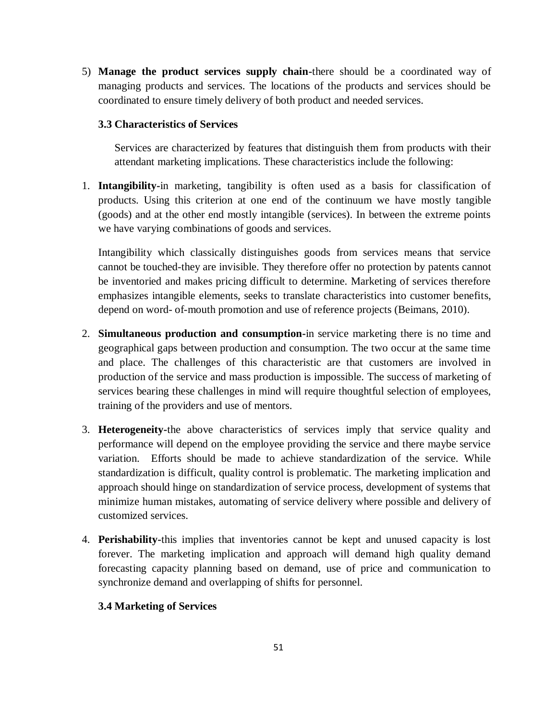5) **Manage the product services supply chain-**there should be a coordinated way of managing products and services. The locations of the products and services should be coordinated to ensure timely delivery of both product and needed services.

## **3.3 Characteristics of Services**

Services are characterized by features that distinguish them from products with their attendant marketing implications. These characteristics include the following:

1. **Intangibility-**in marketing, tangibility is often used as a basis for classification of products. Using this criterion at one end of the continuum we have mostly tangible (goods) and at the other end mostly intangible (services). In between the extreme points we have varying combinations of goods and services.

Intangibility which classically distinguishes goods from services means that service cannot be touched-they are invisible. They therefore offer no protection by patents cannot be inventoried and makes pricing difficult to determine. Marketing of services therefore emphasizes intangible elements, seeks to translate characteristics into customer benefits, depend on word- of-mouth promotion and use of reference projects (Beimans, 2010).

- 2. **Simultaneous production and consumption-**in service marketing there is no time and geographical gaps between production and consumption. The two occur at the same time and place. The challenges of this characteristic are that customers are involved in production of the service and mass production is impossible. The success of marketing of services bearing these challenges in mind will require thoughtful selection of employees, training of the providers and use of mentors.
- 3. **Heterogeneity-**the above characteristics of services imply that service quality and performance will depend on the employee providing the service and there maybe service variation. Efforts should be made to achieve standardization of the service. While standardization is difficult, quality control is problematic. The marketing implication and approach should hinge on standardization of service process, development of systems that minimize human mistakes, automating of service delivery where possible and delivery of customized services.
- 4. **Perishability-**this implies that inventories cannot be kept and unused capacity is lost forever. The marketing implication and approach will demand high quality demand forecasting capacity planning based on demand, use of price and communication to synchronize demand and overlapping of shifts for personnel.

## **3.4 Marketing of Services**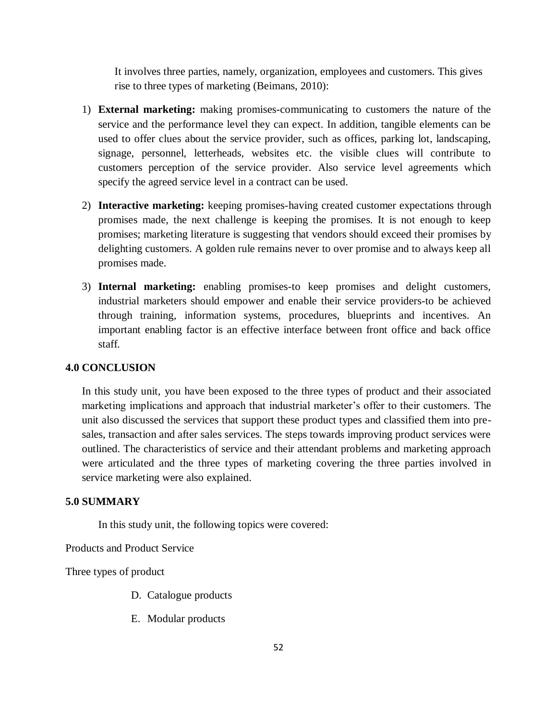It involves three parties, namely, organization, employees and customers. This gives rise to three types of marketing (Beimans, 2010):

- 1) **External marketing:** making promises-communicating to customers the nature of the service and the performance level they can expect. In addition, tangible elements can be used to offer clues about the service provider, such as offices, parking lot, landscaping, signage, personnel, letterheads, websites etc. the visible clues will contribute to customers perception of the service provider. Also service level agreements which specify the agreed service level in a contract can be used.
- 2) **Interactive marketing:** keeping promises-having created customer expectations through promises made, the next challenge is keeping the promises. It is not enough to keep promises; marketing literature is suggesting that vendors should exceed their promises by delighting customers. A golden rule remains never to over promise and to always keep all promises made.
- 3) **Internal marketing:** enabling promises-to keep promises and delight customers, industrial marketers should empower and enable their service providers-to be achieved through training, information systems, procedures, blueprints and incentives. An important enabling factor is an effective interface between front office and back office staff.

### **4.0 CONCLUSION**

In this study unit, you have been exposed to the three types of product and their associated marketing implications and approach that industrial marketer's offer to their customers. The unit also discussed the services that support these product types and classified them into presales, transaction and after sales services. The steps towards improving product services were outlined. The characteristics of service and their attendant problems and marketing approach were articulated and the three types of marketing covering the three parties involved in service marketing were also explained.

## **5.0 SUMMARY**

In this study unit, the following topics were covered:

Products and Product Service

Three types of product

- D. Catalogue products
- E. Modular products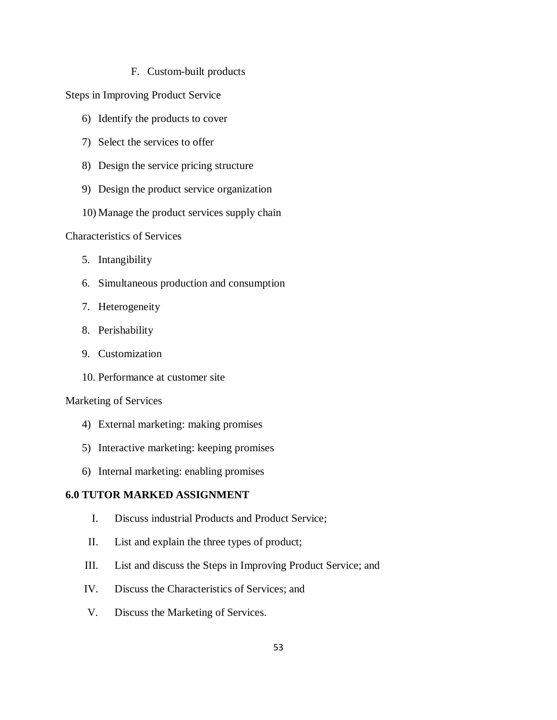F. Custom-built products

Steps in Improving Product Service

- 6) Identify the products to cover
- 7) Select the services to offer
- 8) Design the service pricing structure
- 9) Design the product service organization
- 10) Manage the product services supply chain

Characteristics of Services

- 5. Intangibility
- 6. Simultaneous production and consumption
- 7. Heterogeneity
- 8. Perishability
- 9. Customization
- 10. Performance at customer site

#### Marketing of Services

- 4) External marketing: making promises
- 5) Interactive marketing: keeping promises
- 6) Internal marketing: enabling promises

## **6.0 TUTOR MARKED ASSIGNMENT**

- I. Discuss industrial Products and Product Service;
- II. List and explain the three types of product;
- III. List and discuss the Steps in Improving Product Service; and
- IV. Discuss the Characteristics of Services; and
- V. Discuss the Marketing of Services.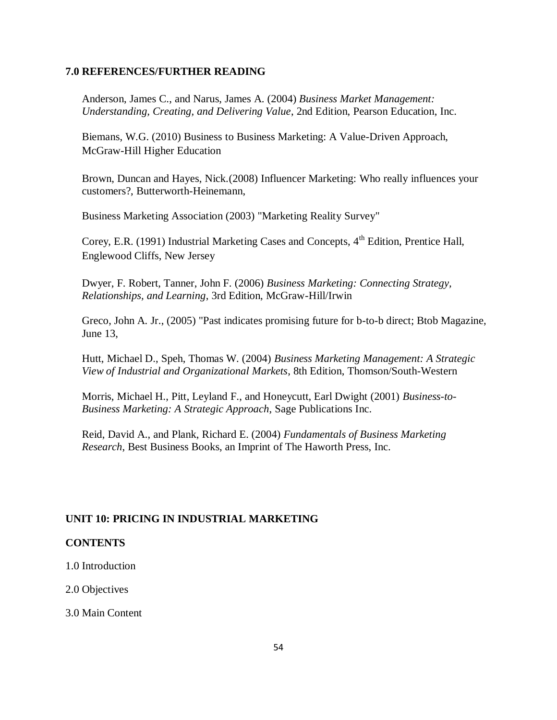#### **7.0 REFERENCES/FURTHER READING**

Anderson, James C., and Narus, James A. (2004) *Business Market Management: Understanding, Creating, and Delivering Value*, 2nd Edition, [Pearson Education,](http://en.wikipedia.org/wiki/Pearson_Education) Inc.

Biemans, W.G. (2010) Business to Business Marketing: A Value-Driven Approach, McGraw-Hill Higher Education

Brown, Duncan and Hayes, Nick.(2008) Influencer Marketing: Who really influences your customers?, Butterworth-Heinemann,

Business Marketing Association (2003) "Marketing Reality Survey"

Corey, E.R. (1991) Industrial Marketing Cases and Concepts,  $4<sup>th</sup>$  Edition, Prentice Hall, Englewood Cliffs, New Jersey

Dwyer, F. Robert, Tanner, John F. (2006) *Business Marketing: Connecting Strategy, Relationships, and Learning*, 3rd Edition, McGraw-Hill/Irwin

Greco, John A. Jr., (2005) "Past indicates promising future for b-to-b direct; [Btob Magazine,](http://en.wikipedia.org/w/index.php?title=BtoB_Magazine&action=edit&redlink=1) June 13,

Hutt, Michael D., Speh, Thomas W. (2004) *Business Marketing Management: A Strategic View of Industrial and Organizational Markets*, 8th Edition, Thomson/South-Western

Morris, Michael H., Pitt, Leyland F., and Honeycutt, Earl Dwight (2001) *Business-to-Business Marketing: A Strategic Approach*, Sage Publications Inc.

Reid, David A., and Plank, Richard E. (2004) *Fundamentals of Business Marketing Research*, Best Business Books, an Imprint of The Haworth Press, Inc.

## **UNIT 10: PRICING IN INDUSTRIAL MARKETING**

### **CONTENTS**

1.0 Introduction

2.0 Objectives

3.0 Main Content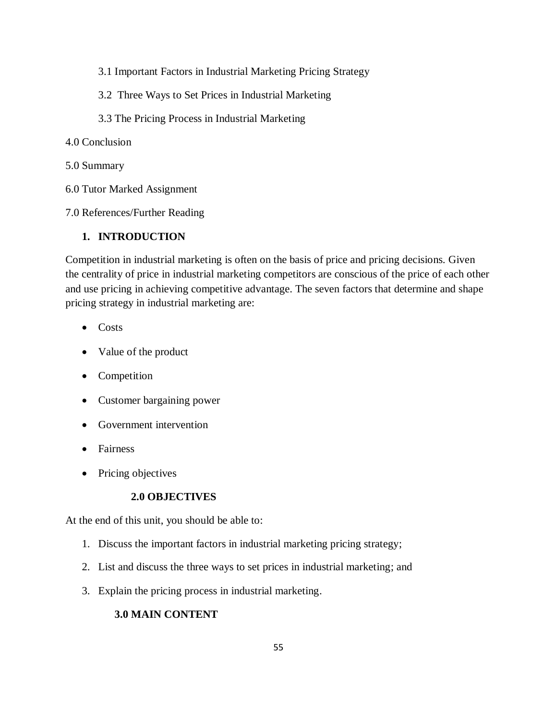- 3.1 Important Factors in Industrial Marketing Pricing Strategy
- 3.2 Three Ways to Set Prices in Industrial Marketing
- 3.3 The Pricing Process in Industrial Marketing
- 4.0 Conclusion
- 5.0 Summary
- 6.0 Tutor Marked Assignment

7.0 References/Further Reading

## **1. INTRODUCTION**

Competition in industrial marketing is often on the basis of price and pricing decisions. Given the centrality of price in industrial marketing competitors are conscious of the price of each other and use pricing in achieving competitive advantage. The seven factors that determine and shape pricing strategy in industrial marketing are:

- $\bullet$  Costs
- Value of the product
- Competition
- Customer bargaining power
- Government intervention
- Fairness
- Pricing objectives

# **2.0 OBJECTIVES**

At the end of this unit, you should be able to:

- 1. Discuss the important factors in industrial marketing pricing strategy;
- 2. List and discuss the three ways to set prices in industrial marketing; and
- 3. Explain the pricing process in industrial marketing.

# **3.0 MAIN CONTENT**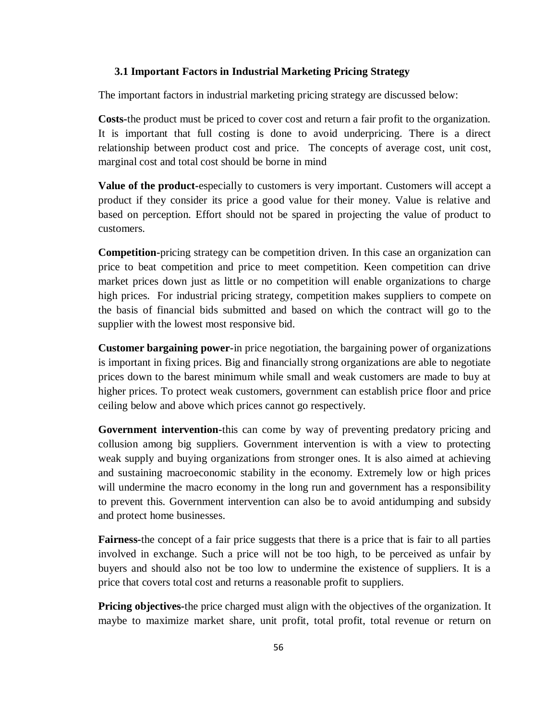#### **3.1 Important Factors in Industrial Marketing Pricing Strategy**

The important factors in industrial marketing pricing strategy are discussed below:

**Costs-**the product must be priced to cover cost and return a fair profit to the organization. It is important that full costing is done to avoid underpricing. There is a direct relationship between product cost and price. The concepts of average cost, unit cost, marginal cost and total cost should be borne in mind

**Value of the product-**especially to customers is very important. Customers will accept a product if they consider its price a good value for their money. Value is relative and based on perception. Effort should not be spared in projecting the value of product to customers.

**Competition-**pricing strategy can be competition driven. In this case an organization can price to beat competition and price to meet competition. Keen competition can drive market prices down just as little or no competition will enable organizations to charge high prices. For industrial pricing strategy, competition makes suppliers to compete on the basis of financial bids submitted and based on which the contract will go to the supplier with the lowest most responsive bid.

**Customer bargaining power-**in price negotiation, the bargaining power of organizations is important in fixing prices. Big and financially strong organizations are able to negotiate prices down to the barest minimum while small and weak customers are made to buy at higher prices. To protect weak customers, government can establish price floor and price ceiling below and above which prices cannot go respectively.

**Government intervention-**this can come by way of preventing predatory pricing and collusion among big suppliers. Government intervention is with a view to protecting weak supply and buying organizations from stronger ones. It is also aimed at achieving and sustaining macroeconomic stability in the economy. Extremely low or high prices will undermine the macro economy in the long run and government has a responsibility to prevent this. Government intervention can also be to avoid antidumping and subsidy and protect home businesses.

**Fairness-**the concept of a fair price suggests that there is a price that is fair to all parties involved in exchange. Such a price will not be too high, to be perceived as unfair by buyers and should also not be too low to undermine the existence of suppliers. It is a price that covers total cost and returns a reasonable profit to suppliers.

**Pricing objectives-**the price charged must align with the objectives of the organization. It maybe to maximize market share, unit profit, total profit, total revenue or return on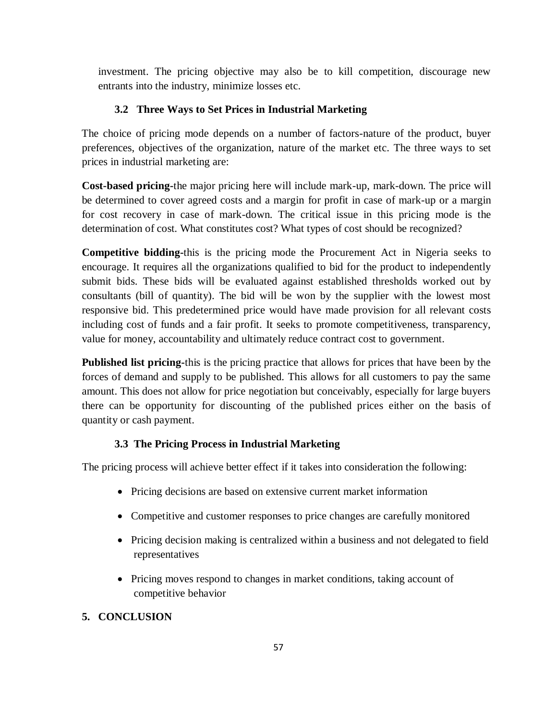investment. The pricing objective may also be to kill competition, discourage new entrants into the industry, minimize losses etc.

# **3.2 Three Ways to Set Prices in Industrial Marketing**

 The choice of pricing mode depends on a number of factors-nature of the product, buyer preferences, objectives of the organization, nature of the market etc. The three ways to set prices in industrial marketing are:

**Cost-based pricing-**the major pricing here will include mark-up, mark-down. The price will be determined to cover agreed costs and a margin for profit in case of mark-up or a margin for cost recovery in case of mark-down. The critical issue in this pricing mode is the determination of cost. What constitutes cost? What types of cost should be recognized?

**Competitive bidding-**this is the pricing mode the Procurement Act in Nigeria seeks to encourage. It requires all the organizations qualified to bid for the product to independently submit bids. These bids will be evaluated against established thresholds worked out by consultants (bill of quantity). The bid will be won by the supplier with the lowest most responsive bid. This predetermined price would have made provision for all relevant costs including cost of funds and a fair profit. It seeks to promote competitiveness, transparency, value for money, accountability and ultimately reduce contract cost to government.

**Published list pricing-**this is the pricing practice that allows for prices that have been by the forces of demand and supply to be published. This allows for all customers to pay the same amount. This does not allow for price negotiation but conceivably, especially for large buyers there can be opportunity for discounting of the published prices either on the basis of quantity or cash payment.

# **3.3 The Pricing Process in Industrial Marketing**

The pricing process will achieve better effect if it takes into consideration the following:

- Pricing decisions are based on extensive current market information
- Competitive and customer responses to price changes are carefully monitored
- Pricing decision making is centralized within a business and not delegated to field representatives
- Pricing moves respond to changes in market conditions, taking account of competitive behavior

# **5. CONCLUSION**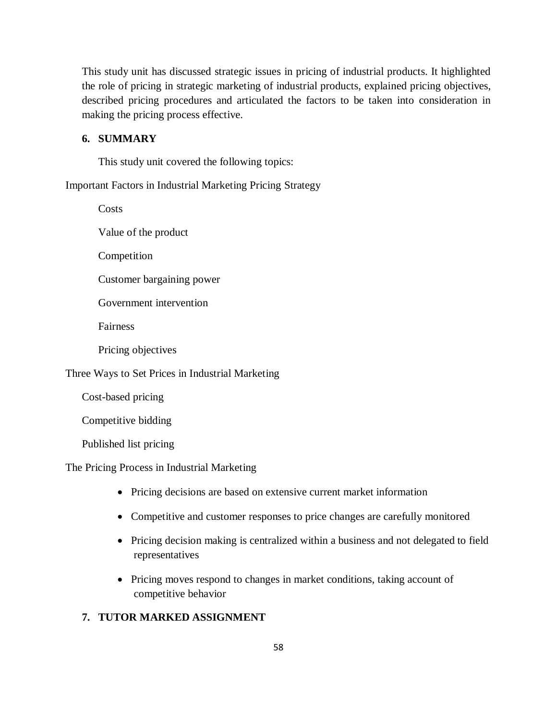This study unit has discussed strategic issues in pricing of industrial products. It highlighted the role of pricing in strategic marketing of industrial products, explained pricing objectives, described pricing procedures and articulated the factors to be taken into consideration in making the pricing process effective.

### **6. SUMMARY**

This study unit covered the following topics:

Important Factors in Industrial Marketing Pricing Strategy

**Costs** 

Value of the product

Competition

Customer bargaining power

Government intervention

Fairness

Pricing objectives

Three Ways to Set Prices in Industrial Marketing

Cost-based pricing

Competitive bidding

Published list pricing

The Pricing Process in Industrial Marketing

- Pricing decisions are based on extensive current market information
- Competitive and customer responses to price changes are carefully monitored
- Pricing decision making is centralized within a business and not delegated to field representatives
- Pricing moves respond to changes in market conditions, taking account of competitive behavior

### **7. TUTOR MARKED ASSIGNMENT**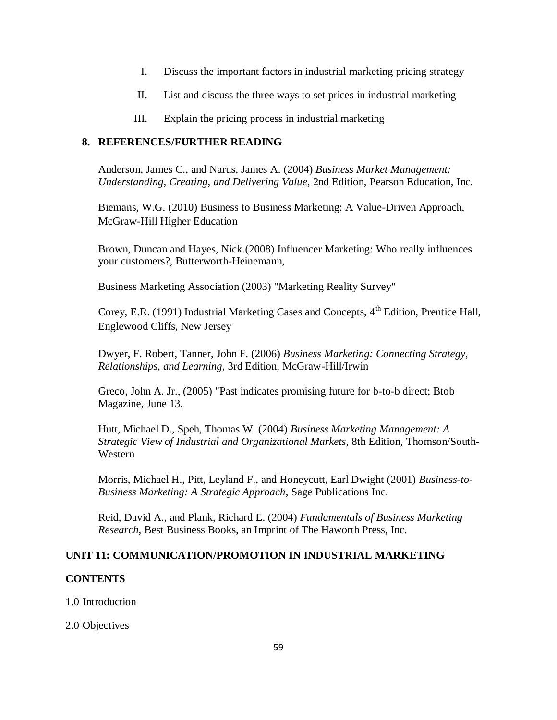- I. Discuss the important factors in industrial marketing pricing strategy
- II. List and discuss the three ways to set prices in industrial marketing
- III. Explain the pricing process in industrial marketing

### **8. REFERENCES/FURTHER READING**

Anderson, James C., and Narus, James A. (2004) *Business Market Management: Understanding, Creating, and Delivering Value*, 2nd Edition, [Pearson Education,](http://en.wikipedia.org/wiki/Pearson_Education) Inc.

Biemans, W.G. (2010) Business to Business Marketing: A Value-Driven Approach, McGraw-Hill Higher Education

Brown, Duncan and Hayes, Nick.(2008) Influencer Marketing: Who really influences your customers?, Butterworth-Heinemann,

Business Marketing Association (2003) "Marketing Reality Survey"

Corey, E.R. (1991) Industrial Marketing Cases and Concepts, 4<sup>th</sup> Edition, Prentice Hall, Englewood Cliffs, New Jersey

Dwyer, F. Robert, Tanner, John F. (2006) *Business Marketing: Connecting Strategy, Relationships, and Learning*, 3rd Edition, McGraw-Hill/Irwin

Greco, John A. Jr., (2005) "Past indicates promising future for b-to-b direct; [Btob](http://en.wikipedia.org/w/index.php?title=BtoB_Magazine&action=edit&redlink=1)  [Magazine,](http://en.wikipedia.org/w/index.php?title=BtoB_Magazine&action=edit&redlink=1) June 13,

Hutt, Michael D., Speh, Thomas W. (2004) *Business Marketing Management: A Strategic View of Industrial and Organizational Markets*, 8th Edition, Thomson/South-Western

Morris, Michael H., Pitt, Leyland F., and Honeycutt, Earl Dwight (2001) *Business-to-Business Marketing: A Strategic Approach*, Sage Publications Inc.

Reid, David A., and Plank, Richard E. (2004) *Fundamentals of Business Marketing Research*, Best Business Books, an Imprint of The Haworth Press, Inc.

## **UNIT 11: COMMUNICATION/PROMOTION IN INDUSTRIAL MARKETING**

### **CONTENTS**

1.0 Introduction

2.0 Objectives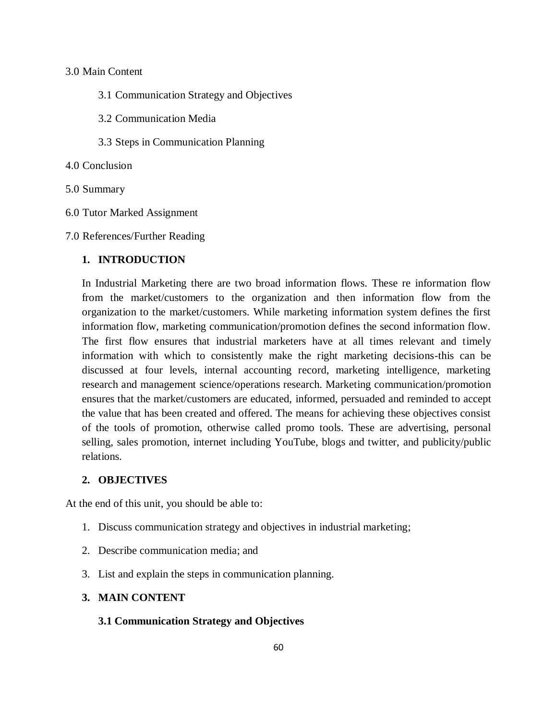## 3.0 Main Content

- 3.1 Communication Strategy and Objectives
- 3.2 Communication Media
- 3.3 Steps in Communication Planning
- 4.0 Conclusion
- 5.0 Summary
- 6.0 Tutor Marked Assignment
- 7.0 References/Further Reading

### **1. INTRODUCTION**

In Industrial Marketing there are two broad information flows. These re information flow from the market/customers to the organization and then information flow from the organization to the market/customers. While marketing information system defines the first information flow, marketing communication/promotion defines the second information flow. The first flow ensures that industrial marketers have at all times relevant and timely information with which to consistently make the right marketing decisions-this can be discussed at four levels, internal accounting record, marketing intelligence, marketing research and management science/operations research. Marketing communication/promotion ensures that the market/customers are educated, informed, persuaded and reminded to accept the value that has been created and offered. The means for achieving these objectives consist of the tools of promotion, otherwise called promo tools. These are advertising, personal selling, sales promotion, internet including YouTube, blogs and twitter, and publicity/public relations.

## **2. OBJECTIVES**

At the end of this unit, you should be able to:

- 1. Discuss communication strategy and objectives in industrial marketing;
- 2. Describe communication media; and
- 3. List and explain the steps in communication planning.

#### **3. MAIN CONTENT**

### **3.1 Communication Strategy and Objectives**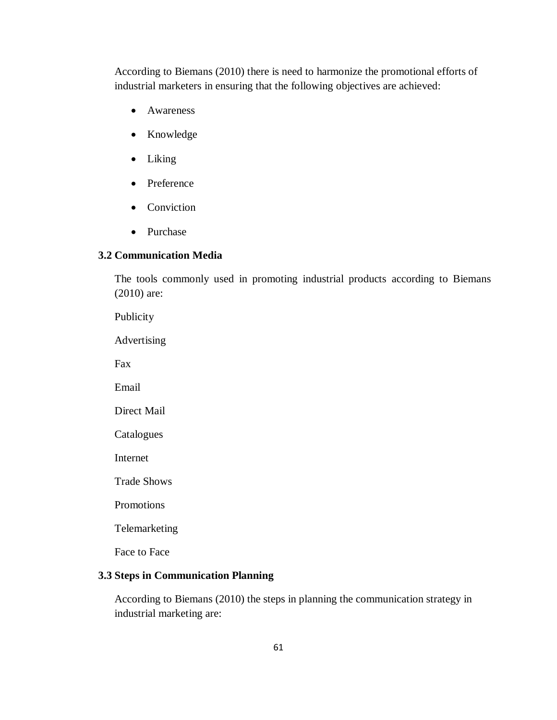According to Biemans (2010) there is need to harmonize the promotional efforts of industrial marketers in ensuring that the following objectives are achieved:

- Awareness
- Knowledge
- Liking
- Preference
- Conviction
- Purchase

## **3.2 Communication Media**

The tools commonly used in promoting industrial products according to Biemans (2010) are:

Publicity Advertising Fax

Email

Direct Mail

Catalogues

Internet

Trade Shows

Promotions

Telemarketing

Face to Face

# **3.3 Steps in Communication Planning**

According to Biemans (2010) the steps in planning the communication strategy in industrial marketing are: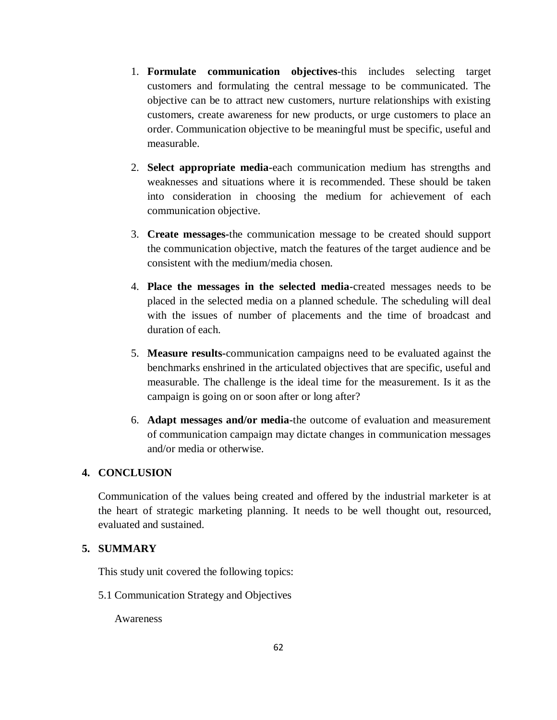- 1. **Formulate communication objectives**-this includes selecting target customers and formulating the central message to be communicated. The objective can be to attract new customers, nurture relationships with existing customers, create awareness for new products, or urge customers to place an order. Communication objective to be meaningful must be specific, useful and measurable.
- 2. **Select appropriate media-**each communication medium has strengths and weaknesses and situations where it is recommended. These should be taken into consideration in choosing the medium for achievement of each communication objective.
- 3. **Create messages-**the communication message to be created should support the communication objective, match the features of the target audience and be consistent with the medium/media chosen.
- 4. **Place the messages in the selected media-**created messages needs to be placed in the selected media on a planned schedule. The scheduling will deal with the issues of number of placements and the time of broadcast and duration of each.
- 5. **Measure results-**communication campaigns need to be evaluated against the benchmarks enshrined in the articulated objectives that are specific, useful and measurable. The challenge is the ideal time for the measurement. Is it as the campaign is going on or soon after or long after?
- 6. **Adapt messages and/or media-**the outcome of evaluation and measurement of communication campaign may dictate changes in communication messages and/or media or otherwise.

## **4. CONCLUSION**

Communication of the values being created and offered by the industrial marketer is at the heart of strategic marketing planning. It needs to be well thought out, resourced, evaluated and sustained.

### **5. SUMMARY**

This study unit covered the following topics:

5.1 Communication Strategy and Objectives

Awareness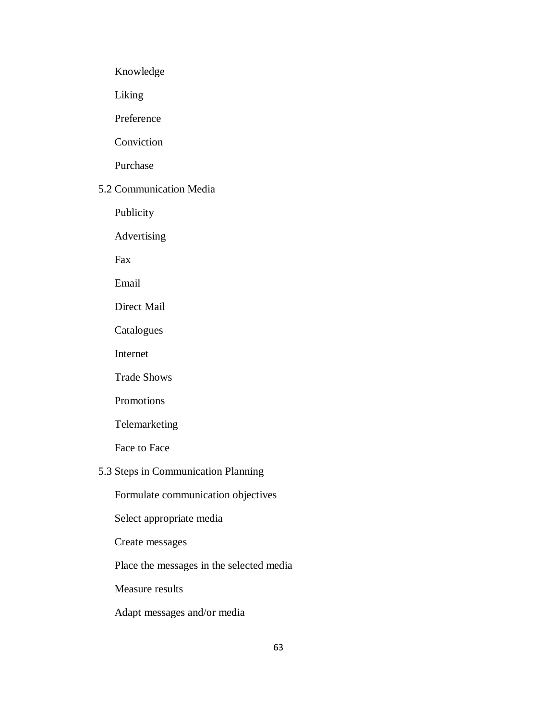Knowledge

Liking

Preference

Conviction

Purchase

## 5.2 Communication Media

Publicity

Advertising

Fax

Email

Direct Mail

Catalogues

Internet

Trade Shows

Promotions

Telemarketing

Face to Face

## 5.3 Steps in Communication Planning

Formulate communication objectives

Select appropriate media

Create messages

Place the messages in the selected media

Measure results

Adapt messages and/or media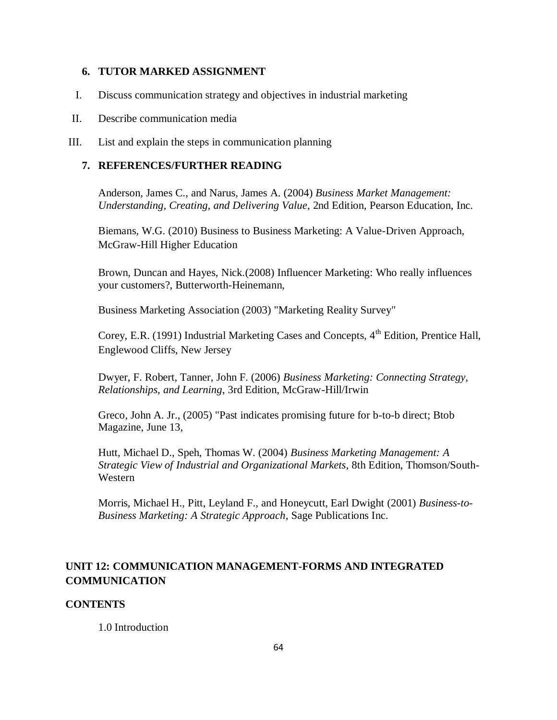### **6. TUTOR MARKED ASSIGNMENT**

I. Discuss communication strategy and objectives in industrial marketing

#### II. Describe communication media

III. List and explain the steps in communication planning

## **7. REFERENCES/FURTHER READING**

Anderson, James C., and Narus, James A. (2004) *Business Market Management: Understanding, Creating, and Delivering Value*, 2nd Edition, [Pearson Education,](http://en.wikipedia.org/wiki/Pearson_Education) Inc.

Biemans, W.G. (2010) Business to Business Marketing: A Value-Driven Approach, McGraw-Hill Higher Education

Brown, Duncan and Hayes, Nick.(2008) Influencer Marketing: Who really influences your customers?, Butterworth-Heinemann,

Business Marketing Association (2003) "Marketing Reality Survey"

Corey, E.R. (1991) Industrial Marketing Cases and Concepts,  $4<sup>th</sup>$  Edition, Prentice Hall, Englewood Cliffs, New Jersey

Dwyer, F. Robert, Tanner, John F. (2006) *Business Marketing: Connecting Strategy, Relationships, and Learning*, 3rd Edition, McGraw-Hill/Irwin

Greco, John A. Jr., (2005) "Past indicates promising future for b-to-b direct; [Btob](http://en.wikipedia.org/w/index.php?title=BtoB_Magazine&action=edit&redlink=1)  [Magazine,](http://en.wikipedia.org/w/index.php?title=BtoB_Magazine&action=edit&redlink=1) June 13,

Hutt, Michael D., Speh, Thomas W. (2004) *Business Marketing Management: A Strategic View of Industrial and Organizational Markets*, 8th Edition, Thomson/South-Western

Morris, Michael H., Pitt, Leyland F., and Honeycutt, Earl Dwight (2001) *Business-to-Business Marketing: A Strategic Approach*, Sage Publications Inc.

## **UNIT 12: COMMUNICATION MANAGEMENT-FORMS AND INTEGRATED COMMUNICATION**

#### **CONTENTS**

1.0 Introduction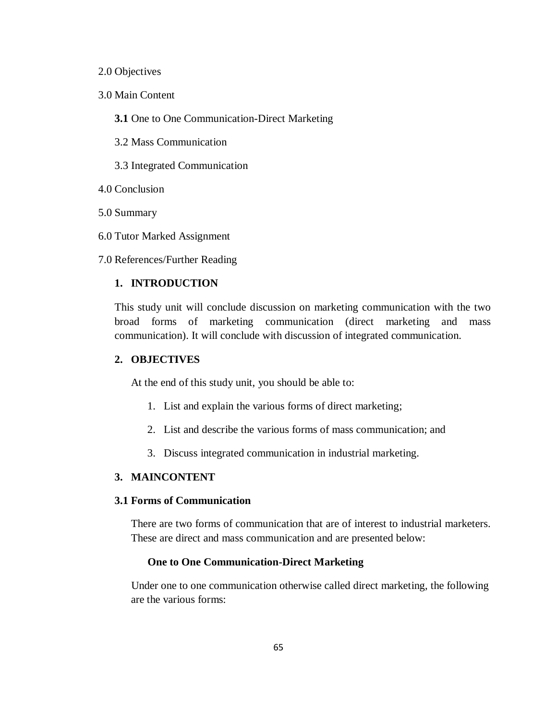#### 2.0 Objectives

- 3.0 Main Content
	- **3.1** One to One Communication-Direct Marketing
	- 3.2 Mass Communication
	- 3.3 Integrated Communication
- 4.0 Conclusion
- 5.0 Summary
- 6.0 Tutor Marked Assignment
- 7.0 References/Further Reading

### **1. INTRODUCTION**

This study unit will conclude discussion on marketing communication with the two broad forms of marketing communication (direct marketing and mass communication). It will conclude with discussion of integrated communication.

#### **2. OBJECTIVES**

At the end of this study unit, you should be able to:

- 1. List and explain the various forms of direct marketing;
- 2. List and describe the various forms of mass communication; and
- 3. Discuss integrated communication in industrial marketing.

## **3. MAINCONTENT**

## **3.1 Forms of Communication**

There are two forms of communication that are of interest to industrial marketers. These are direct and mass communication and are presented below:

#### **One to One Communication-Direct Marketing**

 Under one to one communication otherwise called direct marketing, the following are the various forms: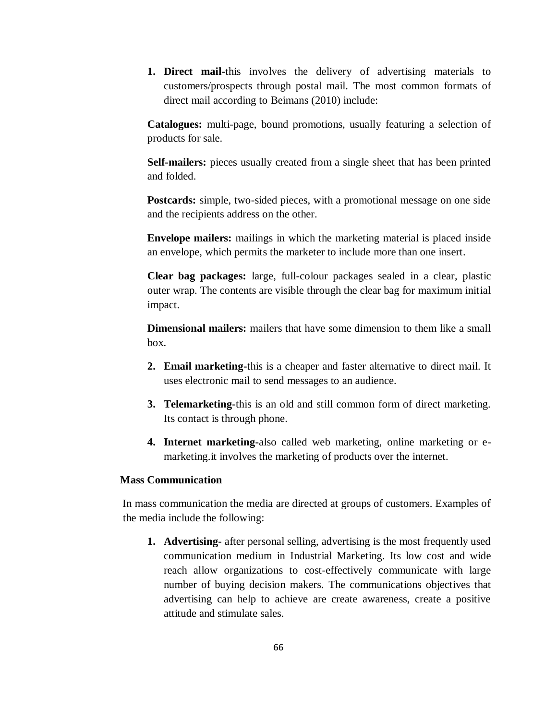**1. Direct mail-**this involves the delivery of advertising materials to customers/prospects through postal mail. The most common formats of direct mail according to Beimans (2010) include:

**Catalogues:** multi-page, bound promotions, usually featuring a selection of products for sale.

**Self-mailers:** pieces usually created from a single sheet that has been printed and folded.

**Postcards:** simple, two-sided pieces, with a promotional message on one side and the recipients address on the other.

**Envelope mailers:** mailings in which the marketing material is placed inside an envelope, which permits the marketer to include more than one insert.

**Clear bag packages:** large, full-colour packages sealed in a clear, plastic outer wrap. The contents are visible through the clear bag for maximum initial impact.

**Dimensional mailers:** mailers that have some dimension to them like a small box.

- **2. Email marketing-**this is a cheaper and faster alternative to direct mail. It uses electronic mail to send messages to an audience.
- **3. Telemarketing-**this is an old and still common form of direct marketing. Its contact is through phone.
- **4. Internet marketing-**also called web marketing, online marketing or emarketing.it involves the marketing of products over the internet.

## **Mass Communication**

 In mass communication the media are directed at groups of customers. Examples of the media include the following:

**1. Advertising-** after personal selling, advertising is the most frequently used communication medium in Industrial Marketing. Its low cost and wide reach allow organizations to cost-effectively communicate with large number of buying decision makers. The communications objectives that advertising can help to achieve are create awareness, create a positive attitude and stimulate sales.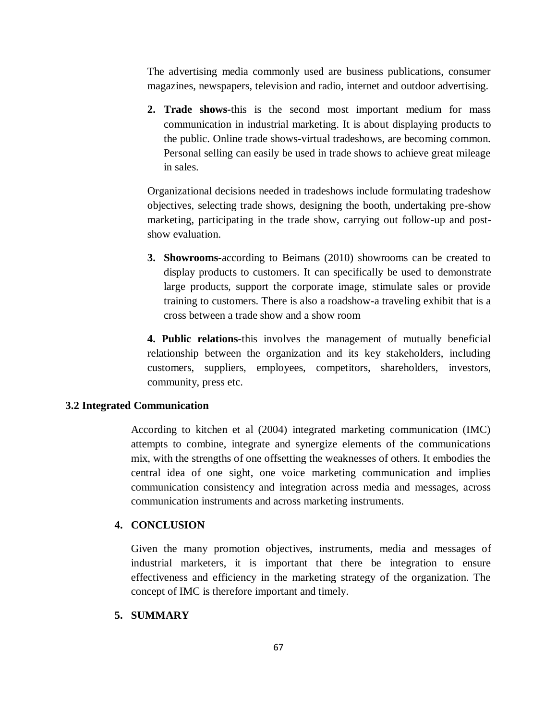The advertising media commonly used are business publications, consumer magazines, newspapers, television and radio, internet and outdoor advertising.

**2. Trade shows-**this is the second most important medium for mass communication in industrial marketing. It is about displaying products to the public. Online trade shows-virtual tradeshows, are becoming common. Personal selling can easily be used in trade shows to achieve great mileage in sales.

Organizational decisions needed in tradeshows include formulating tradeshow objectives, selecting trade shows, designing the booth, undertaking pre-show marketing, participating in the trade show, carrying out follow-up and postshow evaluation.

**3. Showrooms-**according to Beimans (2010) showrooms can be created to display products to customers. It can specifically be used to demonstrate large products, support the corporate image, stimulate sales or provide training to customers. There is also a roadshow-a traveling exhibit that is a cross between a trade show and a show room

**4. Public relations-**this involves the management of mutually beneficial relationship between the organization and its key stakeholders, including customers, suppliers, employees, competitors, shareholders, investors, community, press etc.

### **3.2 Integrated Communication**

According to kitchen et al (2004) integrated marketing communication (IMC) attempts to combine, integrate and synergize elements of the communications mix, with the strengths of one offsetting the weaknesses of others. It embodies the central idea of one sight, one voice marketing communication and implies communication consistency and integration across media and messages, across communication instruments and across marketing instruments.

## **4. CONCLUSION**

Given the many promotion objectives, instruments, media and messages of industrial marketers, it is important that there be integration to ensure effectiveness and efficiency in the marketing strategy of the organization. The concept of IMC is therefore important and timely.

## **5. SUMMARY**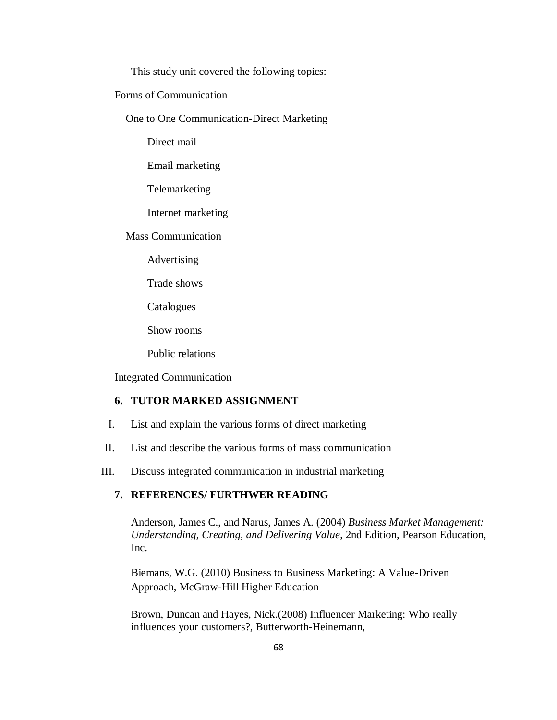This study unit covered the following topics:

Forms of Communication

One to One Communication-Direct Marketing

Direct mail

Email marketing

Telemarketing

Internet marketing

Mass Communication

Advertising

Trade shows

Catalogues

Show rooms

Public relations

Integrated Communication

## **6. TUTOR MARKED ASSIGNMENT**

- I. List and explain the various forms of direct marketing
- II. List and describe the various forms of mass communication

III. Discuss integrated communication in industrial marketing

## **7. REFERENCES/ FURTHWER READING**

Anderson, James C., and Narus, James A. (2004) *Business Market Management: Understanding, Creating, and Delivering Value*, 2nd Edition, [Pearson Education,](http://en.wikipedia.org/wiki/Pearson_Education) Inc.

Biemans, W.G. (2010) Business to Business Marketing: A Value-Driven Approach, McGraw-Hill Higher Education

Brown, Duncan and Hayes, Nick.(2008) Influencer Marketing: Who really influences your customers?, Butterworth-Heinemann,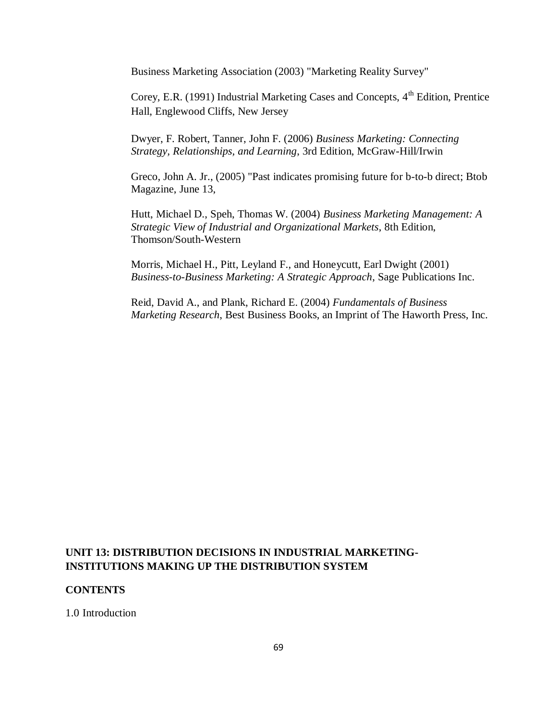Business Marketing Association (2003) "Marketing Reality Survey"

Corey, E.R. (1991) Industrial Marketing Cases and Concepts, 4<sup>th</sup> Edition, Prentice Hall, Englewood Cliffs, New Jersey

Dwyer, F. Robert, Tanner, John F. (2006) *Business Marketing: Connecting Strategy, Relationships, and Learning*, 3rd Edition, McGraw-Hill/Irwin

Greco, John A. Jr., (2005) "Past indicates promising future for b-to-b direct; [Btob](http://en.wikipedia.org/w/index.php?title=BtoB_Magazine&action=edit&redlink=1)  [Magazine,](http://en.wikipedia.org/w/index.php?title=BtoB_Magazine&action=edit&redlink=1) June 13,

Hutt, Michael D., Speh, Thomas W. (2004) *Business Marketing Management: A Strategic View of Industrial and Organizational Markets*, 8th Edition, Thomson/South-Western

Morris, Michael H., Pitt, Leyland F., and Honeycutt, Earl Dwight (2001) *Business-to-Business Marketing: A Strategic Approach*, Sage Publications Inc.

Reid, David A., and Plank, Richard E. (2004) *Fundamentals of Business Marketing Research*, Best Business Books, an Imprint of The Haworth Press, Inc.

# **UNIT 13: DISTRIBUTION DECISIONS IN INDUSTRIAL MARKETING-INSTITUTIONS MAKING UP THE DISTRIBUTION SYSTEM**

### **CONTENTS**

1.0 Introduction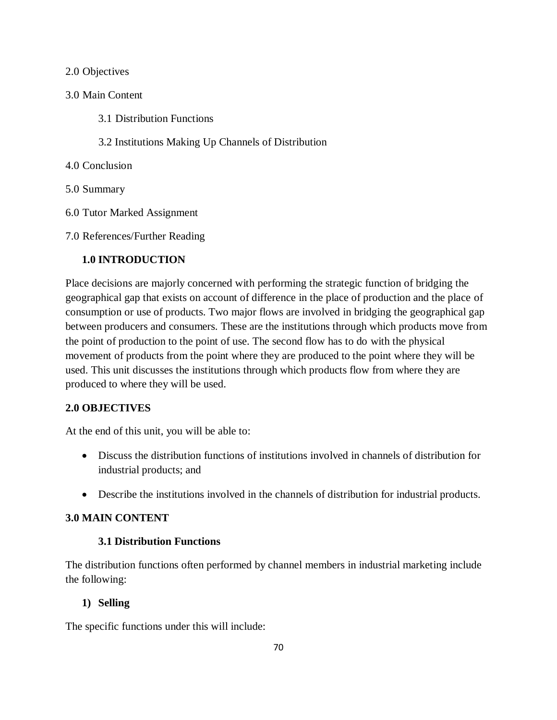### 2.0 Objectives

## 3.0 Main Content

- 3.1 Distribution Functions
- 3.2 Institutions Making Up Channels of Distribution
- 4.0 Conclusion
- 5.0 Summary
- 6.0 Tutor Marked Assignment
- 7.0 References/Further Reading

## **1.0 INTRODUCTION**

Place decisions are majorly concerned with performing the strategic function of bridging the geographical gap that exists on account of difference in the place of production and the place of consumption or use of products. Two major flows are involved in bridging the geographical gap between producers and consumers. These are the institutions through which products move from the point of production to the point of use. The second flow has to do with the physical movement of products from the point where they are produced to the point where they will be used. This unit discusses the institutions through which products flow from where they are produced to where they will be used.

### **2.0 OBJECTIVES**

At the end of this unit, you will be able to:

- Discuss the distribution functions of institutions involved in channels of distribution for industrial products; and
- Describe the institutions involved in the channels of distribution for industrial products.

### **3.0 MAIN CONTENT**

## **3.1 Distribution Functions**

The distribution functions often performed by channel members in industrial marketing include the following:

### **1) Selling**

The specific functions under this will include: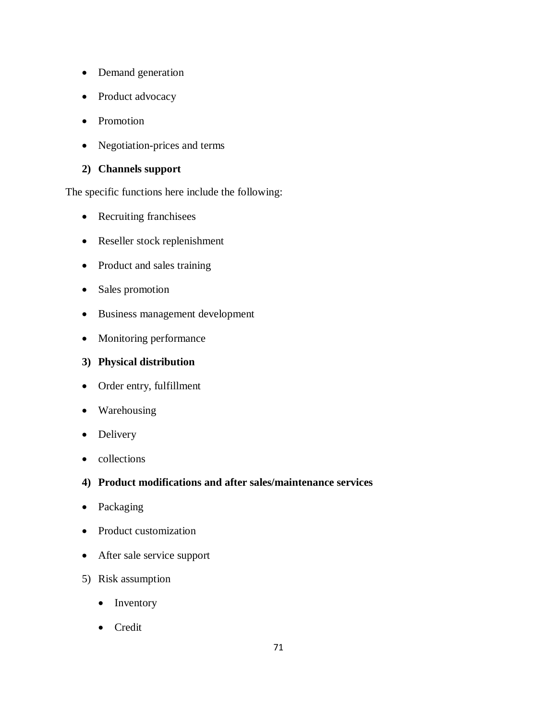- Demand generation
- Product advocacy
- Promotion
- Negotiation-prices and terms

# **2) Channels support**

The specific functions here include the following:

- Recruiting franchisees
- Reseller stock replenishment
- Product and sales training
- Sales promotion
- Business management development
- Monitoring performance

## **3) Physical distribution**

- Order entry, fulfillment
- Warehousing
- Delivery
- collections

## **4) Product modifications and after sales/maintenance services**

- Packaging
- Product customization
- After sale service support
- 5) Risk assumption
	- Inventory
	- Credit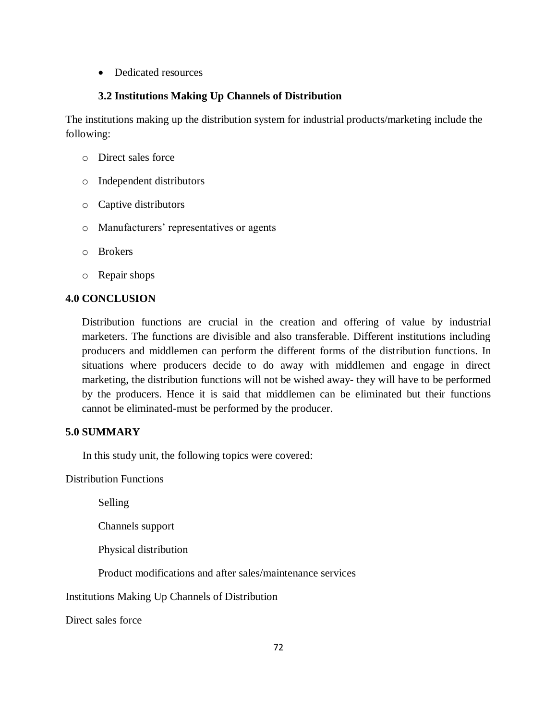• Dedicated resources

## **3.2 Institutions Making Up Channels of Distribution**

The institutions making up the distribution system for industrial products/marketing include the following:

- o Direct sales force
- o Independent distributors
- o Captive distributors
- o Manufacturers' representatives or agents
- o Brokers
- o Repair shops

## **4.0 CONCLUSION**

Distribution functions are crucial in the creation and offering of value by industrial marketers. The functions are divisible and also transferable. Different institutions including producers and middlemen can perform the different forms of the distribution functions. In situations where producers decide to do away with middlemen and engage in direct marketing, the distribution functions will not be wished away- they will have to be performed by the producers. Hence it is said that middlemen can be eliminated but their functions cannot be eliminated-must be performed by the producer.

## **5.0 SUMMARY**

In this study unit, the following topics were covered:

Distribution Functions

Selling

Channels support

Physical distribution

Product modifications and after sales/maintenance services

Institutions Making Up Channels of Distribution

Direct sales force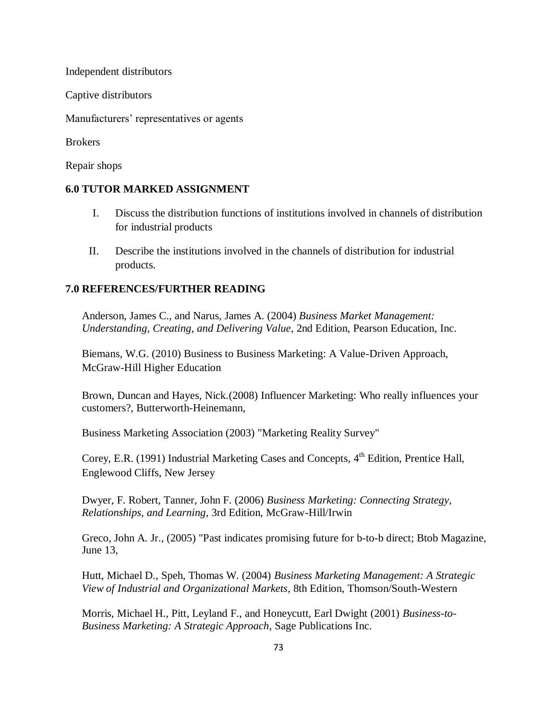Independent distributors

Captive distributors

Manufacturers' representatives or agents

Brokers

Repair shops

### **6.0 TUTOR MARKED ASSIGNMENT**

- I. Discuss the distribution functions of institutions involved in channels of distribution for industrial products
- II. Describe the institutions involved in the channels of distribution for industrial products.

### **7.0 REFERENCES/FURTHER READING**

Anderson, James C., and Narus, James A. (2004) *Business Market Management: Understanding, Creating, and Delivering Value*, 2nd Edition, [Pearson Education,](http://en.wikipedia.org/wiki/Pearson_Education) Inc.

Biemans, W.G. (2010) Business to Business Marketing: A Value-Driven Approach, McGraw-Hill Higher Education

Brown, Duncan and Hayes, Nick.(2008) Influencer Marketing: Who really influences your customers?, Butterworth-Heinemann,

Business Marketing Association (2003) "Marketing Reality Survey"

Corey, E.R. (1991) Industrial Marketing Cases and Concepts, 4<sup>th</sup> Edition, Prentice Hall, Englewood Cliffs, New Jersey

Dwyer, F. Robert, Tanner, John F. (2006) *Business Marketing: Connecting Strategy, Relationships, and Learning*, 3rd Edition, McGraw-Hill/Irwin

Greco, John A. Jr., (2005) "Past indicates promising future for b-to-b direct; [Btob Magazine,](http://en.wikipedia.org/w/index.php?title=BtoB_Magazine&action=edit&redlink=1) June 13,

Hutt, Michael D., Speh, Thomas W. (2004) *Business Marketing Management: A Strategic View of Industrial and Organizational Markets*, 8th Edition, Thomson/South-Western

Morris, Michael H., Pitt, Leyland F., and Honeycutt, Earl Dwight (2001) *Business-to-Business Marketing: A Strategic Approach*, Sage Publications Inc.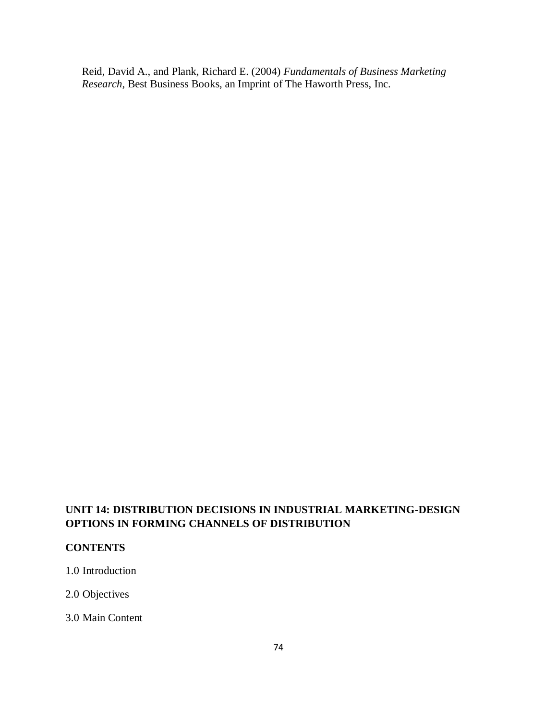Reid, David A., and Plank, Richard E. (2004) *Fundamentals of Business Marketing Research*, Best Business Books, an Imprint of The Haworth Press, Inc.

# **UNIT 14: DISTRIBUTION DECISIONS IN INDUSTRIAL MARKETING-DESIGN OPTIONS IN FORMING CHANNELS OF DISTRIBUTION**

# **CONTENTS**

1.0 Introduction

2.0 Objectives

3.0 Main Content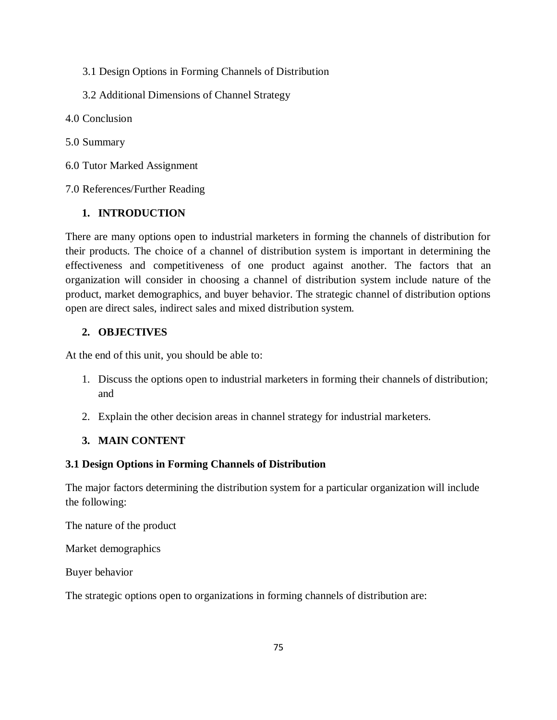- 3.1 Design Options in Forming Channels of Distribution
- 3.2 Additional Dimensions of Channel Strategy
- 4.0 Conclusion
- 5.0 Summary
- 6.0 Tutor Marked Assignment
- 7.0 References/Further Reading

## **1. INTRODUCTION**

There are many options open to industrial marketers in forming the channels of distribution for their products. The choice of a channel of distribution system is important in determining the effectiveness and competitiveness of one product against another. The factors that an organization will consider in choosing a channel of distribution system include nature of the product, market demographics, and buyer behavior. The strategic channel of distribution options open are direct sales, indirect sales and mixed distribution system.

## **2. OBJECTIVES**

At the end of this unit, you should be able to:

- 1. Discuss the options open to industrial marketers in forming their channels of distribution; and
- 2. Explain the other decision areas in channel strategy for industrial marketers.

# **3. MAIN CONTENT**

### **3.1 Design Options in Forming Channels of Distribution**

The major factors determining the distribution system for a particular organization will include the following:

The nature of the product

Market demographics

Buyer behavior

The strategic options open to organizations in forming channels of distribution are: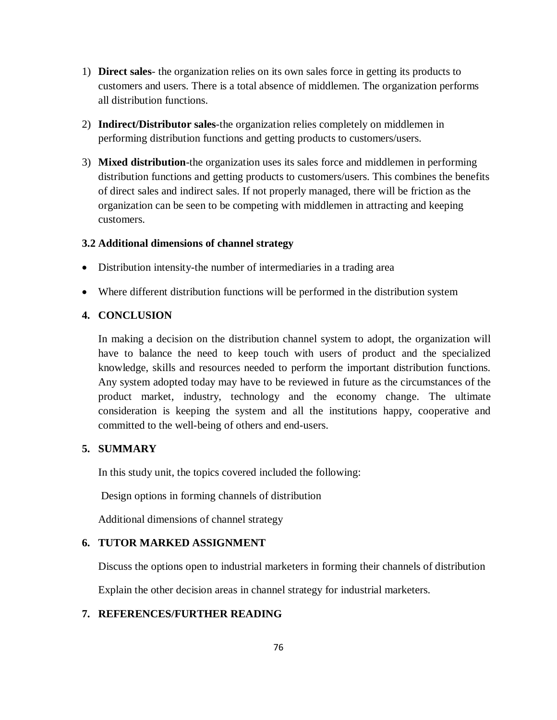- 1) **Direct sales** the organization relies on its own sales force in getting its products to customers and users. There is a total absence of middlemen. The organization performs all distribution functions.
- 2) **Indirect/Distributor sales**-the organization relies completely on middlemen in performing distribution functions and getting products to customers/users.
- 3) **Mixed distribution**-the organization uses its sales force and middlemen in performing distribution functions and getting products to customers/users. This combines the benefits of direct sales and indirect sales. If not properly managed, there will be friction as the organization can be seen to be competing with middlemen in attracting and keeping customers.

### **3.2 Additional dimensions of channel strategy**

- Distribution intensity-the number of intermediaries in a trading area
- Where different distribution functions will be performed in the distribution system

### **4. CONCLUSION**

In making a decision on the distribution channel system to adopt, the organization will have to balance the need to keep touch with users of product and the specialized knowledge, skills and resources needed to perform the important distribution functions. Any system adopted today may have to be reviewed in future as the circumstances of the product market, industry, technology and the economy change. The ultimate consideration is keeping the system and all the institutions happy, cooperative and committed to the well-being of others and end-users.

### **5. SUMMARY**

In this study unit, the topics covered included the following:

Design options in forming channels of distribution

Additional dimensions of channel strategy

### **6. TUTOR MARKED ASSIGNMENT**

Discuss the options open to industrial marketers in forming their channels of distribution

Explain the other decision areas in channel strategy for industrial marketers.

### **7. REFERENCES/FURTHER READING**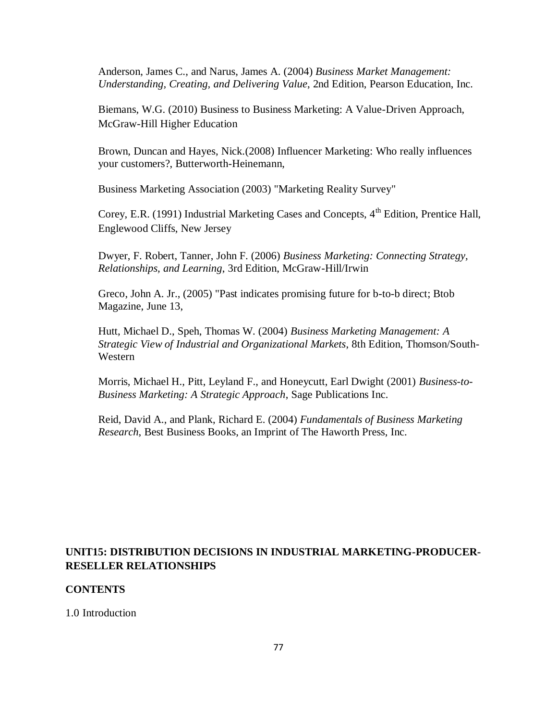Anderson, James C., and Narus, James A. (2004) *Business Market Management: Understanding, Creating, and Delivering Value*, 2nd Edition, [Pearson Education,](http://en.wikipedia.org/wiki/Pearson_Education) Inc.

Biemans, W.G. (2010) Business to Business Marketing: A Value-Driven Approach, McGraw-Hill Higher Education

Brown, Duncan and Hayes, Nick.(2008) Influencer Marketing: Who really influences your customers?, Butterworth-Heinemann,

Business Marketing Association (2003) "Marketing Reality Survey"

Corey, E.R. (1991) Industrial Marketing Cases and Concepts,  $4<sup>th</sup>$  Edition, Prentice Hall. Englewood Cliffs, New Jersey

Dwyer, F. Robert, Tanner, John F. (2006) *Business Marketing: Connecting Strategy, Relationships, and Learning*, 3rd Edition, McGraw-Hill/Irwin

Greco, John A. Jr., (2005) "Past indicates promising future for b-to-b direct; [Btob](http://en.wikipedia.org/w/index.php?title=BtoB_Magazine&action=edit&redlink=1)  [Magazine,](http://en.wikipedia.org/w/index.php?title=BtoB_Magazine&action=edit&redlink=1) June 13,

Hutt, Michael D., Speh, Thomas W. (2004) *Business Marketing Management: A Strategic View of Industrial and Organizational Markets*, 8th Edition, Thomson/South-Western

Morris, Michael H., Pitt, Leyland F., and Honeycutt, Earl Dwight (2001) *Business-to-Business Marketing: A Strategic Approach*, Sage Publications Inc.

Reid, David A., and Plank, Richard E. (2004) *Fundamentals of Business Marketing Research*, Best Business Books, an Imprint of The Haworth Press, Inc.

## **UNIT15: DISTRIBUTION DECISIONS IN INDUSTRIAL MARKETING-PRODUCER-RESELLER RELATIONSHIPS**

### **CONTENTS**

1.0 Introduction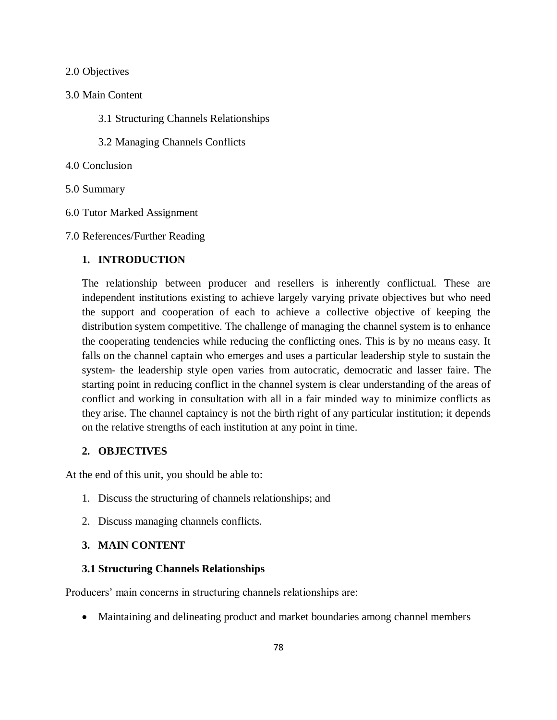#### 2.0 Objectives

#### 3.0 Main Content

- 3.1 Structuring Channels Relationships
- 3.2 Managing Channels Conflicts

#### 4.0 Conclusion

- 5.0 Summary
- 6.0 Tutor Marked Assignment
- 7.0 References/Further Reading

### **1. INTRODUCTION**

The relationship between producer and resellers is inherently conflictual. These are independent institutions existing to achieve largely varying private objectives but who need the support and cooperation of each to achieve a collective objective of keeping the distribution system competitive. The challenge of managing the channel system is to enhance the cooperating tendencies while reducing the conflicting ones. This is by no means easy. It falls on the channel captain who emerges and uses a particular leadership style to sustain the system- the leadership style open varies from autocratic, democratic and lasser faire. The starting point in reducing conflict in the channel system is clear understanding of the areas of conflict and working in consultation with all in a fair minded way to minimize conflicts as they arise. The channel captaincy is not the birth right of any particular institution; it depends on the relative strengths of each institution at any point in time.

### **2. OBJECTIVES**

At the end of this unit, you should be able to:

- 1. Discuss the structuring of channels relationships; and
- 2. Discuss managing channels conflicts.

### **3. MAIN CONTENT**

### **3.1 Structuring Channels Relationships**

Producers' main concerns in structuring channels relationships are:

Maintaining and delineating product and market boundaries among channel members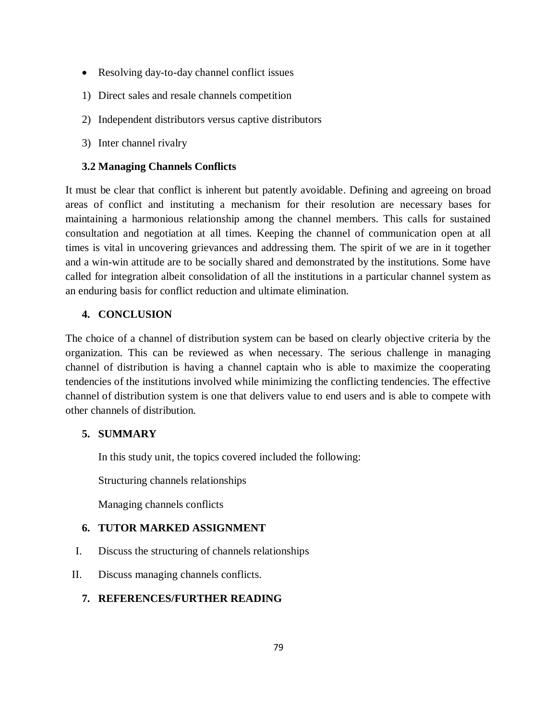- Resolving day-to-day channel conflict issues
- 1) Direct sales and resale channels competition
- 2) Independent distributors versus captive distributors
- 3) Inter channel rivalry

# **3.2 Managing Channels Conflicts**

It must be clear that conflict is inherent but patently avoidable. Defining and agreeing on broad areas of conflict and instituting a mechanism for their resolution are necessary bases for maintaining a harmonious relationship among the channel members. This calls for sustained consultation and negotiation at all times. Keeping the channel of communication open at all times is vital in uncovering grievances and addressing them. The spirit of we are in it together and a win-win attitude are to be socially shared and demonstrated by the institutions. Some have called for integration albeit consolidation of all the institutions in a particular channel system as an enduring basis for conflict reduction and ultimate elimination.

# **4. CONCLUSION**

The choice of a channel of distribution system can be based on clearly objective criteria by the organization. This can be reviewed as when necessary. The serious challenge in managing channel of distribution is having a channel captain who is able to maximize the cooperating tendencies of the institutions involved while minimizing the conflicting tendencies. The effective channel of distribution system is one that delivers value to end users and is able to compete with other channels of distribution.

# **5. SUMMARY**

In this study unit, the topics covered included the following:

Structuring channels relationships

Managing channels conflicts

# **6. TUTOR MARKED ASSIGNMENT**

- I. Discuss the structuring of channels relationships
- II. Discuss managing channels conflicts.

# **7. REFERENCES/FURTHER READING**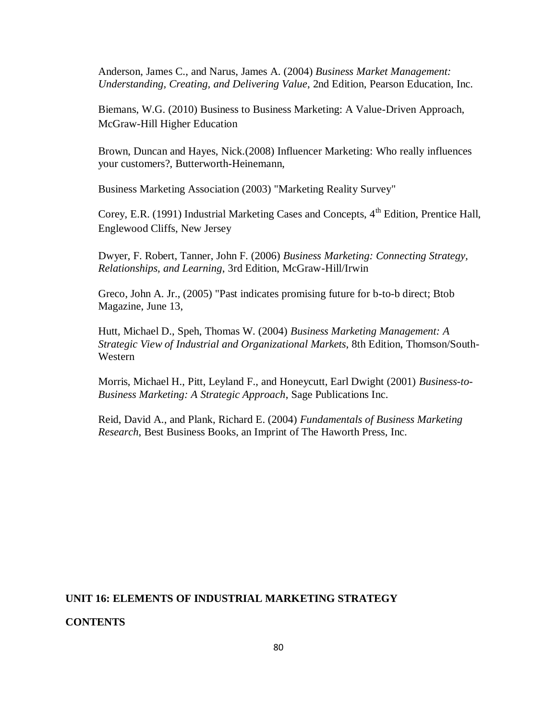Anderson, James C., and Narus, James A. (2004) *Business Market Management: Understanding, Creating, and Delivering Value*, 2nd Edition, [Pearson Education,](http://en.wikipedia.org/wiki/Pearson_Education) Inc.

Biemans, W.G. (2010) Business to Business Marketing: A Value-Driven Approach, McGraw-Hill Higher Education

Brown, Duncan and Hayes, Nick.(2008) Influencer Marketing: Who really influences your customers?, Butterworth-Heinemann,

Business Marketing Association (2003) "Marketing Reality Survey"

Corey, E.R. (1991) Industrial Marketing Cases and Concepts,  $4<sup>th</sup>$  Edition, Prentice Hall. Englewood Cliffs, New Jersey

Dwyer, F. Robert, Tanner, John F. (2006) *Business Marketing: Connecting Strategy, Relationships, and Learning*, 3rd Edition, McGraw-Hill/Irwin

Greco, John A. Jr., (2005) "Past indicates promising future for b-to-b direct; [Btob](http://en.wikipedia.org/w/index.php?title=BtoB_Magazine&action=edit&redlink=1)  [Magazine,](http://en.wikipedia.org/w/index.php?title=BtoB_Magazine&action=edit&redlink=1) June 13,

Hutt, Michael D., Speh, Thomas W. (2004) *Business Marketing Management: A Strategic View of Industrial and Organizational Markets*, 8th Edition, Thomson/South-Western

Morris, Michael H., Pitt, Leyland F., and Honeycutt, Earl Dwight (2001) *Business-to-Business Marketing: A Strategic Approach*, Sage Publications Inc.

Reid, David A., and Plank, Richard E. (2004) *Fundamentals of Business Marketing Research*, Best Business Books, an Imprint of The Haworth Press, Inc.

#### **UNIT 16: ELEMENTS OF INDUSTRIAL MARKETING STRATEGY**

#### **CONTENTS**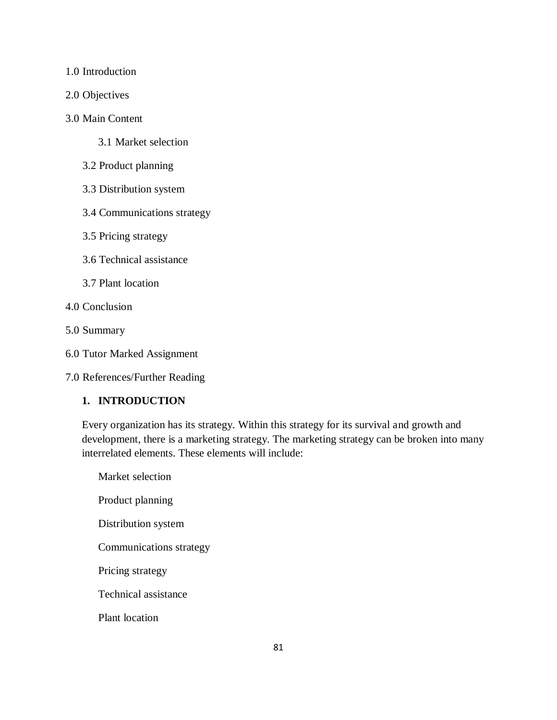1.0 Introduction

2.0 Objectives

#### 3.0 Main Content

- 3.1 Market selection
- 3.2 Product planning
- 3.3 Distribution system
- 3.4 Communications strategy
- 3.5 Pricing strategy
- 3.6 Technical assistance
- 3.7 Plant location
- 4.0 Conclusion
- 5.0 Summary
- 6.0 Tutor Marked Assignment

7.0 References/Further Reading

## **1. INTRODUCTION**

Every organization has its strategy. Within this strategy for its survival and growth and development, there is a marketing strategy. The marketing strategy can be broken into many interrelated elements. These elements will include:

Market selection Product planning Distribution system Communications strategy Pricing strategy Technical assistance Plant location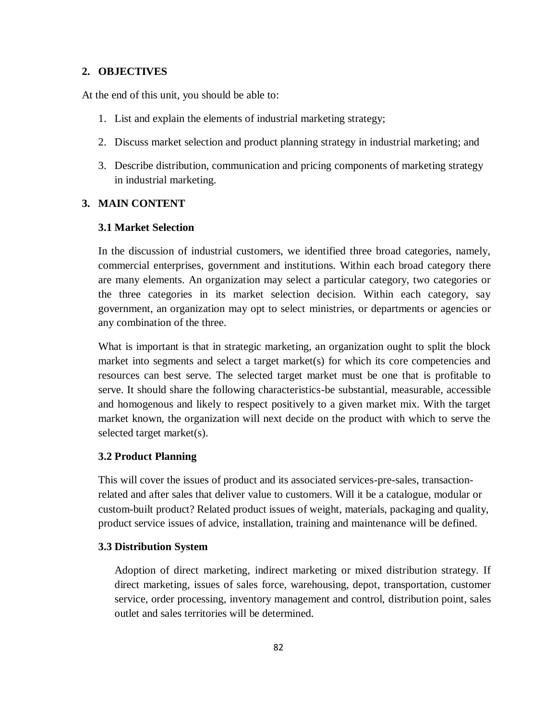#### **2. OBJECTIVES**

At the end of this unit, you should be able to:

- 1. List and explain the elements of industrial marketing strategy;
- 2. Discuss market selection and product planning strategy in industrial marketing; and
- 3. Describe distribution, communication and pricing components of marketing strategy in industrial marketing.

#### **3. MAIN CONTENT**

### **3.1 Market Selection**

In the discussion of industrial customers, we identified three broad categories, namely, commercial enterprises, government and institutions. Within each broad category there are many elements. An organization may select a particular category, two categories or the three categories in its market selection decision. Within each category, say government, an organization may opt to select ministries, or departments or agencies or any combination of the three.

What is important is that in strategic marketing, an organization ought to split the block market into segments and select a target market(s) for which its core competencies and resources can best serve. The selected target market must be one that is profitable to serve. It should share the following characteristics-be substantial, measurable, accessible and homogenous and likely to respect positively to a given market mix. With the target market known, the organization will next decide on the product with which to serve the selected target market(s).

#### **3.2 Product Planning**

This will cover the issues of product and its associated services-pre-sales, transactionrelated and after sales that deliver value to customers. Will it be a catalogue, modular or custom-built product? Related product issues of weight, materials, packaging and quality, product service issues of advice, installation, training and maintenance will be defined.

#### **3.3 Distribution System**

Adoption of direct marketing, indirect marketing or mixed distribution strategy. If direct marketing, issues of sales force, warehousing, depot, transportation, customer service, order processing, inventory management and control, distribution point, sales outlet and sales territories will be determined.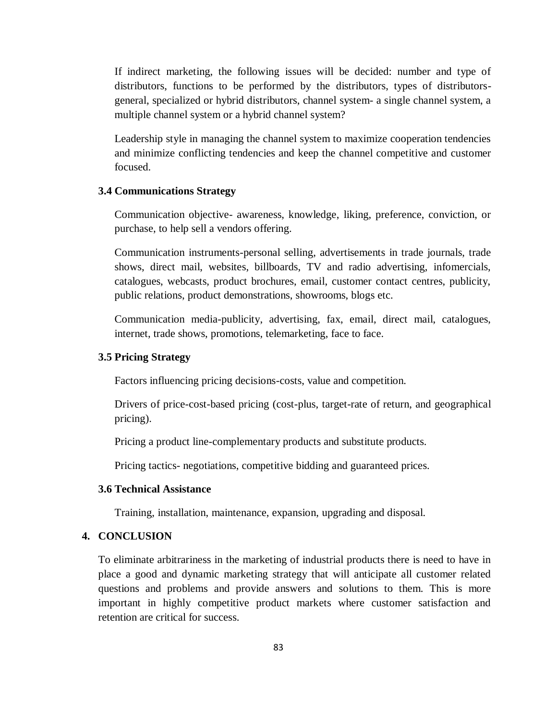If indirect marketing, the following issues will be decided: number and type of distributors, functions to be performed by the distributors, types of distributorsgeneral, specialized or hybrid distributors, channel system- a single channel system, a multiple channel system or a hybrid channel system?

Leadership style in managing the channel system to maximize cooperation tendencies and minimize conflicting tendencies and keep the channel competitive and customer focused.

### **3.4 Communications Strategy**

Communication objective- awareness, knowledge, liking, preference, conviction, or purchase, to help sell a vendors offering.

Communication instruments-personal selling, advertisements in trade journals, trade shows, direct mail, websites, billboards, TV and radio advertising, infomercials, catalogues, webcasts, product brochures, email, customer contact centres, publicity, public relations, product demonstrations, showrooms, blogs etc.

Communication media-publicity, advertising, fax, email, direct mail, catalogues, internet, trade shows, promotions, telemarketing, face to face.

#### **3.5 Pricing Strategy**

Factors influencing pricing decisions-costs, value and competition.

Drivers of price-cost-based pricing (cost-plus, target-rate of return, and geographical pricing).

Pricing a product line-complementary products and substitute products.

Pricing tactics- negotiations, competitive bidding and guaranteed prices.

#### **3.6 Technical Assistance**

Training, installation, maintenance, expansion, upgrading and disposal.

### **4. CONCLUSION**

To eliminate arbitrariness in the marketing of industrial products there is need to have in place a good and dynamic marketing strategy that will anticipate all customer related questions and problems and provide answers and solutions to them. This is more important in highly competitive product markets where customer satisfaction and retention are critical for success.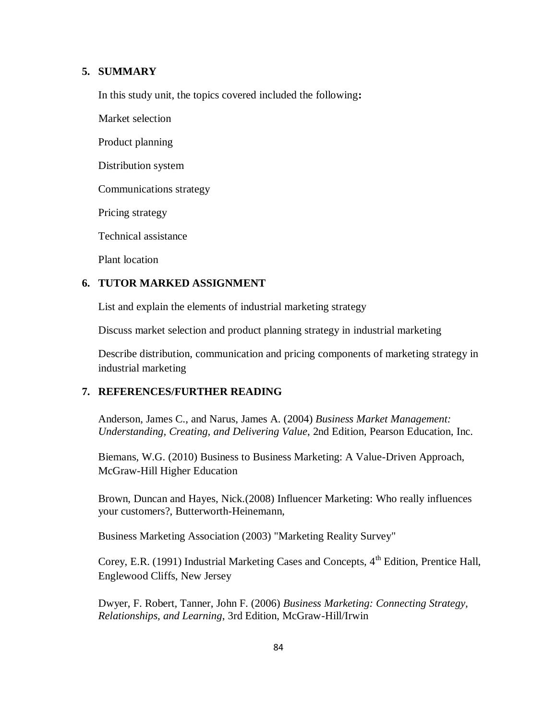### **5. SUMMARY**

In this study unit, the topics covered included the following**:**

Market selection

Product planning

Distribution system

Communications strategy

Pricing strategy

Technical assistance

Plant location

### **6. TUTOR MARKED ASSIGNMENT**

List and explain the elements of industrial marketing strategy

Discuss market selection and product planning strategy in industrial marketing

Describe distribution, communication and pricing components of marketing strategy in industrial marketing

### **7. REFERENCES/FURTHER READING**

Anderson, James C., and Narus, James A. (2004) *Business Market Management: Understanding, Creating, and Delivering Value*, 2nd Edition, [Pearson Education,](http://en.wikipedia.org/wiki/Pearson_Education) Inc.

Biemans, W.G. (2010) Business to Business Marketing: A Value-Driven Approach, McGraw-Hill Higher Education

Brown, Duncan and Hayes, Nick.(2008) Influencer Marketing: Who really influences your customers?, Butterworth-Heinemann,

Business Marketing Association (2003) "Marketing Reality Survey"

Corey, E.R. (1991) Industrial Marketing Cases and Concepts, 4<sup>th</sup> Edition, Prentice Hall, Englewood Cliffs, New Jersey

Dwyer, F. Robert, Tanner, John F. (2006) *Business Marketing: Connecting Strategy, Relationships, and Learning*, 3rd Edition, McGraw-Hill/Irwin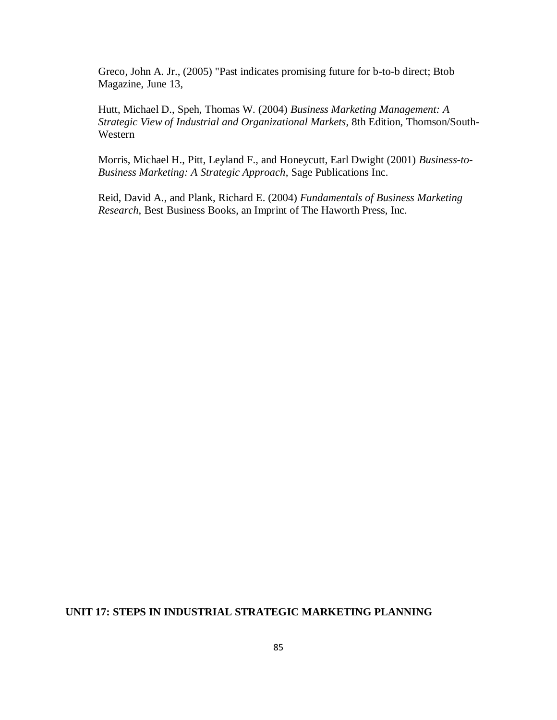Greco, John A. Jr., (2005) "Past indicates promising future for b-to-b direct; [Btob](http://en.wikipedia.org/w/index.php?title=BtoB_Magazine&action=edit&redlink=1)  [Magazine,](http://en.wikipedia.org/w/index.php?title=BtoB_Magazine&action=edit&redlink=1) June 13,

Hutt, Michael D., Speh, Thomas W. (2004) *Business Marketing Management: A Strategic View of Industrial and Organizational Markets*, 8th Edition, Thomson/South-Western

Morris, Michael H., Pitt, Leyland F., and Honeycutt, Earl Dwight (2001) *Business-to-Business Marketing: A Strategic Approach*, Sage Publications Inc.

Reid, David A., and Plank, Richard E. (2004) *Fundamentals of Business Marketing Research*, Best Business Books, an Imprint of The Haworth Press, Inc.

### **UNIT 17: STEPS IN INDUSTRIAL STRATEGIC MARKETING PLANNING**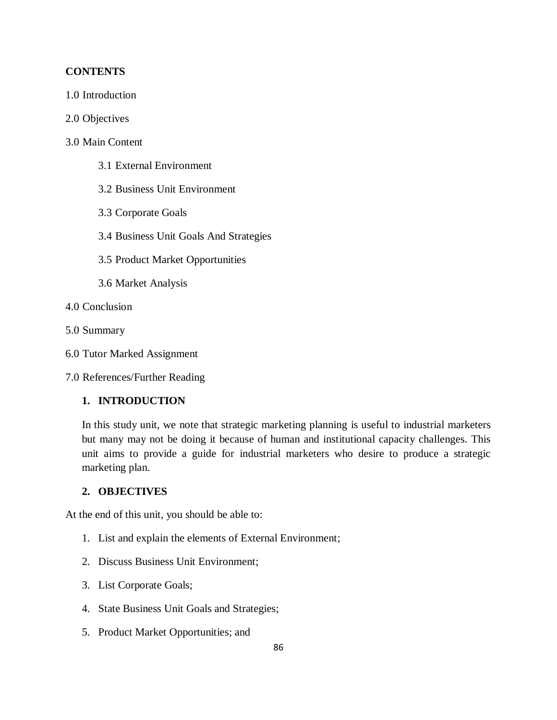### **CONTENTS**

- 1.0 Introduction
- 2.0 Objectives
- 3.0 Main Content
	- 3.1 External Environment
	- 3.2 Business Unit Environment
	- 3.3 Corporate Goals
	- 3.4 Business Unit Goals And Strategies
	- 3.5 Product Market Opportunities
	- 3.6 Market Analysis
- 4.0 Conclusion
- 5.0 Summary
- 6.0 Tutor Marked Assignment
- 7.0 References/Further Reading

### **1. INTRODUCTION**

In this study unit, we note that strategic marketing planning is useful to industrial marketers but many may not be doing it because of human and institutional capacity challenges. This unit aims to provide a guide for industrial marketers who desire to produce a strategic marketing plan.

### **2. OBJECTIVES**

At the end of this unit, you should be able to:

- 1. List and explain the elements of External Environment;
- 2. Discuss Business Unit Environment;
- 3. List Corporate Goals;
- 4. State Business Unit Goals and Strategies;
- 5. Product Market Opportunities; and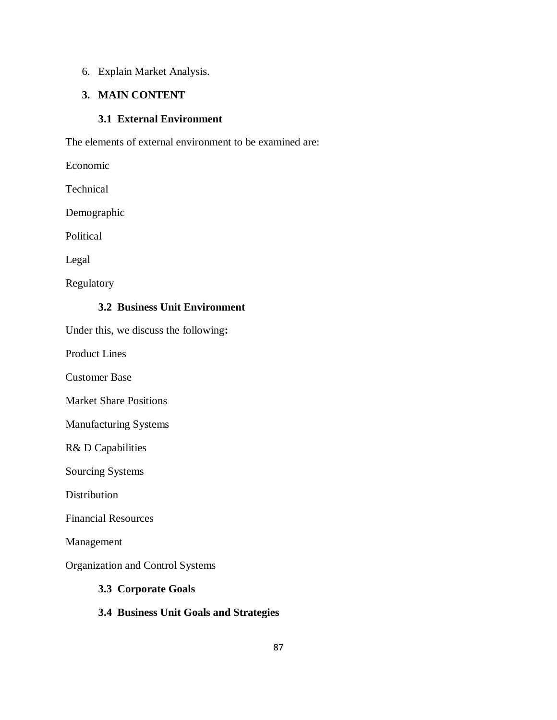## 6. Explain Market Analysis.

# **3. MAIN CONTENT**

### **3.1 External Environment**

The elements of external environment to be examined are:

Economic

Technical

Demographic

Political

Legal

Regulatory

# **3.2 Business Unit Environment**

Under this, we discuss the following**:**

Product Lines

Customer Base

Market Share Positions

Manufacturing Systems

R& D Capabilities

Sourcing Systems

Distribution

Financial Resources

Management

Organization and Control Systems

### **3.3 Corporate Goals**

# **3.4 Business Unit Goals and Strategies**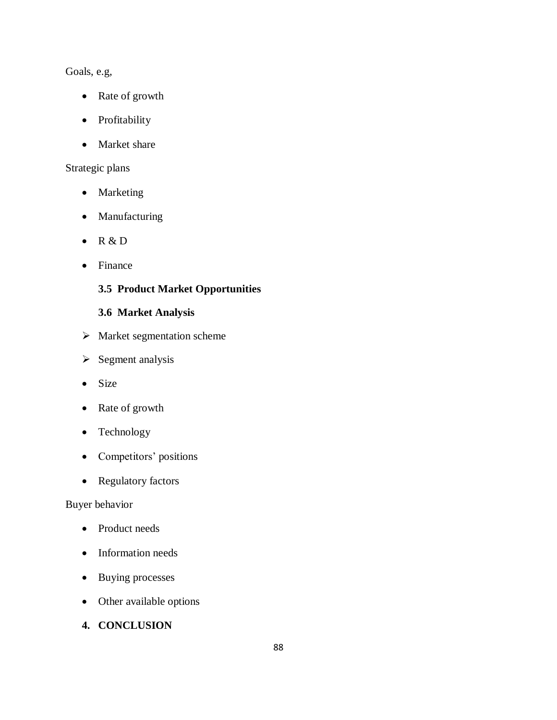# Goals, e.g,

- Rate of growth
- Profitability
- Market share

# Strategic plans

- Marketing
- Manufacturing
- $\bullet$  R & D
- Finance

# **3.5 Product Market Opportunities**

# **3.6 Market Analysis**

- $\triangleright$  Market segmentation scheme
- $\triangleright$  Segment analysis
- Size
- Rate of growth
- Technology
- Competitors' positions
- Regulatory factors

## Buyer behavior

- Product needs
- Information needs
- Buying processes
- Other available options
- **4. CONCLUSION**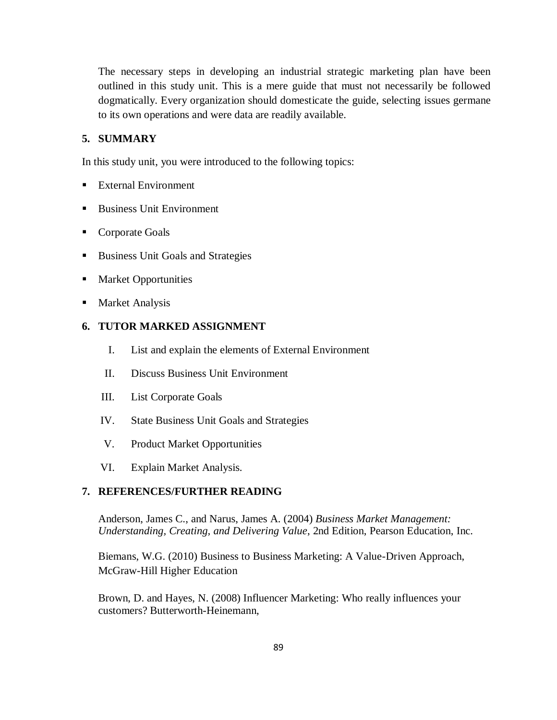The necessary steps in developing an industrial strategic marketing plan have been outlined in this study unit. This is a mere guide that must not necessarily be followed dogmatically. Every organization should domesticate the guide, selecting issues germane to its own operations and were data are readily available.

### **5. SUMMARY**

In this study unit, you were introduced to the following topics:

- External Environment
- Business Unit Environment
- Corporate Goals
- Business Unit Goals and Strategies
- **Market Opportunities**
- **Market Analysis**

### **6. TUTOR MARKED ASSIGNMENT**

- I. List and explain the elements of External Environment
- II. Discuss Business Unit Environment
- III. List Corporate Goals
- IV. State Business Unit Goals and Strategies
- V. Product Market Opportunities
- VI. Explain Market Analysis.

### **7. REFERENCES/FURTHER READING**

Anderson, James C., and Narus, James A. (2004) *Business Market Management: Understanding, Creating, and Delivering Value*, 2nd Edition, [Pearson Education,](http://en.wikipedia.org/wiki/Pearson_Education) Inc.

Biemans, W.G. (2010) Business to Business Marketing: A Value-Driven Approach, McGraw-Hill Higher Education

Brown, D. and Hayes, N. (2008) Influencer Marketing: Who really influences your customers? Butterworth-Heinemann,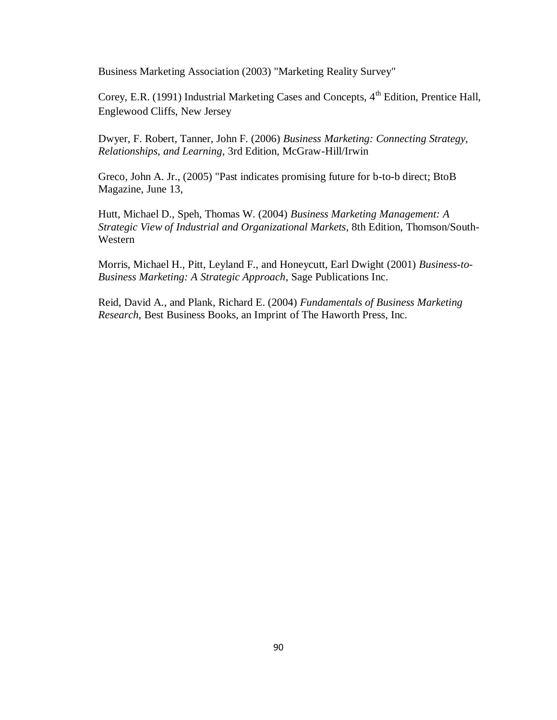Business Marketing Association (2003) "Marketing Reality Survey"

Corey, E.R. (1991) Industrial Marketing Cases and Concepts, 4<sup>th</sup> Edition, Prentice Hall, Englewood Cliffs, New Jersey

Dwyer, F. Robert, Tanner, John F. (2006) *Business Marketing: Connecting Strategy, Relationships, and Learning*, 3rd Edition, McGraw-Hill/Irwin

Greco, John A. Jr., (2005) "Past indicates promising future for b-to-b direct; [BtoB](http://en.wikipedia.org/w/index.php?title=BtoB_Magazine&action=edit&redlink=1) [Magazine,](http://en.wikipedia.org/w/index.php?title=BtoB_Magazine&action=edit&redlink=1) June 13,

Hutt, Michael D., Speh, Thomas W. (2004) *Business Marketing Management: A Strategic View of Industrial and Organizational Markets*, 8th Edition, Thomson/South-Western

Morris, Michael H., Pitt, Leyland F., and Honeycutt, Earl Dwight (2001) *Business-to-Business Marketing: A Strategic Approach*, Sage Publications Inc.

Reid, David A., and Plank, Richard E. (2004) *Fundamentals of Business Marketing Research*, Best Business Books, an Imprint of The Haworth Press, Inc.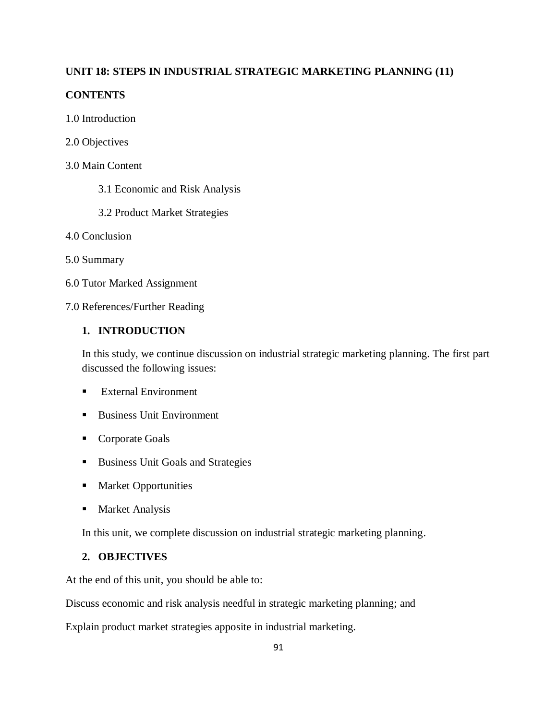## **UNIT 18: STEPS IN INDUSTRIAL STRATEGIC MARKETING PLANNING (11)**

### **CONTENTS**

- 1.0 Introduction
- 2.0 Objectives
- 3.0 Main Content
	- 3.1 Economic and Risk Analysis
	- 3.2 Product Market Strategies
- 4.0 Conclusion
- 5.0 Summary
- 6.0 Tutor Marked Assignment
- 7.0 References/Further Reading

# **1. INTRODUCTION**

In this study, we continue discussion on industrial strategic marketing planning. The first part discussed the following issues:

- **External Environment**
- Business Unit Environment
- Corporate Goals
- Business Unit Goals and Strategies
- **Market Opportunities**
- **Market Analysis**

In this unit, we complete discussion on industrial strategic marketing planning.

# **2. OBJECTIVES**

At the end of this unit, you should be able to:

Discuss economic and risk analysis needful in strategic marketing planning; and

Explain product market strategies apposite in industrial marketing.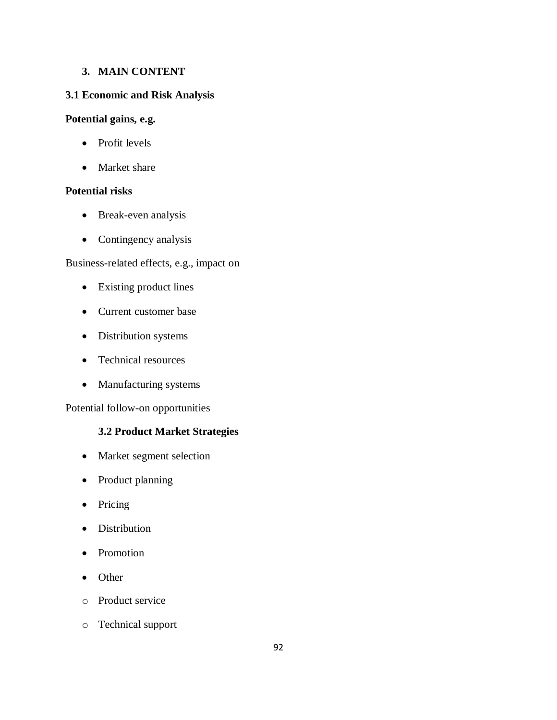## **3. MAIN CONTENT**

## **3.1 Economic and Risk Analysis**

### **Potential gains, e.g.**

- Profit levels
- Market share

### **Potential risks**

- Break-even analysis
- Contingency analysis

## Business-related effects, e.g., impact on

- Existing product lines
- Current customer base
- Distribution systems
- Technical resources
- Manufacturing systems

Potential follow-on opportunities

# **3.2 Product Market Strategies**

- Market segment selection
- Product planning
- Pricing
- Distribution
- Promotion
- Other
- o Product service
- o Technical support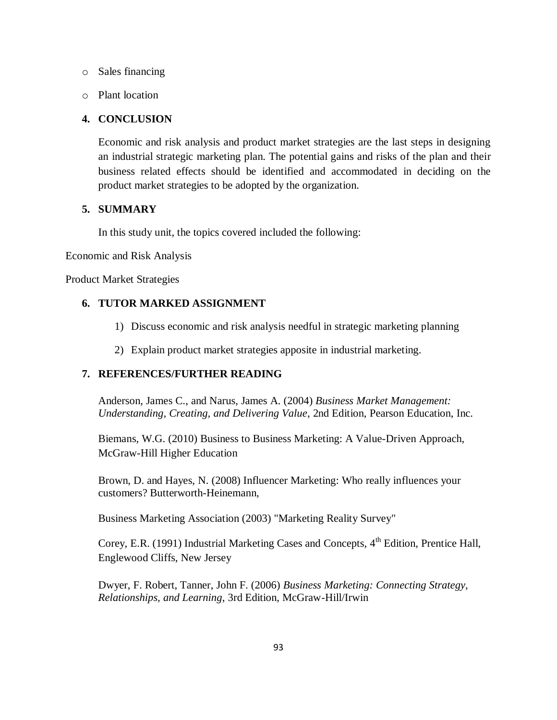- o Sales financing
- o Plant location

### **4. CONCLUSION**

Economic and risk analysis and product market strategies are the last steps in designing an industrial strategic marketing plan. The potential gains and risks of the plan and their business related effects should be identified and accommodated in deciding on the product market strategies to be adopted by the organization.

### **5. SUMMARY**

In this study unit, the topics covered included the following:

Economic and Risk Analysis

Product Market Strategies

### **6. TUTOR MARKED ASSIGNMENT**

- 1) Discuss economic and risk analysis needful in strategic marketing planning
- 2) Explain product market strategies apposite in industrial marketing.

### **7. REFERENCES/FURTHER READING**

Anderson, James C., and Narus, James A. (2004) *Business Market Management: Understanding, Creating, and Delivering Value*, 2nd Edition, [Pearson Education,](http://en.wikipedia.org/wiki/Pearson_Education) Inc.

Biemans, W.G. (2010) Business to Business Marketing: A Value-Driven Approach, McGraw-Hill Higher Education

Brown, D. and Hayes, N. (2008) Influencer Marketing: Who really influences your customers? Butterworth-Heinemann,

Business Marketing Association (2003) "Marketing Reality Survey"

Corey, E.R. (1991) Industrial Marketing Cases and Concepts,  $4<sup>th</sup>$  Edition, Prentice Hall, Englewood Cliffs, New Jersey

Dwyer, F. Robert, Tanner, John F. (2006) *Business Marketing: Connecting Strategy, Relationships, and Learning*, 3rd Edition, McGraw-Hill/Irwin